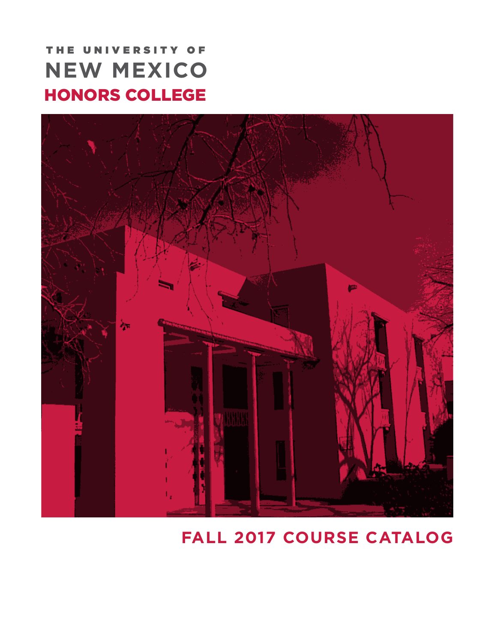# HONORS COLLEGE THE UNIVERSITY OF **NEW MEXICO**



# **FALL 2017 COURSE CATALOG**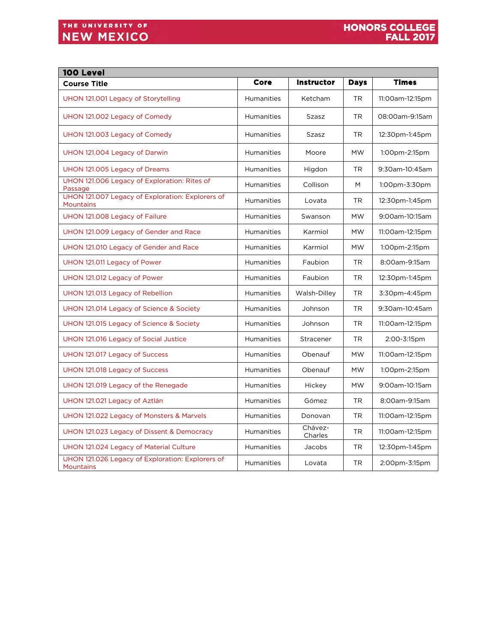<span id="page-1-0"></span>

| 100 Level                                                            |                   |                    |             |                  |
|----------------------------------------------------------------------|-------------------|--------------------|-------------|------------------|
| <b>Course Title</b>                                                  | Core              | <b>Instructor</b>  | <b>Days</b> | <b>Times</b>     |
| UHON 121.001 Legacy of Storytelling                                  | <b>Humanities</b> | Ketcham            | TR.         | 11:00am-12:15pm  |
| UHON 121.002 Legacy of Comedy                                        | <b>Humanities</b> | <b>Szasz</b>       | TR.         | 08:00am-9:15am   |
| UHON 121.003 Legacy of Comedy                                        | Humanities        | Szasz              | TR.         | 12:30pm-1:45pm   |
| UHON 121.004 Legacy of Darwin                                        | <b>Humanities</b> | Moore              | <b>MW</b>   | 1:00pm-2:15pm    |
| UHON 121.005 Legacy of Dreams                                        | <b>Humanities</b> | Higdon             | <b>TR</b>   | 9:30am-10:45am   |
| UHON 121.006 Legacy of Exploration: Rites of<br>Passage              | <b>Humanities</b> | Collison           | M           | $1:00$ pm-3:30pm |
| UHON 121.007 Legacy of Exploration: Explorers of<br><b>Mountains</b> | <b>Humanities</b> | Lovata             | TR.         | 12:30pm-1:45pm   |
| UHON 121.008 Legacy of Failure                                       | <b>Humanities</b> | Swanson            | <b>MW</b>   | 9:00am-10:15am   |
| UHON 121.009 Legacy of Gender and Race                               | <b>Humanities</b> | Karmiol            | <b>MW</b>   | 11:00am-12:15pm  |
| UHON 121.010 Legacy of Gender and Race                               | <b>Humanities</b> | Karmiol            | <b>MW</b>   | 1:00pm-2:15pm    |
| UHON 121.011 Legacy of Power                                         | <b>Humanities</b> | Faubion            | <b>TR</b>   | 8:00am-9:15am    |
| UHON 121.012 Legacy of Power                                         | <b>Humanities</b> | Faubion            | <b>TR</b>   | 12:30pm-1:45pm   |
| UHON 121.013 Legacy of Rebellion                                     | Humanities        | Walsh-Dilley       | TR          | 3:30pm-4:45pm    |
| UHON 121.014 Legacy of Science & Society                             | <b>Humanities</b> | Johnson            | <b>TR</b>   | 9:30am-10:45am   |
| UHON 121.015 Legacy of Science & Society                             | Humanities        | Johnson            | TR.         | 11:00am-12:15pm  |
| UHON 121.016 Legacy of Social Justice                                | Humanities        | Stracener          | TR          | 2:00-3:15pm      |
| UHON 121.017 Legacy of Success                                       | <b>Humanities</b> | Obenauf            | <b>MW</b>   | 11:00am-12:15pm  |
| UHON 121.018 Legacy of Success                                       | <b>Humanities</b> | Obenauf            | <b>MW</b>   | 1:00pm-2:15pm    |
| UHON 121.019 Legacy of the Renegade                                  | <b>Humanities</b> | Hickey             | <b>MW</b>   | 9:00am-10:15am   |
| UHON 121.021 Legacy of Aztlán                                        | <b>Humanities</b> | Gómez              | <b>TR</b>   | 8:00am-9:15am    |
| UHON 121.022 Legacy of Monsters & Marvels                            | <b>Humanities</b> | Donovan            | <b>TR</b>   | 11:00am-12:15pm  |
| UHON 121.023 Legacy of Dissent & Democracy                           | <b>Humanities</b> | Chávez-<br>Charles | <b>TR</b>   | 11:00am-12:15pm  |
| UHON 121.024 Legacy of Material Culture                              | Humanities        | Jacobs             | TR          | 12:30pm-1:45pm   |
| UHON 121.026 Legacy of Exploration: Explorers of<br><b>Mountains</b> | Humanities        | Lovata             | <b>TR</b>   | 2:00pm-3:15pm    |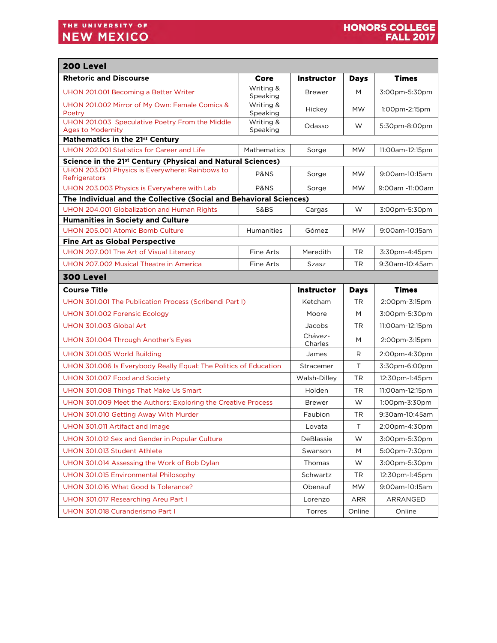<span id="page-2-0"></span>

| 200 Level                                                                   |                       |                          |             |                  |
|-----------------------------------------------------------------------------|-----------------------|--------------------------|-------------|------------------|
| <b>Rhetoric and Discourse</b>                                               | Core                  | <i><b>Instructor</b></i> | <b>Days</b> | <b>Times</b>     |
| UHON 201.001 Becoming a Better Writer                                       | Writing &<br>Speaking | <b>Brewer</b>            | M           | 3:00pm-5:30pm    |
| UHON 201.002 Mirror of My Own: Female Comics &<br>Poetry                    | Writing &<br>Speaking | Hickey                   | <b>MW</b>   | $1:00$ pm-2:15pm |
| UHON 201.003 Speculative Poetry From the Middle<br><b>Ages to Modernity</b> | Writing &<br>Speaking | Odasso                   | W           | 5:30pm-8:00pm    |
| Mathematics in the 21st Century                                             |                       |                          |             |                  |
| UHON 202.001 Statistics for Career and Life                                 | Mathematics           | Sorge                    | <b>MW</b>   | 11:00am-12:15pm  |
| Science in the 21st Century (Physical and Natural Sciences)                 |                       |                          |             |                  |
| UHON 203.001 Physics is Everywhere: Rainbows to<br>Refrigerators            | P&NS                  | Sorge                    | <b>MW</b>   | 9:00am-10:15am   |
| UHON 203.003 Physics is Everywhere with Lab                                 | P&NS                  | Sorge                    | <b>MW</b>   | 9:00am -11:00am  |
| The Individual and the Collective (Social and Behavioral Sciences)          |                       |                          |             |                  |
| UHON 204.001 Globalization and Human Rights                                 | <b>S&amp;BS</b>       | Cargas                   | W           | 3:00pm-5:30pm    |
| <b>Humanities in Society and Culture</b>                                    |                       |                          |             |                  |
| UHON 205,001 Atomic Bomb Culture                                            | <b>Humanities</b>     | Gómez                    | <b>MW</b>   | 9:00am-10:15am   |
| <b>Fine Art as Global Perspective</b>                                       |                       |                          |             |                  |
| UHON 207.001 The Art of Visual Literacy                                     | Fine Arts             | Meredith                 | <b>TR</b>   | 3:30pm-4:45pm    |
| UHON 207.002 Musical Theatre in America                                     | Fine Arts             | Szasz                    | TR.         | 9:30am-10:45am   |
| 300 Level                                                                   |                       |                          |             |                  |
| <b>Course Title</b>                                                         |                       | <b>Instructor</b>        | <b>Days</b> | <b>Times</b>     |
| UHON 301.001 The Publication Process (Scribendi Part I)                     |                       | Ketcham                  | TR.         | 2:00pm-3:15pm    |
| UHON 301.002 Forensic Ecology                                               |                       | Moore                    | M           | 3:00pm-5:30pm    |
| UHON 301.003 Global Art                                                     |                       | Jacobs                   | TR.         | 11:00am-12:15pm  |
| UHON 301.004 Through Another's Eyes                                         |                       | Chávez-<br>Charles       | M           | 2:00pm-3:15pm    |
| UHON 301.005 World Building                                                 |                       | James                    | R           | 2:00pm-4:30pm    |
| UHON 301.006 Is Everybody Really Equal: The Politics of Education           |                       | Stracemer                | Τ           | 3:30pm-6:00pm    |
| UHON 301,007 Food and Society                                               |                       | Walsh-Dilley             | TR.         | 12:30pm-1:45pm   |
| UHON 301.008 Things That Make Us Smart                                      |                       | Holden                   | TR.         | 11:00am-12:15pm  |
| UHON 301.009 Meet the Authors: Exploring the Creative Process               |                       | <b>Brewer</b>            | W           | $1:00$ pm-3:30pm |
| UHON 301.010 Getting Away With Murder                                       |                       | Faubion                  | TR.         | 9:30am-10:45am   |
| UHON 301.011 Artifact and Image                                             |                       | Lovata                   | Τ           | 2:00pm-4:30pm    |
| UHON 301.012 Sex and Gender in Popular Culture                              |                       | DeBlassie                | W           | 3:00pm-5:30pm    |
| UHON 301.013 Student Athlete                                                |                       | Swanson                  | M           | 5:00pm-7:30pm    |
| UHON 301.014 Assessing the Work of Bob Dylan                                |                       | Thomas                   | W           | 3:00pm-5:30pm    |
| UHON 301.015 Environmental Philosophy                                       |                       | Schwartz                 | TR          | 12:30pm-1:45pm   |
| UHON 301.016 What Good Is Tolerance?                                        |                       | Obenauf                  | <b>MW</b>   | 9:00am-10:15am   |
| UHON 301.017 Researching Areu Part I                                        |                       | Lorenzo                  | ARR         | ARRANGED         |
| UHON 301.018 Curanderismo Part I                                            |                       | Torres                   | Online      | Online           |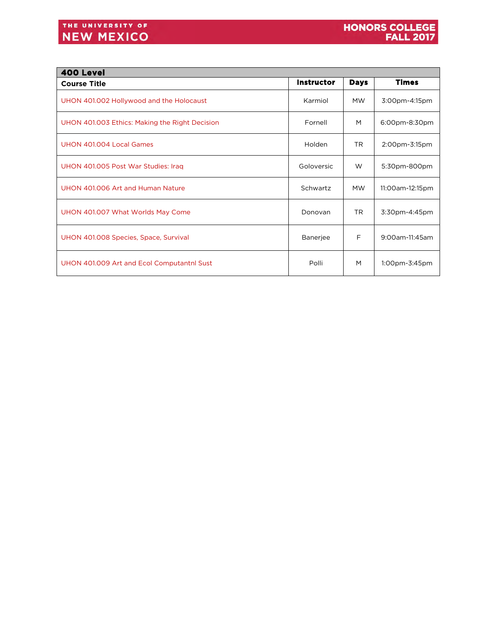<span id="page-3-0"></span>

| 400 Level                                      |                   |             |                  |  |
|------------------------------------------------|-------------------|-------------|------------------|--|
| <b>Course Title</b>                            | <b>Instructor</b> | <b>Days</b> | <b>Times</b>     |  |
| UHON 401.002 Hollywood and the Holocaust       | Karmiol           | <b>MW</b>   | 3:00pm-4:15pm    |  |
| UHON 401.003 Ethics: Making the Right Decision | Fornell           | M           | 6:00pm-8:30pm    |  |
| UHON 401,004 Local Games                       | Holden            | <b>TR</b>   | 2:00pm-3:15pm    |  |
| UHON 401.005 Post War Studies: Iraq            | Goloversic        | W           | 5:30pm-800pm     |  |
| UHON 401,006 Art and Human Nature              | Schwartz          | <b>MW</b>   | 11:00am-12:15pm  |  |
| UHON 401.007 What Worlds May Come              | Donovan           | TR.         | 3:30pm-4:45pm    |  |
| UHON 401.008 Species, Space, Survival          | Banerjee          | F           | 9:00am-11:45am   |  |
| UHON 401.009 Art and Ecol Computantnl Sust     | Polli             | M           | $1:00$ pm-3:45pm |  |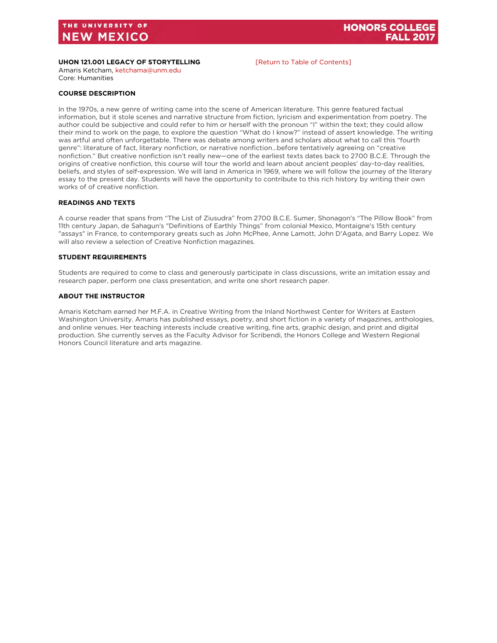### <span id="page-4-0"></span>**UHON 121.001 LEGACY OF STORYTELLING** [\[Return to Table of Contents\]](#page-1-0)

Amaris Ketcham, [ketchama@unm.edu](mailto:ketchama@unm.edu) Core: Humanities

### **COURSE DESCRIPTION**

In the 1970s, a new genre of writing came into the scene of American literature. This genre featured factual information, but it stole scenes and narrative structure from fiction, lyricism and experimentation from poetry. The author could be subjective and could refer to him or herself with the pronoun "I" within the text; they could allow their mind to work on the page, to explore the question "What do I know?" instead of assert knowledge. The writing was artful and often unforgettable. There was debate among writers and scholars about what to call this "fourth genre": literature of fact, literary nonfiction, or narrative nonfiction…before tentatively agreeing on "creative nonfiction." But creative nonfiction isn't really new—one of the earliest texts dates back to 2700 B.C.E. Through the origins of creative nonfiction, this course will tour the world and learn about ancient peoples' day-to-day realities, beliefs, and styles of self-expression. We will land in America in 1969, where we will follow the journey of the literary essay to the present day. Students will have the opportunity to contribute to this rich history by writing their own works of of creative nonfiction.

### **READINGS AND TEXTS**

A course reader that spans from "The List of Ziusudra" from 2700 B.C.E. Sumer, Shonagon's "The Pillow Book" from 11th century Japan, de Sahagun's "Definitions of Earthly Things" from colonial Mexico, Montaigne's 15th century "assays" in France, to contemporary greats such as John McPhee, Anne Lamott, John D'Agata, and Barry Lopez. We will also review a selection of Creative Nonfiction magazines.

### **STUDENT REQUIREMENTS**

Students are required to come to class and generously participate in class discussions, write an imitation essay and research paper, perform one class presentation, and write one short research paper.

### **ABOUT THE INSTRUCTOR**

Amaris Ketcham earned her M.F.A. in Creative Writing from the Inland Northwest Center for Writers at Eastern Washington University. Amaris has published essays, poetry, and short fiction in a variety of magazines, anthologies, and online venues. Her teaching interests include creative writing, fine arts, graphic design, and print and digital production. She currently serves as the Faculty Advisor for Scribendi, the Honors College and Western Regional Honors Council literature and arts magazine.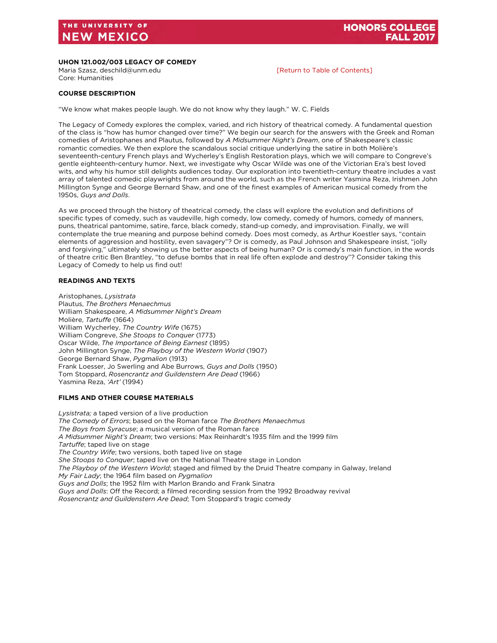### <span id="page-5-0"></span>**UHON 121.002/003 LEGACY OF COMEDY**

Maria Szasz, deschild@unm.edu **beider and Exercise Contents** [Return to Table of Contents] Core: Humanities

### **COURSE DESCRIPTION**

"We know what makes people laugh. We do not know why they laugh." W. C. Fields

The Legacy of Comedy explores the complex, varied, and rich history of theatrical comedy. A fundamental question of the class is "how has humor changed over time?" We begin our search for the answers with the Greek and Roman comedies of Aristophanes and Plautus, followed by *A Midsummer Night's Dream*, one of Shakespeare's classic romantic comedies. We then explore the scandalous social critique underlying the satire in both Molière's seventeenth-century French plays and Wycherley's English Restoration plays, which we will compare to Congreve's gentle eighteenth-century humor. Next, we investigate why Oscar Wilde was one of the Victorian Era's best loved wits, and why his humor still delights audiences today. Our exploration into twentieth-century theatre includes a vast array of talented comedic playwrights from around the world, such as the French writer Yasmina Reza, Irishmen John Millington Synge and George Bernard Shaw, and one of the finest examples of American musical comedy from the 1950s, *Guys and Dolls*.

As we proceed through the history of theatrical comedy, the class will explore the evolution and definitions of specific types of comedy, such as vaudeville, high comedy, low comedy, comedy of humors, comedy of manners, puns, theatrical pantomime, satire, farce, black comedy, stand-up comedy, and improvisation. Finally, we will contemplate the true meaning and purpose behind comedy. Does most comedy, as Arthur Koestler says, "contain elements of aggression and hostility, even savagery"? Or is comedy, as Paul Johnson and Shakespeare insist, "jolly and forgiving," ultimately showing us the better aspects of being human? Or is comedy's main function, in the words of theatre critic Ben Brantley, "to defuse bombs that in real life often explode and destroy"? Consider taking this Legacy of Comedy to help us find out!

### **READINGS AND TEXTS**

Aristophanes, *Lysistrata* Plautus, *The Brothers Menaechmus* William Shakespeare, *A Midsummer Night's Dream* Molière, *Tartuffe* (1664) William Wycherley, *The Country Wife* (1675) William Congreve, *She Stoops to Conquer* (1773) Oscar Wilde, *The Importance of Being Earnest* (1895) John Millington Synge, *The Playboy of the Western World* (1907) George Bernard Shaw, *Pygmalion* (1913) Frank Loesser, Jo Swerling and Abe Burrows, *Guys and Dolls* (1950) Tom Stoppard, *Rosencrantz and Guildenstern Are Dead* (1966) Yasmina Reza, *'Art'* (1994)

### **FILMS AND OTHER COURSE MATERIALS**

*Lysistrata;* a taped version of a live production *The Comedy of Errors*; based on the Roman farce *The Brothers Menaechmus The Boys from Syracuse*; a musical version of the Roman farce *A Midsummer Night's Dream*; two versions: Max Reinhardt's 1935 film and the 1999 film *Tartuffe*; taped live on stage *The Country Wife*; two versions, both taped live on stage *She Stoops to Conquer*; taped live on the National Theatre stage in London *The Playboy of the Western World*; staged and filmed by the Druid Theatre company in Galway, Ireland *My Fair Lady*; the 1964 film based on *Pygmalion Guys and Dolls*; the 1952 film with Marlon Brando and Frank Sinatra *Guys and Dolls*: Off the Record; a filmed recording session from the 1992 Broadway revival *Rosencrantz and Guildenstern Are Dead*; Tom Stoppard's tragic comedy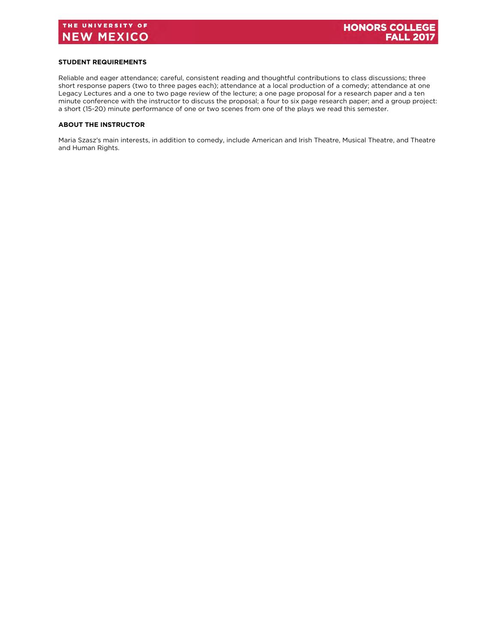### **STUDENT REQUIREMENTS**

Reliable and eager attendance; careful, consistent reading and thoughtful contributions to class discussions; three short response papers (two to three pages each); attendance at a local production of a comedy; attendance at one Legacy Lectures and a one to two page review of the lecture; a one page proposal for a research paper and a ten minute conference with the instructor to discuss the proposal; a four to six page research paper; and a group project: a short (15-20) minute performance of one or two scenes from one of the plays we read this semester.

#### **ABOUT THE INSTRUCTOR**

Maria Szasz's main interests, in addition to comedy, include American and Irish Theatre, Musical Theatre, and Theatre and Human Rights.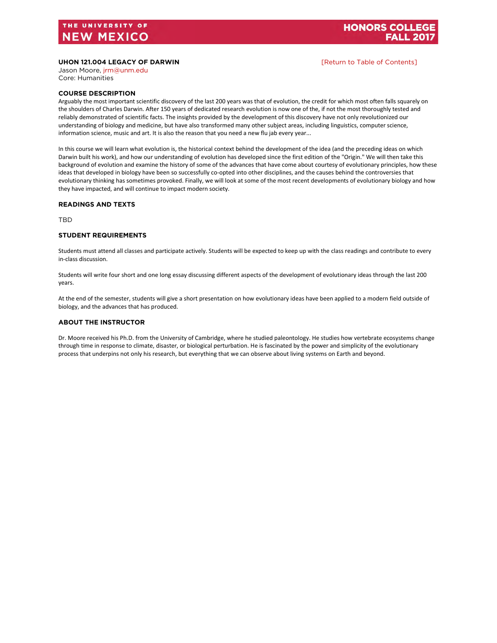### <span id="page-7-0"></span>**UHON 121.004 LEGACY OF DARWIN Example 20 AU 21.000 LEGACY OF DARWIN Example 20 AU 21.000 LEGACY OF DARWIN**

Jason Moore, [jrm@unm.edu](mailto:jrm@unm.edu) Core: Humanities

### **COURSE DESCRIPTION**

Arguably the most important scientific discovery of the last 200 years was that of evolution, the credit for which most often falls squarely on the shoulders of Charles Darwin. After 150 years of dedicated research evolution is now one of the, if not the most thoroughly tested and reliably demonstrated of scientific facts. The insights provided by the development of this discovery have not only revolutionized our understanding of biology and medicine, but have also transformed many other subject areas, including linguistics, computer science, information science, music and art. It is also the reason that you need a new flu jab every year...

In this course we will learn what evolution is, the historical context behind the development of the idea (and the preceding ideas on which Darwin built his work), and how our understanding of evolution has developed since the first edition of the "Origin." We will then take this background of evolution and examine the history of some of the advances that have come about courtesy of evolutionary principles, how these ideas that developed in biology have been so successfully co-opted into other disciplines, and the causes behind the controversies that evolutionary thinking has sometimes provoked. Finally, we will look at some of the most recent developments of evolutionary biology and how they have impacted, and will continue to impact modern society.

### **READINGS AND TEXTS**

**TBD** 

### **STUDENT REQUIREMENTS**

Students must attend all classes and participate actively. Students will be expected to keep up with the class readings and contribute to every in-class discussion.

Students will write four short and one long essay discussing different aspects of the development of evolutionary ideas through the last 200 years.

At the end of the semester, students will give a short presentation on how evolutionary ideas have been applied to a modern field outside of biology, and the advances that has produced.

### **ABOUT THE INSTRUCTOR**

Dr. Moore received his Ph.D. from the University of Cambridge, where he studied paleontology. He studies how vertebrate ecosystems change through time in response to climate, disaster, or biological perturbation. He is fascinated by the power and simplicity of the evolutionary process that underpins not only his research, but everything that we can observe about living systems on Earth and beyond.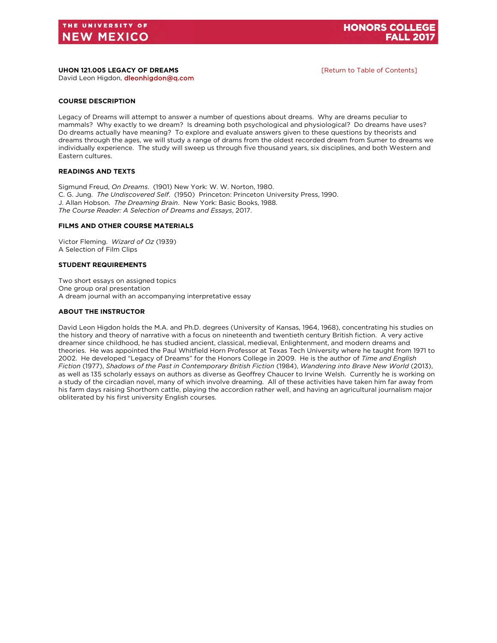#### <span id="page-8-0"></span>**UHON 121.005 LEGACY OF DREAMS** [\[Return to Table of Contents\]](#page-1-0) David Leon Higdon, [dleonhigdon@q.com](mailto:dleonhigdon@q.com)

### **COURSE DESCRIPTION**

Legacy of Dreams will attempt to answer a number of questions about dreams. Why are dreams peculiar to mammals? Why exactly to we dream? Is dreaming both psychological and physiological? Do dreams have uses? Do dreams actually have meaning? To explore and evaluate answers given to these questions by theorists and dreams through the ages, we will study a range of drams from the oldest recorded dream from Sumer to dreams we individually experience. The study will sweep us through five thousand years, six disciplines, and both Western and Eastern cultures.

### **READINGS AND TEXTS**

Sigmund Freud, *On Dreams*. (1901) New York: W. W. Norton, 1980. C. G. Jung. *The Undiscovered Self*. (1950) Princeton: Princeton University Press, 1990. J. Allan Hobson. *The Dreaming Brain*. New York: Basic Books, 1988. *The Course Reader: A Selection of Dreams and Essays*, 2017.

### **FILMS AND OTHER COURSE MATERIALS**

Victor Fleming. *Wizard of Oz* (1939) A Selection of Film Clips

### **STUDENT REQUIREMENTS**

Two short essays on assigned topics One group oral presentation A dream journal with an accompanying interpretative essay

### **ABOUT THE INSTRUCTOR**

David Leon Higdon holds the M.A. and Ph.D. degrees (University of Kansas, 1964, 1968), concentrating his studies on the history and theory of narrative with a focus on nineteenth and twentieth century British fiction. A very active dreamer since childhood, he has studied ancient, classical, medieval, Enlightenment, and modern dreams and theories. He was appointed the Paul Whitfield Horn Professor at Texas Tech University where he taught from 1971 to 2002. He developed "Legacy of Dreams" for the Honors College in 2009. He is the author of *Time and English Fiction* (1977), *Shadows of the Past in Contemporary British Fiction* (1984), *Wandering into Brave New World* (2013), as well as 135 scholarly essays on authors as diverse as Geoffrey Chaucer to Irvine Welsh. Currently he is working on a study of the circadian novel, many of which involve dreaming. All of these activities have taken him far away from his farm days raising Shorthorn cattle, playing the accordion rather well, and having an agricultural journalism major obliterated by his first university English courses.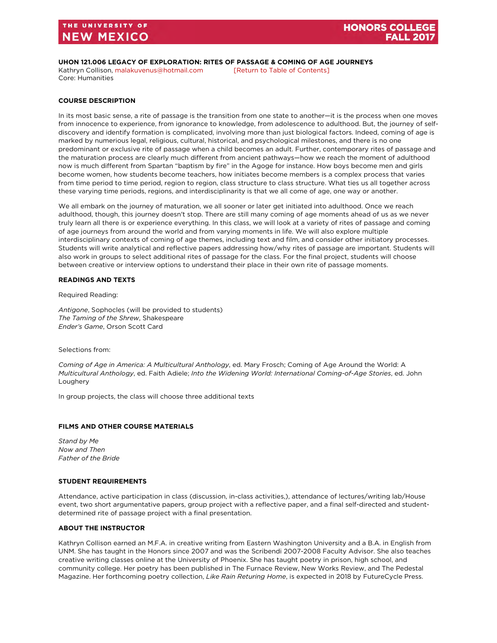<span id="page-9-0"></span>**UHON 121.006 LEGACY OF EXPLORATION: RITES OF PASSAGE & COMING OF AGE JOURNEYS**

Kathryn Collison[, malakuvenus@hotmail.com](mailto:malakuvenus@hotmail.com) [\[Return to Table of Contents\]](#page-1-0) Core: Humanities

### **COURSE DESCRIPTION**

In its most basic sense, a rite of passage is the transition from one state to another—it is the process when one moves from innocence to experience, from ignorance to knowledge, from adolescence to adulthood. But, the journey of selfdiscovery and identify formation is complicated, involving more than just biological factors. Indeed, coming of age is marked by numerious legal, religious, cultural, historical, and psychological milestones, and there is no one predominant or exclusive rite of passage when a child becomes an adult. Further, contemporary rites of passage and the maturation process are clearly much different from ancient pathways—how we reach the moment of adulthood now is much different from Spartan "baptism by fire" in the Agoge for instance. How boys become men and girls become women, how students become teachers, how initiates become members is a complex process that varies from time period to time period, region to region, class structure to class structure. What ties us all together across these varying time periods, regions, and interdisciplinarity is that we all come of age, one way or another.

We all embark on the journey of maturation, we all sooner or later get initiated into adulthood. Once we reach adulthood, though, this journey doesn't stop. There are still many coming of age moments ahead of us as we never truly learn all there is or experience everything. In this class, we will look at a variety of rites of passage and coming of age journeys from around the world and from varying moments in life. We will also explore multiple interdisciplinary contexts of coming of age themes, including text and film, and consider other initiatory processes. Students will write analytical and reflective papers addressing how/why rites of passage are important. Students will also work in groups to select additional rites of passage for the class. For the final project, students will choose between creative or interview options to understand their place in their own rite of passage moments.

### **READINGS AND TEXTS**

Required Reading:

*Antigone*, Sophocles (will be provided to students) *The Taming of the Shrew*, Shakespeare *Ender's Game*, Orson Scott Card

Selections from:

*Coming of Age in America: A Multicultural Anthology*, ed. Mary Frosch; Coming of Age Around the World: A *Multicultural Anthology*, ed. Faith Adiele; *Into the Widening World: International Coming-of-Age Stories*, ed. John Loughery

In group projects, the class will choose three additional texts

### **FILMS AND OTHER COURSE MATERIALS**

*Stand by Me Now and Then Father of the Bride*

### **STUDENT REQUIREMENTS**

Attendance, active participation in class (discussion, in-class activities,), attendance of lectures/writing lab/House event, two short argumentative papers, group project with a reflective paper, and a final self-directed and studentdetermined rite of passage project with a final presentation.

### **ABOUT THE INSTRUCTOR**

Kathryn Collison earned an M.F.A. in creative writing from Eastern Washington University and a B.A. in English from UNM. She has taught in the Honors since 2007 and was the Scribendi 2007-2008 Faculty Advisor. She also teaches creative writing classes online at the University of Phoenix. She has taught poetry in prison, high school, and community college. Her poetry has been published in The Furnace Review, New Works Review, and The Pedestal Magazine. Her forthcoming poetry collection, *Like Rain Returing Home*, is expected in 2018 by FutureCycle Press.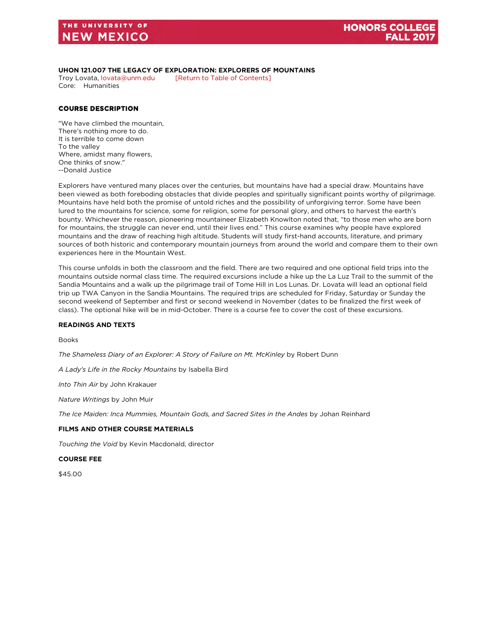### <span id="page-10-0"></span>**UHON 121.007 THE LEGACY OF EXPLORATION: EXPLORERS OF MOUNTAINS**

Troy Lovata[, lovata@unm.edu](mailto:lovata@unm.edu) [\[Return to Table of Contents\]](#page-1-0) Core: Humanities

### **COURSE DESCRIPTION**

"We have climbed the mountain, There's nothing more to do. It is terrible to come down To the valley Where, amidst many flowers, One thinks of snow." --Donald Justice

Explorers have ventured many places over the centuries, but mountains have had a special draw. Mountains have been viewed as both foreboding obstacles that divide peoples and spiritually significant points worthy of pilgrimage. Mountains have held both the promise of untold riches and the possibility of unforgiving terror. Some have been lured to the mountains for science, some for religion, some for personal glory, and others to harvest the earth's bounty. Whichever the reason, pioneering mountaineer Elizabeth Knowlton noted that, "to those men who are born for mountains, the struggle can never end, until their lives end." This course examines why people have explored mountains and the draw of reaching high altitude. Students will study first-hand accounts, literature, and primary sources of both historic and contemporary mountain journeys from around the world and compare them to their own experiences here in the Mountain West.

This course unfolds in both the classroom and the field. There are two required and one optional field trips into the mountains outside normal class time. The required excursions include a hike up the La Luz Trail to the summit of the Sandia Mountains and a walk up the pilgrimage trail of Tome Hill in Los Lunas. Dr. Lovata will lead an optional field trip up TWA Canyon in the Sandia Mountains. The required trips are scheduled for Friday, Saturday or Sunday the second weekend of September and first or second weekend in November (dates to be finalized the first week of class). The optional hike will be in mid-October. There is a course fee to cover the cost of these excursions.

### **READINGS AND TEXTS**

Books

*The Shameless Diary of an Explorer: A Story of Failure on Mt. McKinley* by Robert Dunn

*A Lady's Life in the Rocky Mountains* by Isabella Bird

*Into Thin Air* by John Krakauer

*Nature Writings* by John Muir

*The Ice Maiden: Inca Mummies, Mountain Gods, and Sacred Sites in the Andes* by Johan Reinhard

### **FILMS AND OTHER COURSE MATERIALS**

*Touching the Void* by Kevin Macdonald, director

### **COURSE FEE**

\$45.00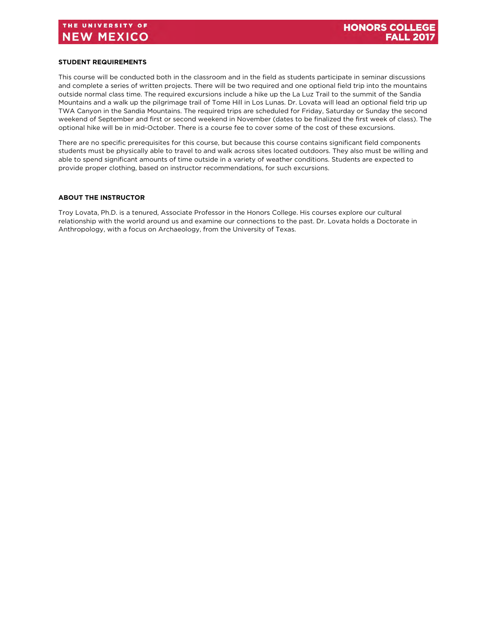### **STUDENT REQUIREMENTS**

This course will be conducted both in the classroom and in the field as students participate in seminar discussions and complete a series of written projects. There will be two required and one optional field trip into the mountains outside normal class time. The required excursions include a hike up the La Luz Trail to the summit of the Sandia Mountains and a walk up the pilgrimage trail of Tome Hill in Los Lunas. Dr. Lovata will lead an optional field trip up TWA Canyon in the Sandia Mountains. The required trips are scheduled for Friday, Saturday or Sunday the second weekend of September and first or second weekend in November (dates to be finalized the first week of class). The optional hike will be in mid-October. There is a course fee to cover some of the cost of these excursions.

There are no specific prerequisites for this course, but because this course contains significant field components students must be physically able to travel to and walk across sites located outdoors. They also must be willing and able to spend significant amounts of time outside in a variety of weather conditions. Students are expected to provide proper clothing, based on instructor recommendations, for such excursions.

### **ABOUT THE INSTRUCTOR**

Troy Lovata, Ph.D. is a tenured, Associate Professor in the Honors College. His courses explore our cultural relationship with the world around us and examine our connections to the past. Dr. Lovata holds a Doctorate in Anthropology, with a focus on Archaeology, from the University of Texas.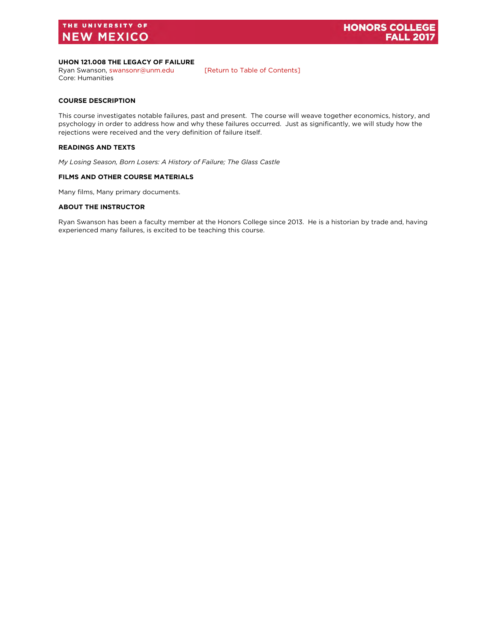### <span id="page-12-0"></span>**UHON 121.008 THE LEGACY OF FAILURE**

Ryan Swanson[, swansonr@unm.edu](mailto:swansonr@unm.edu) [\[Return to Table of Contents\]](#page-1-0)

Core: Humanities

### **COURSE DESCRIPTION**

This course investigates notable failures, past and present. The course will weave together economics, history, and psychology in order to address how and why these failures occurred. Just as significantly, we will study how the rejections were received and the very definition of failure itself.

### **READINGS AND TEXTS**

*My Losing Season, Born Losers: A History of Failure; The Glass Castle*

### **FILMS AND OTHER COURSE MATERIALS**

Many films, Many primary documents.

### **ABOUT THE INSTRUCTOR**

Ryan Swanson has been a faculty member at the Honors College since 2013. He is a historian by trade and, having experienced many failures, is excited to be teaching this course.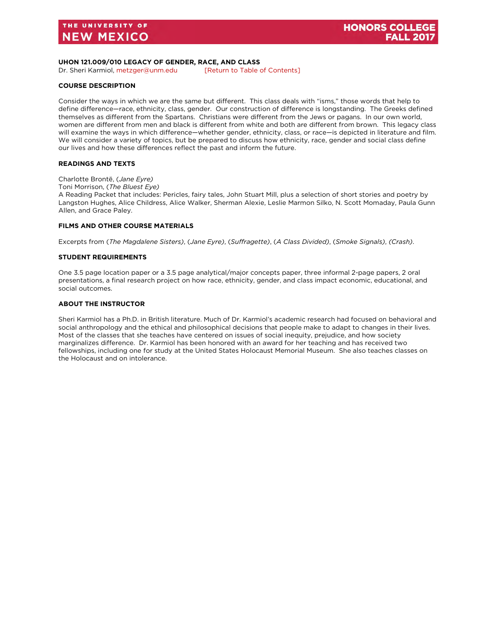### <span id="page-13-0"></span>**UHON 121.009/010 LEGACY OF GENDER, RACE, AND CLASS**

Dr. Sheri Karmiol[, metzger@unm.edu](mailto:metzger@unm.edu) [\[Return to Table of Contents\]](#page-1-0)

### **COURSE DESCRIPTION**

Consider the ways in which we are the same but different. This class deals with "isms," those words that help to define difference—race, ethnicity, class, gender. Our construction of difference is longstanding. The Greeks defined themselves as different from the Spartans. Christians were different from the Jews or pagans. In our own world, women are different from men and black is different from white and both are different from brown. This legacy class will examine the ways in which difference—whether gender, ethnicity, class, or race—is depicted in literature and film. We will consider a variety of topics, but be prepared to discuss how ethnicity, race, gender and social class define our lives and how these differences reflect the past and inform the future.

### **READINGS AND TEXTS**

Charlotte Brontë, (*Jane Eyre)*

Toni Morrison, (*The Bluest Eye)*

A Reading Packet that includes: Pericles, fairy tales, John Stuart Mill, plus a selection of short stories and poetry by Langston Hughes, Alice Childress, Alice Walker, Sherman Alexie, Leslie Marmon Silko, N. Scott Momaday, Paula Gunn Allen, and Grace Paley.

### **FILMS AND OTHER COURSE MATERIALS**

Excerpts from (*The Magdalene Sisters)*, (*Jane Eyre)*, (*Suffragette)*, (*A Class Divided)*, (*Smoke Signals)*, *(Crash)*.

#### **STUDENT REQUIREMENTS**

One 3.5 page location paper or a 3.5 page analytical/major concepts paper, three informal 2-page papers, 2 oral presentations, a final research project on how race, ethnicity, gender, and class impact economic, educational, and social outcomes.

### **ABOUT THE INSTRUCTOR**

Sheri Karmiol has a Ph.D. in British literature. Much of Dr. Karmiol's academic research had focused on behavioral and social anthropology and the ethical and philosophical decisions that people make to adapt to changes in their lives. Most of the classes that she teaches have centered on issues of social inequity, prejudice, and how society marginalizes difference. Dr. Karmiol has been honored with an award for her teaching and has received two fellowships, including one for study at the United States Holocaust Memorial Museum. She also teaches classes on the Holocaust and on intolerance.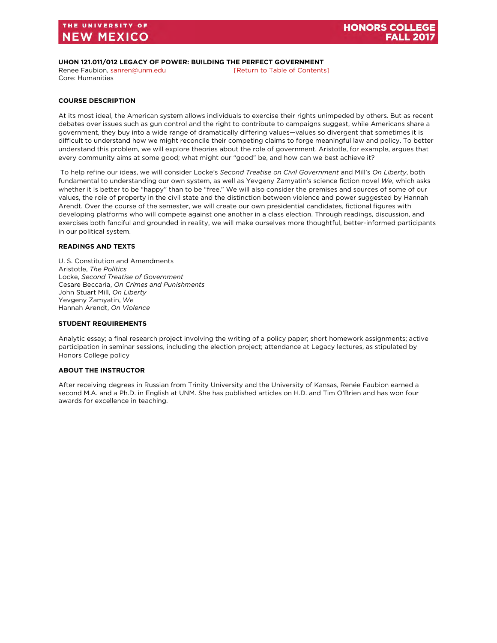### <span id="page-14-0"></span>**UHON 121.011/012 LEGACY OF POWER: BUILDING THE PERFECT GOVERNMENT**

Renee Faubion, [sanren@unm.edu](mailto:sanren@unm.edu) [\[Return to Table of Contents\]](#page-1-0) Core: Humanities

### **COURSE DESCRIPTION**

At its most ideal, the American system allows individuals to exercise their rights unimpeded by others. But as recent debates over issues such as gun control and the right to contribute to campaigns suggest, while Americans share a government, they buy into a wide range of dramatically differing values—values so divergent that sometimes it is difficult to understand how we might reconcile their competing claims to forge meaningful law and policy. To better understand this problem, we will explore theories about the role of government. Aristotle, for example, argues that every community aims at some good; what might our "good" be, and how can we best achieve it?

To help refine our ideas, we will consider Locke's *Second Treatise on Civil Government* and Mill's *On Liberty*, both fundamental to understanding our own system, as well as Yevgeny Zamyatin's science fiction novel *We*, which asks whether it is better to be "happy" than to be "free." We will also consider the premises and sources of some of our values, the role of property in the civil state and the distinction between violence and power suggested by Hannah Arendt. Over the course of the semester, we will create our own presidential candidates, fictional figures with developing platforms who will compete against one another in a class election. Through readings, discussion, and exercises both fanciful and grounded in reality, we will make ourselves more thoughtful, better-informed participants in our political system.

### **READINGS AND TEXTS**

U. S. Constitution and Amendments Aristotle, *The Politics* Locke, *Second Treatise of Government* Cesare Beccaria, *On Crimes and Punishments*  John Stuart Mill, *On Liberty* Yevgeny Zamyatin, *We* Hannah Arendt, *On Violence*

### **STUDENT REQUIREMENTS**

Analytic essay; a final research project involving the writing of a policy paper; short homework assignments; active participation in seminar sessions, including the election project; attendance at Legacy lectures, as stipulated by Honors College policy

### **ABOUT THE INSTRUCTOR**

After receiving degrees in Russian from Trinity University and the University of Kansas, Renée Faubion earned a second M.A. and a Ph.D. in English at UNM. She has published articles on H.D. and Tim O'Brien and has won four awards for excellence in teaching.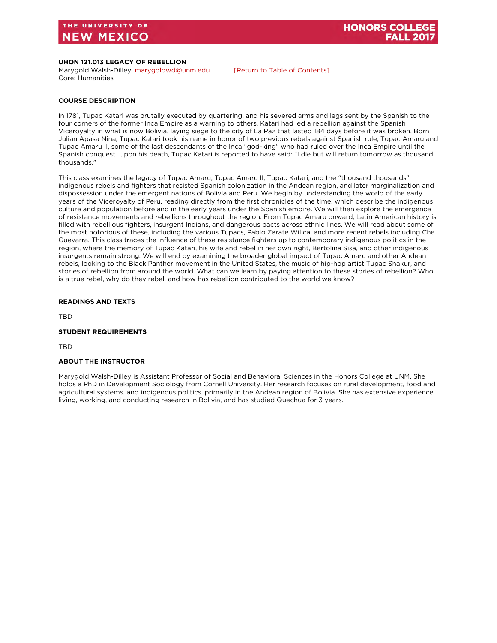### <span id="page-15-0"></span>**UHON 121.013 LEGACY OF REBELLION**

Marygold Walsh-Dilley, [marygoldwd@unm.edu](mailto:marygoldwd@unm.edu) [\[Return to Table of Contents\]](#page-1-0) Core: Humanities

### **COURSE DESCRIPTION**

In 1781, Tupac Katari was brutally executed by quartering, and his severed arms and legs sent by the Spanish to the four corners of the former Inca Empire as a warning to others. Katari had led a rebellion against the Spanish Viceroyalty in what is now Bolivia, laying siege to the city of La Paz that lasted 184 days before it was broken. Born Julián Apasa Nina, Tupac Katari took his name in honor of two previous rebels against Spanish rule, Tupac Amaru and Tupac Amaru II, some of the last descendants of the Inca "god-king" who had ruled over the Inca Empire until the Spanish conquest. Upon his death, Tupac Katari is reported to have said: "I die but will return tomorrow as thousand thousands."

This class examines the legacy of Tupac Amaru, Tupac Amaru II, Tupac Katari, and the "thousand thousands" indigenous rebels and fighters that resisted Spanish colonization in the Andean region, and later marginalization and dispossession under the emergent nations of Bolivia and Peru. We begin by understanding the world of the early years of the Viceroyalty of Peru, reading directly from the first chronicles of the time, which describe the indigenous culture and population before and in the early years under the Spanish empire. We will then explore the emergence of resistance movements and rebellions throughout the region. From Tupac Amaru onward, Latin American history is filled with rebellious fighters, insurgent Indians, and dangerous pacts across ethnic lines. We will read about some of the most notorious of these, including the various Tupacs, Pablo Zarate Willca, and more recent rebels including Che Guevarra. This class traces the influence of these resistance fighters up to contemporary indigenous politics in the region, where the memory of Tupac Katari, his wife and rebel in her own right, Bertolina Sisa, and other indigenous insurgents remain strong. We will end by examining the broader global impact of Tupac Amaru and other Andean rebels, looking to the Black Panther movement in the United States, the music of hip-hop artist Tupac Shakur, and stories of rebellion from around the world. What can we learn by paying attention to these stories of rebellion? Who is a true rebel, why do they rebel, and how has rebellion contributed to the world we know?

### **READINGS AND TEXTS**

**TBD** 

### **STUDENT REQUIREMENTS**

**TBD** 

### **ABOUT THE INSTRUCTOR**

<span id="page-15-1"></span>Marygold Walsh-Dilley is Assistant Professor of Social and Behavioral Sciences in the Honors College at UNM. She holds a PhD in Development Sociology from Cornell University. Her research focuses on rural development, food and agricultural systems, and indigenous politics, primarily in the Andean region of Bolivia. She has extensive experience living, working, and conducting research in Bolivia, and has studied Quechua for 3 years.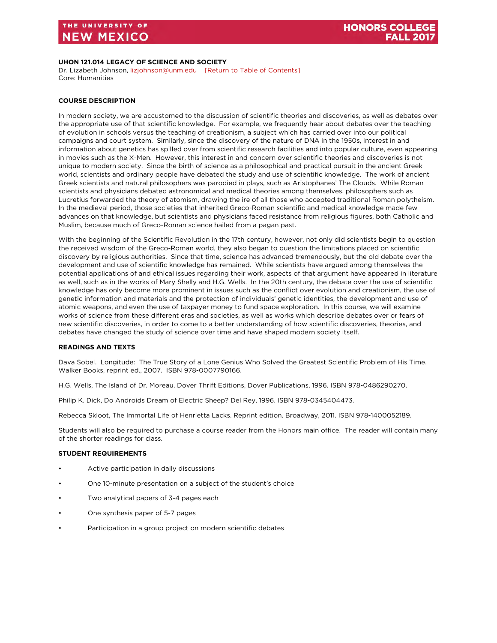### **UHON 121.014 LEGACY OF SCIENCE AND SOCIETY**

Dr. Lizabeth Johnson[, lizjohnson@unm.edu](mailto:lizjohnson@unm.edu) [\[Return to Table of Contents\]](#page-1-0) Core: Humanities

### **COURSE DESCRIPTION**

In modern society, we are accustomed to the discussion of scientific theories and discoveries, as well as debates over the appropriate use of that scientific knowledge. For example, we frequently hear about debates over the teaching of evolution in schools versus the teaching of creationism, a subject which has carried over into our political campaigns and court system. Similarly, since the discovery of the nature of DNA in the 1950s, interest in and information about genetics has spilled over from scientific research facilities and into popular culture, even appearing in movies such as the X-Men. However, this interest in and concern over scientific theories and discoveries is not unique to modern society. Since the birth of science as a philosophical and practical pursuit in the ancient Greek world, scientists and ordinary people have debated the study and use of scientific knowledge. The work of ancient Greek scientists and natural philosophers was parodied in plays, such as Aristophanes' The Clouds. While Roman scientists and physicians debated astronomical and medical theories among themselves, philosophers such as Lucretius forwarded the theory of atomism, drawing the ire of all those who accepted traditional Roman polytheism. In the medieval period, those societies that inherited Greco-Roman scientific and medical knowledge made few advances on that knowledge, but scientists and physicians faced resistance from religious figures, both Catholic and Muslim, because much of Greco-Roman science hailed from a pagan past.

With the beginning of the Scientific Revolution in the 17th century, however, not only did scientists begin to question the received wisdom of the Greco-Roman world, they also began to question the limitations placed on scientific discovery by religious authorities. Since that time, science has advanced tremendously, but the old debate over the development and use of scientific knowledge has remained. While scientists have argued among themselves the potential applications of and ethical issues regarding their work, aspects of that argument have appeared in literature as well, such as in the works of Mary Shelly and H.G. Wells. In the 20th century, the debate over the use of scientific knowledge has only become more prominent in issues such as the conflict over evolution and creationism, the use of genetic information and materials and the protection of individuals' genetic identities, the development and use of atomic weapons, and even the use of taxpayer money to fund space exploration. In this course, we will examine works of science from these different eras and societies, as well as works which describe debates over or fears of new scientific discoveries, in order to come to a better understanding of how scientific discoveries, theories, and debates have changed the study of science over time and have shaped modern society itself.

### **READINGS AND TEXTS**

Dava Sobel. Longitude: The True Story of a Lone Genius Who Solved the Greatest Scientific Problem of His Time. Walker Books, reprint ed., 2007. ISBN 978-0007790166.

H.G. Wells, The Island of Dr. Moreau. Dover Thrift Editions, Dover Publications, 1996. ISBN 978-0486290270.

Philip K. Dick, Do Androids Dream of Electric Sheep? Del Rey, 1996. ISBN 978-0345404473.

Rebecca Skloot, The Immortal Life of Henrietta Lacks. Reprint edition. Broadway, 2011. ISBN 978-1400052189.

Students will also be required to purchase a course reader from the Honors main office. The reader will contain many of the shorter readings for class.

### **STUDENT REQUIREMENTS**

- Active participation in daily discussions
- One 10-minute presentation on a subject of the student's choice
- Two analytical papers of 3-4 pages each
- One synthesis paper of 5-7 pages
- Participation in a group project on modern scientific debates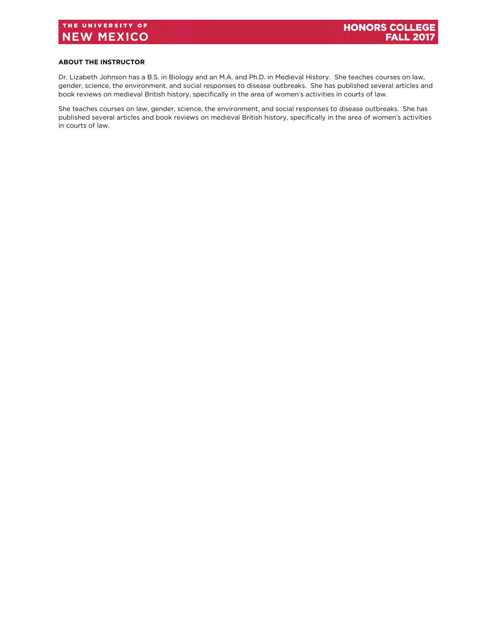### **ABOUT THE INSTRUCTOR**

Dr. Lizabeth Johnson has a B.S. in Biology and an M.A. and Ph.D. in Medieval History. She teaches courses on law, gender, science, the environment, and social responses to disease outbreaks. She has published several articles and book reviews on medieval British history, specifically in the area of women's activities in courts of law.

She teaches courses on law, gender, science, the environment, and social responses to disease outbreaks. She has published several articles and book reviews on medieval British history, specifically in the area of women's activities in courts of law.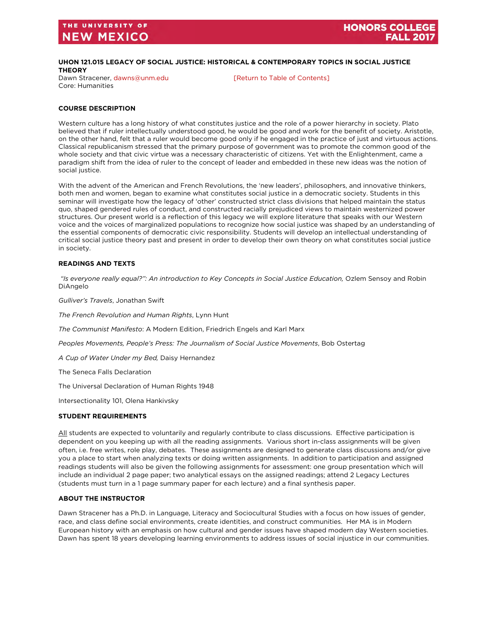### <span id="page-18-0"></span>**UHON 121.015 LEGACY OF SOCIAL JUSTICE: HISTORICAL & CONTEMPORARY TOPICS IN SOCIAL JUSTICE THEORY**

Dawn Stracener, [dawns@unm.edu](mailto:dawns@unm.edu) [\[Return to Table of Contents\]](#page-1-0) Core: Humanities

### **COURSE DESCRIPTION**

Western culture has a long history of what constitutes justice and the role of a power hierarchy in society. Plato believed that if ruler intellectually understood good, he would be good and work for the benefit of society. Aristotle, on the other hand, felt that a ruler would become good only if he engaged in the practice of just and virtuous actions. Classical republicanism stressed that the primary purpose of government was to promote the common good of the whole society and that civic virtue was a necessary characteristic of citizens. Yet with the Enlightenment, came a paradigm shift from the idea of ruler to the concept of leader and embedded in these new ideas was the notion of social justice.

With the advent of the American and French Revolutions, the 'new leaders', philosophers, and innovative thinkers, both men and women, began to examine what constitutes social justice in a democratic society. Students in this seminar will investigate how the legacy of 'other' constructed strict class divisions that helped maintain the status quo, shaped gendered rules of conduct, and constructed racially prejudiced views to maintain westernized power structures. Our present world is a reflection of this legacy we will explore literature that speaks with our Western voice and the voices of marginalized populations to recognize how social justice was shaped by an understanding of the essential components of democratic civic responsibility. Students will develop an intellectual understanding of critical social justice theory past and present in order to develop their own theory on what constitutes social justice in society.

### **READINGS AND TEXTS**

"Is everyone really equal?": An introduction to Key Concepts in Social Justice Education, Ozlem Sensoy and Robin DiAngelo

*Gulliver's Travels*, Jonathan Swift

*The French Revolution and Human Rights*, Lynn Hunt

*The Communist Manifesto*: A Modern Edition, Friedrich Engels and Karl Marx

*Peoples Movements, People's Press: The Journalism of Social Justice Movements*, Bob Ostertag

*A Cup of Water Under my Bed,* Daisy Hernandez

The Seneca Falls Declaration

The Universal Declaration of Human Rights 1948

Intersectionality 101, Olena Hankivsky

### **STUDENT REQUIREMENTS**

All students are expected to voluntarily and regularly contribute to class discussions. Effective participation is dependent on you keeping up with all the reading assignments. Various short in-class assignments will be given often, i.e. free writes, role play, debates. These assignments are designed to generate class discussions and/or give you a place to start when analyzing texts or doing written assignments. In addition to participation and assigned readings students will also be given the following assignments for assessment: one group presentation which will include an individual 2 page paper; two analytical essays on the assigned readings; attend 2 Legacy Lectures (students must turn in a 1 page summary paper for each lecture) and a final synthesis paper.

### **ABOUT THE INSTRUCTOR**

Dawn Stracener has a Ph.D. in Language, Literacy and Sociocultural Studies with a focus on how issues of gender, race, and class define social environments, create identities, and construct communities. Her MA is in Modern European history with an emphasis on how cultural and gender issues have shaped modern day Western societies. Dawn has spent 18 years developing learning environments to address issues of social injustice in our communities.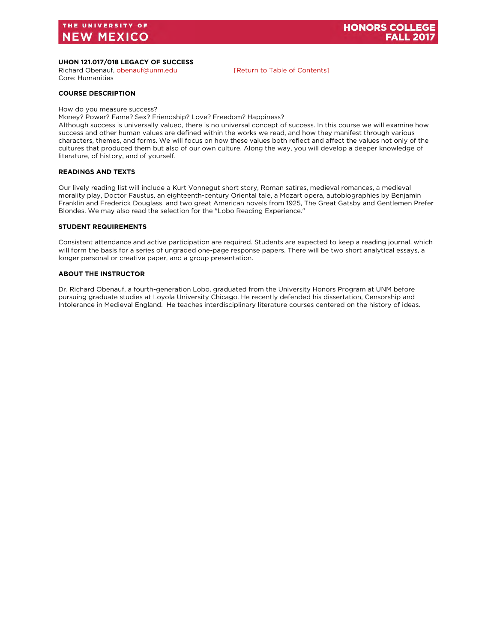### <span id="page-19-0"></span>**UHON 121.017/018 LEGACY OF SUCCESS**

Richard Obenauf[, obenauf@unm.edu](mailto:obenauf@unm.edu) [\[Return to Table of Contents\]](#page-1-0) Core: Humanities

### **COURSE DESCRIPTION**

How do you measure success?

Money? Power? Fame? Sex? Friendship? Love? Freedom? Happiness?

Although success is universally valued, there is no universal concept of success. In this course we will examine how success and other human values are defined within the works we read, and how they manifest through various characters, themes, and forms. We will focus on how these values both reflect and affect the values not only of the cultures that produced them but also of our own culture. Along the way, you will develop a deeper knowledge of literature, of history, and of yourself.

### **READINGS AND TEXTS**

Our lively reading list will include a Kurt Vonnegut short story, Roman satires, medieval romances, a medieval morality play, Doctor Faustus, an eighteenth-century Oriental tale, a Mozart opera, autobiographies by Benjamin Franklin and Frederick Douglass, and two great American novels from 1925, The Great Gatsby and Gentlemen Prefer Blondes. We may also read the selection for the "Lobo Reading Experience."

### **STUDENT REQUIREMENTS**

Consistent attendance and active participation are required. Students are expected to keep a reading journal, which will form the basis for a series of ungraded one-page response papers. There will be two short analytical essays, a longer personal or creative paper, and a group presentation.

### **ABOUT THE INSTRUCTOR**

Dr. Richard Obenauf, a fourth-generation Lobo, graduated from the University Honors Program at UNM before pursuing graduate studies at Loyola University Chicago. He recently defended his dissertation, Censorship and Intolerance in Medieval England. He teaches interdisciplinary literature courses centered on the history of ideas.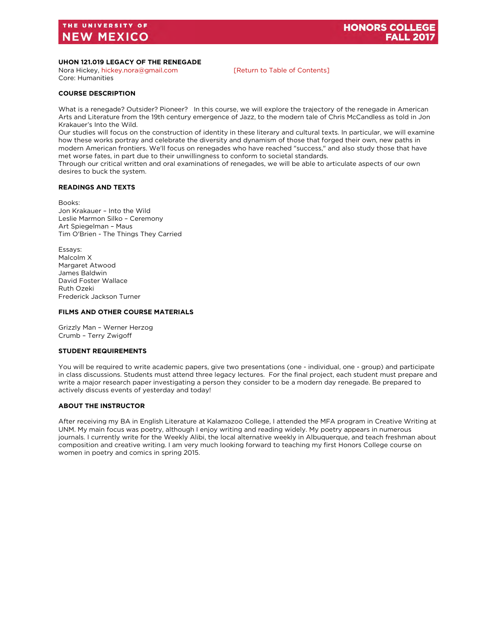### <span id="page-20-0"></span>**UHON 121.019 LEGACY OF THE RENEGADE**

Nora Hickey, [hickey.nora@gmail.com](mailto:hickey.nora@gmail.com) [\[Return to Table of Contents\]](#page-1-0) Core: Humanities

### **COURSE DESCRIPTION**

What is a renegade? Outsider? Pioneer? In this course, we will explore the trajectory of the renegade in American Arts and Literature from the 19th century emergence of Jazz, to the modern tale of Chris McCandless as told in Jon Krakauer's Into the Wild.

Our studies will focus on the construction of identity in these literary and cultural texts. In particular, we will examine how these works portray and celebrate the diversity and dynamism of those that forged their own, new paths in modern American frontiers. We'll focus on renegades who have reached "success," and also study those that have met worse fates, in part due to their unwillingness to conform to societal standards.

Through our critical written and oral examinations of renegades, we will be able to articulate aspects of our own desires to buck the system.

### **READINGS AND TEXTS**

Books: Jon Krakauer – Into the Wild Leslie Marmon Silko – Ceremony Art Spiegelman – Maus Tim O'Brien - The Things They Carried

Essays: Malcolm X Margaret Atwood James Baldwin David Foster Wallace Ruth Ozeki Frederick Jackson Turner

### **FILMS AND OTHER COURSE MATERIALS**

Grizzly Man – Werner Herzog Crumb – Terry Zwigoff

### **STUDENT REQUIREMENTS**

You will be required to write academic papers, give two presentations (one - individual, one - group) and participate in class discussions. Students must attend three legacy lectures. For the final project, each student must prepare and write a major research paper investigating a person they consider to be a modern day renegade. Be prepared to actively discuss events of yesterday and today!

### **ABOUT THE INSTRUCTOR**

After receiving my BA in English Literature at Kalamazoo College, I attended the MFA program in Creative Writing at UNM. My main focus was poetry, although I enjoy writing and reading widely. My poetry appears in numerous journals. I currently write for the Weekly Alibi, the local alternative weekly in Albuquerque, and teach freshman about composition and creative writing. I am very much looking forward to teaching my first Honors College course on women in poetry and comics in spring 2015.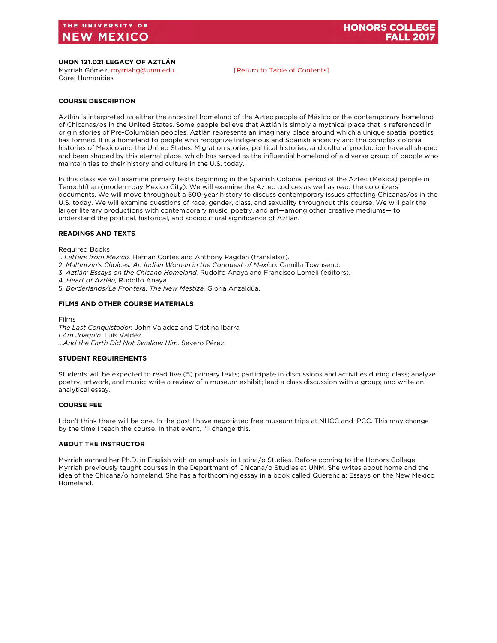### <span id="page-21-0"></span>**UHON 121.021 LEGACY OF AZTLÁN**

Myrriah Gómez, [myrriahg@unm.edu](mailto:myrriahg@unm.edu) [\[Return to Table of Contents\]](#page-1-0) Core: Humanities

### **COURSE DESCRIPTION**

Aztlán is interpreted as either the ancestral homeland of the Aztec people of México or the contemporary homeland of Chicanas/os in the United States. Some people believe that Aztlán is simply a mythical place that is referenced in origin stories of Pre-Columbian peoples. Aztlán represents an imaginary place around which a unique spatial poetics has formed. It is a homeland to people who recognize Indigenous and Spanish ancestry and the complex colonial histories of Mexico and the United States. Migration stories, political histories, and cultural production have all shaped and been shaped by this eternal place, which has served as the influential homeland of a diverse group of people who maintain ties to their history and culture in the U.S. today.

In this class we will examine primary texts beginning in the Spanish Colonial period of the Aztec (Mexica) people in Tenochtítlan (modern-day Mexico City). We will examine the Aztec codices as well as read the colonizers' documents. We will move throughout a 500-year history to discuss contemporary issues affecting Chicanas/os in the U.S. today. We will examine questions of race, gender, class, and sexuality throughout this course. We will pair the larger literary productions with contemporary music, poetry, and art—among other creative mediums— to understand the political, historical, and sociocultural significance of Aztlán.

### **READINGS AND TEXTS**

Required Books

1. *Letters from Mexico.* Hernan Cortes and Anthony Pagden (translator).

2. *Maltintzin's Choices: An Indian Woman in the Conquest of Mexico.* Camilla Townsend.

3. *Aztlán: Essays on the Chicano Homeland.* Rudolfo Anaya and Francisco Lomeli (editors).

4. *Heart of Aztlán,* Rudolfo Anaya.

5. *Borderlands/La Frontera: The New Mestiza.* Gloria Anzaldúa.

### **FILMS AND OTHER COURSE MATERIALS**

Films *The Last Conquistador.* John Valadez and Cristina Ibarra *I Am Joaquin*. Luis Valdéz *…And the Earth Did Not Swallow Him*. Severo Pérez

### **STUDENT REQUIREMENTS**

Students will be expected to read five (5) primary texts; participate in discussions and activities during class; analyze poetry, artwork, and music; write a review of a museum exhibit; lead a class discussion with a group; and write an analytical essay.

### **COURSE FEE**

I don't think there will be one. In the past I have negotiated free museum trips at NHCC and IPCC. This may change by the time I teach the course. In that event, I'll change this.

### **ABOUT THE INSTRUCTOR**

Myrriah earned her Ph.D. in English with an emphasis in Latina/o Studies. Before coming to the Honors College, Myrriah previously taught courses in the Department of Chicana/o Studies at UNM. She writes about home and the idea of the Chicana/o homeland. She has a forthcoming essay in a book called Querencia: Essays on the New Mexico Homeland.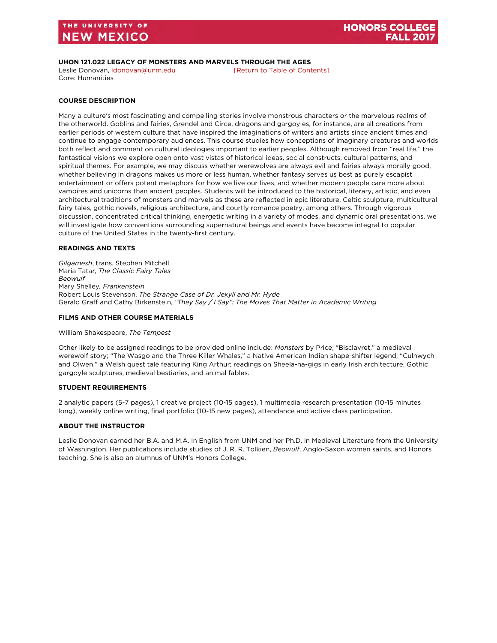### <span id="page-22-0"></span>**UHON 121.022 LEGACY OF MONSTERS AND MARVELS THROUGH THE AGES**

Leslie Donovan, Idonovan@unm.edu [\[Return to Table of Contents\]](#page-1-0) Core: Humanities

### **COURSE DESCRIPTION**

Many a culture's most fascinating and compelling stories involve monstrous characters or the marvelous realms of the otherworld. Goblins and fairies, Grendel and Circe, dragons and gargoyles, for instance, are all creations from earlier periods of western culture that have inspired the imaginations of writers and artists since ancient times and continue to engage contemporary audiences. This course studies how conceptions of imaginary creatures and worlds both reflect and comment on cultural ideologies important to earlier peoples. Although removed from "real life," the fantastical visions we explore open onto vast vistas of historical ideas, social constructs, cultural patterns, and spiritual themes. For example, we may discuss whether werewolves are always evil and fairies always morally good, whether believing in dragons makes us more or less human, whether fantasy serves us best as purely escapist entertainment or offers potent metaphors for how we live our lives, and whether modern people care more about vampires and unicorns than ancient peoples. Students will be introduced to the historical, literary, artistic, and even architectural traditions of monsters and marvels as these are reflected in epic literature, Celtic sculpture, multicultural fairy tales, gothic novels, religious architecture, and courtly romance poetry, among others. Through vigorous discussion, concentrated critical thinking, energetic writing in a variety of modes, and dynamic oral presentations, we will investigate how conventions surrounding supernatural beings and events have become integral to popular culture of the United States in the twenty-first century.

### **READINGS AND TEXTS**

*Gilgamesh*, trans. Stephen Mitchell Maria Tatar, *The Classic Fairy Tales Beowulf* Mary Shelley*, Frankenstein* Robert Louis Stevenson, *The Strange Case of Dr. Jekyll and Mr. Hyde* Gerald Graff and Cathy Birkenstein, *"They Say / I Say": The Moves That Matter in Academic Writing*

### **FILMS AND OTHER COURSE MATERIALS**

William Shakespeare, *The Tempest*

Other likely to be assigned readings to be provided online include: *Monsters* by Price; "Bisclavret," a medieval werewolf story; "The Wasgo and the Three Killer Whales," a Native American Indian shape-shifter legend; "Culhwych and Olwen," a Welsh quest tale featuring King Arthur; readings on Sheela-na-gigs in early Irish architecture, Gothic gargoyle sculptures, medieval bestiaries, and animal fables.

### **STUDENT REQUIREMENTS**

2 analytic papers (5-7 pages), 1 creative project (10-15 pages), 1 multimedia research presentation (10-15 minutes long), weekly online writing, final portfolio (10-15 new pages), attendance and active class participation.

### **ABOUT THE INSTRUCTOR**

<span id="page-22-1"></span>Leslie Donovan earned her B.A. and M.A. in English from UNM and her Ph.D. in Medieval Literature from the University of Washington. Her publications include studies of J. R. R. Tolkien, *Beowulf*, Anglo-Saxon women saints, and Honors teaching. She is also an alumnus of UNM's Honors College.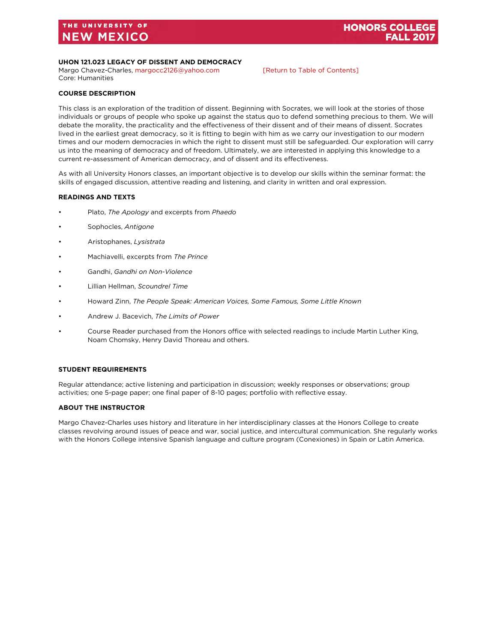### **UHON 121.023 LEGACY OF DISSENT AND DEMOCRACY**

Margo Chavez-Charles, [margocc2126@yahoo.com](mailto:margocc2126@yahoo.com) [\[Return to Table of Contents\]](#page-1-0) Core: Humanities

### **COURSE DESCRIPTION**

This class is an exploration of the tradition of dissent. Beginning with Socrates, we will look at the stories of those individuals or groups of people who spoke up against the status quo to defend something precious to them. We will debate the morality, the practicality and the effectiveness of their dissent and of their means of dissent. Socrates lived in the earliest great democracy, so it is fitting to begin with him as we carry our investigation to our modern times and our modern democracies in which the right to dissent must still be safeguarded. Our exploration will carry us into the meaning of democracy and of freedom. Ultimately, we are interested in applying this knowledge to a current re-assessment of American democracy, and of dissent and its effectiveness.

As with all University Honors classes, an important objective is to develop our skills within the seminar format: the skills of engaged discussion, attentive reading and listening, and clarity in written and oral expression.

### **READINGS AND TEXTS**

- Plato, *The Apology* and excerpts from *Phaedo*
- Sophocles, *Antigone*
- Aristophanes, *Lysistrata*
- Machiavelli, excerpts from *The Prince*
- Gandhi, *Gandhi on Non-Violence*
- Lillian Hellman, *Scoundrel Time*
- Howard Zinn, *The People Speak: American Voices, Some Famous, Some Little Known*
- Andrew J. Bacevich, *The Limits of Power*
- Course Reader purchased from the Honors office with selected readings to include Martin Luther King, Noam Chomsky, Henry David Thoreau and others.

### **STUDENT REQUIREMENTS**

Regular attendance; active listening and participation in discussion; weekly responses or observations; group activities; one 5-page paper; one final paper of 8-10 pages; portfolio with reflective essay.

### **ABOUT THE INSTRUCTOR**

Margo Chavez-Charles uses history and literature in her interdisciplinary classes at the Honors College to create classes revolving around issues of peace and war, social justice, and intercultural communication. She regularly works with the Honors College intensive Spanish language and culture program (Conexiones) in Spain or Latin America.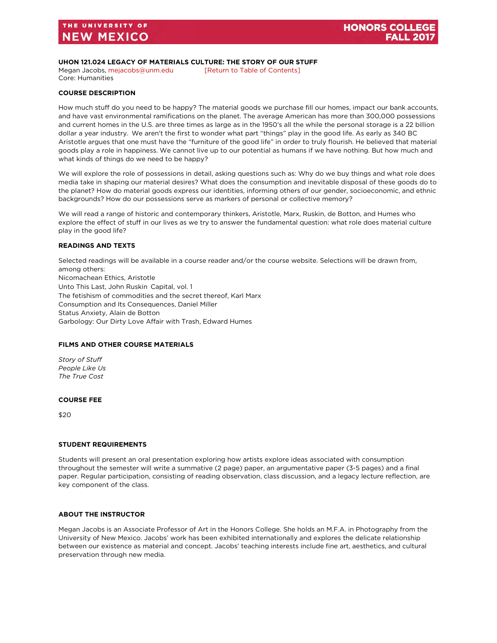### <span id="page-24-0"></span>**UHON 121.024 LEGACY OF MATERIALS CULTURE: THE STORY OF OUR STUFF**

Megan Jacobs[, mejacobs@unm.edu](mailto:mejacobs@unm.edu) [\[Return to Table of Contents\]](#page-1-0) Core: Humanities

### **COURSE DESCRIPTION**

How much stuff do you need to be happy? The material goods we purchase fill our homes, impact our bank accounts, and have vast environmental ramifications on the planet. The average American has more than 300,000 possessions and current homes in the U.S. are three times as large as in the 1950's all the while the personal storage is a 22 billion dollar a year industry. We aren't the first to wonder what part "things" play in the good life. As early as 340 BC Aristotle argues that one must have the "furniture of the good life" in order to truly flourish. He believed that material goods play a role in happiness. We cannot live up to our potential as humans if we have nothing. But how much and what kinds of things do we need to be happy?

We will explore the role of possessions in detail, asking questions such as: Why do we buy things and what role does media take in shaping our material desires? What does the consumption and inevitable disposal of these goods do to the planet? How do material goods express our identities, informing others of our gender, socioeconomic, and ethnic backgrounds? How do our possessions serve as markers of personal or collective memory?

We will read a range of historic and contemporary thinkers, Aristotle, Marx, Ruskin, de Botton, and Humes who explore the effect of stuff in our lives as we try to answer the fundamental question: what role does material culture play in the good life?

### **READINGS AND TEXTS**

Selected readings will be available in a course reader and/or the course website. Selections will be drawn from, among others: Nicomachean Ethics, Aristotle Unto This Last, John Ruskin Capital, vol. 1 The fetishism of commodities and the secret thereof, Karl Marx Consumption and Its Consequences, Daniel Miller Status Anxiety, Alain de Botton Garbology: Our Dirty Love Affair with Trash, Edward Humes

### **FILMS AND OTHER COURSE MATERIALS**

*Story of Stuff People Like Us The True Cost* 

### **COURSE FEE**

\$20

### **STUDENT REQUIREMENTS**

Students will present an oral presentation exploring how artists explore ideas associated with consumption throughout the semester will write a summative (2 page) paper, an argumentative paper (3-5 pages) and a final paper. Regular participation, consisting of reading observation, class discussion, and a legacy lecture reflection, are key component of the class.

### **ABOUT THE INSTRUCTOR**

Megan Jacobs is an Associate Professor of Art in the Honors College. She holds an M.F.A. in Photography from the University of New Mexico. Jacobs' work has been exhibited internationally and explores the delicate relationship between our existence as material and concept. Jacobs' teaching interests include fine art, aesthetics, and cultural preservation through new media.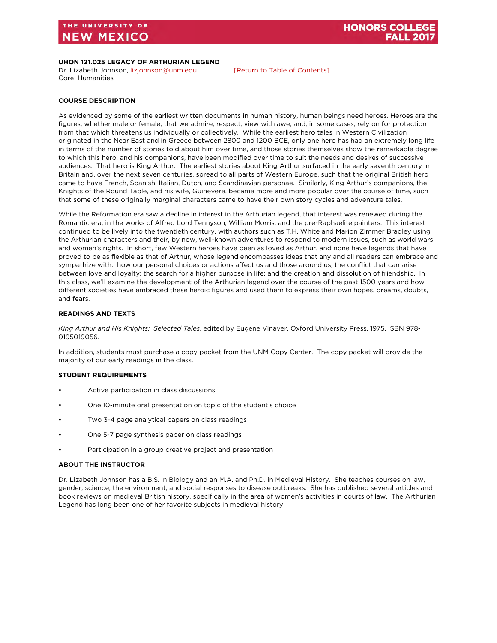### **UHON 121.025 LEGACY OF ARTHURIAN LEGEND**

Dr. Lizabeth Johnson[, lizjohnson@unm.edu](mailto:lizjohnson@unm.edu) [\[Return to Table of Contents\]](#page-1-0) Core: Humanities

### **COURSE DESCRIPTION**

As evidenced by some of the earliest written documents in human history, human beings need heroes. Heroes are the figures, whether male or female, that we admire, respect, view with awe, and, in some cases, rely on for protection from that which threatens us individually or collectively. While the earliest hero tales in Western Civilization originated in the Near East and in Greece between 2800 and 1200 BCE, only one hero has had an extremely long life in terms of the number of stories told about him over time, and those stories themselves show the remarkable degree to which this hero, and his companions, have been modified over time to suit the needs and desires of successive audiences. That hero is King Arthur. The earliest stories about King Arthur surfaced in the early seventh century in Britain and, over the next seven centuries, spread to all parts of Western Europe, such that the original British hero came to have French, Spanish, Italian, Dutch, and Scandinavian personae. Similarly, King Arthur's companions, the Knights of the Round Table, and his wife, Guinevere, became more and more popular over the course of time, such that some of these originally marginal characters came to have their own story cycles and adventure tales.

While the Reformation era saw a decline in interest in the Arthurian legend, that interest was renewed during the Romantic era, in the works of Alfred Lord Tennyson, William Morris, and the pre-Raphaelite painters. This interest continued to be lively into the twentieth century, with authors such as T.H. White and Marion Zimmer Bradley using the Arthurian characters and their, by now, well-known adventures to respond to modern issues, such as world wars and women's rights. In short, few Western heroes have been as loved as Arthur, and none have legends that have proved to be as flexible as that of Arthur, whose legend encompasses ideas that any and all readers can embrace and sympathize with: how our personal choices or actions affect us and those around us; the conflict that can arise between love and loyalty; the search for a higher purpose in life; and the creation and dissolution of friendship. In this class, we'll examine the development of the Arthurian legend over the course of the past 1500 years and how different societies have embraced these heroic figures and used them to express their own hopes, dreams, doubts, and fears.

### **READINGS AND TEXTS**

*King Arthur and His Knights: Selected Tales*, edited by Eugene Vinaver, Oxford University Press, 1975, ISBN 978- 0195019056.

In addition, students must purchase a copy packet from the UNM Copy Center. The copy packet will provide the majority of our early readings in the class.

### **STUDENT REQUIREMENTS**

- Active participation in class discussions
- One 10-minute oral presentation on topic of the student's choice
- Two 3-4 page analytical papers on class readings
- One 5-7 page synthesis paper on class readings
- Participation in a group creative project and presentation

### **ABOUT THE INSTRUCTOR**

Dr. Lizabeth Johnson has a B.S. in Biology and an M.A. and Ph.D. in Medieval History. She teaches courses on law, gender, science, the environment, and social responses to disease outbreaks. She has published several articles and book reviews on medieval British history, specifically in the area of women's activities in courts of law. The Arthurian Legend has long been one of her favorite subjects in medieval history.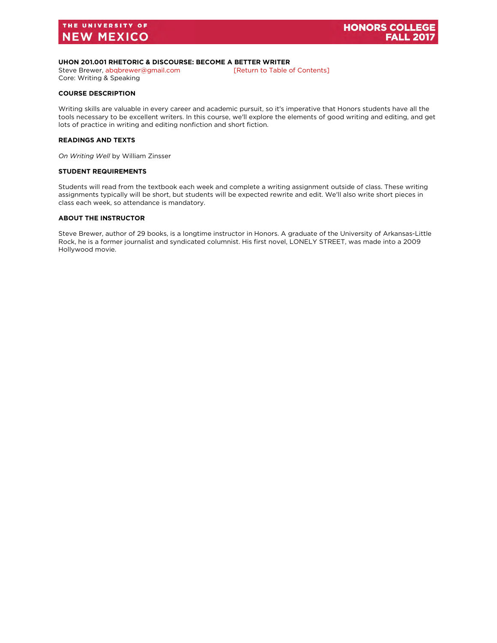### <span id="page-26-0"></span>**UHON 201.001 RHETORIC & DISCOURSE: BECOME A BETTER WRITER**

Steve Brewer, [abqbrewer@gmail.com](mailto:abqbrewer@gmail.com) [\[Return to Table of Contents\]](#page-2-0) Core: Writing & Speaking

### **COURSE DESCRIPTION**

Writing skills are valuable in every career and academic pursuit, so it's imperative that Honors students have all the tools necessary to be excellent writers. In this course, we'll explore the elements of good writing and editing, and get lots of practice in writing and editing nonfiction and short fiction.

### **READINGS AND TEXTS**

*On Writing Well* by William Zinsser

#### **STUDENT REQUIREMENTS**

Students will read from the textbook each week and complete a writing assignment outside of class. These writing assignments typically will be short, but students will be expected rewrite and edit. We'll also write short pieces in class each week, so attendance is mandatory.

### **ABOUT THE INSTRUCTOR**

Steve Brewer, author of 29 books, is a longtime instructor in Honors. A graduate of the University of Arkansas-Little Rock, he is a former journalist and syndicated columnist. His first novel, LONELY STREET, was made into a 2009 Hollywood movie.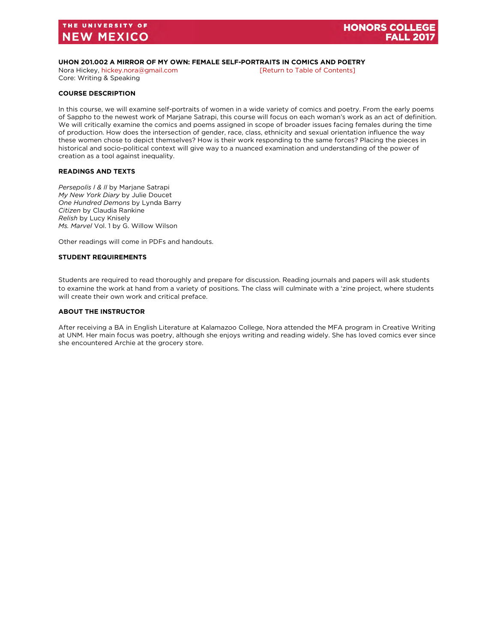### <span id="page-27-0"></span>**UHON 201.002 A MIRROR OF MY OWN: FEMALE SELF-PORTRAITS IN COMICS AND POETRY**

Nora Hickey, [hickey.nora@gmail.com](mailto:hickey.nora@gmail.com) [\[Return to Table of Contents\]](#page-2-0) Core: Writing & Speaking

### **COURSE DESCRIPTION**

In this course, we will examine self-portraits of women in a wide variety of comics and poetry. From the early poems of Sappho to the newest work of Marjane Satrapi, this course will focus on each woman's work as an act of definition. We will critically examine the comics and poems assigned in scope of broader issues facing females during the time of production. How does the intersection of gender, race, class, ethnicity and sexual orientation influence the way these women chose to depict themselves? How is their work responding to the same forces? Placing the pieces in historical and socio-political context will give way to a nuanced examination and understanding of the power of creation as a tool against inequality.

### **READINGS AND TEXTS**

*Persepolis I & II* by Marjane Satrapi *My New York Diary* by Julie Doucet *One Hundred Demons* by Lynda Barry *Citizen* by Claudia Rankine *Relish* by Lucy Knisely *Ms. Marvel* Vol. 1 by G. Willow Wilson

Other readings will come in PDFs and handouts.

#### **STUDENT REQUIREMENTS**

Students are required to read thoroughly and prepare for discussion. Reading journals and papers will ask students to examine the work at hand from a variety of positions. The class will culminate with a 'zine project, where students will create their own work and critical preface.

### **ABOUT THE INSTRUCTOR**

After receiving a BA in English Literature at Kalamazoo College, Nora attended the MFA program in Creative Writing at UNM. Her main focus was poetry, although she enjoys writing and reading widely. She has loved comics ever since she encountered Archie at the grocery store.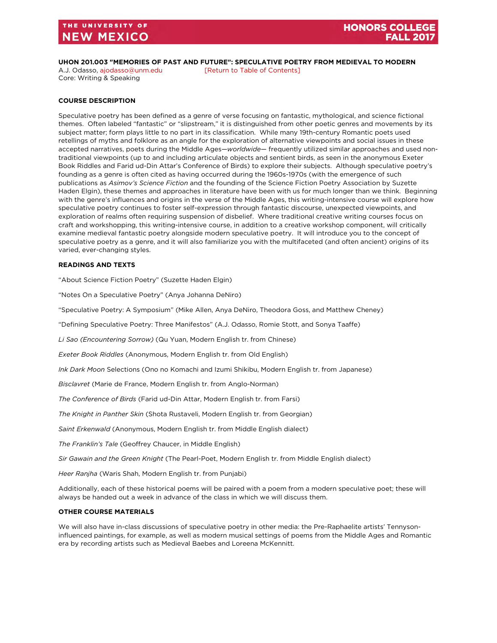#### <span id="page-28-0"></span>**UHON 201.003 "MEMORIES OF PAST AND FUTURE": SPECULATIVE POETRY FROM MEDIEVAL TO MODERN** A.J. Odasso, [ajodasso@unm.edu](mailto:ajodasso@unm.edu) [\[Return to Table of Contents\]](#page-2-0)

Core: Writing & Speaking

### **COURSE DESCRIPTION**

Speculative poetry has been defined as a genre of verse focusing on fantastic, mythological, and science fictional themes. Often labeled "fantastic" or "slipstream," it is distinguished from other poetic genres and movements by its subject matter; form plays little to no part in its classification. While many 19th-century Romantic poets used retellings of myths and folklore as an angle for the exploration of alternative viewpoints and social issues in these accepted narratives, poets during the Middle Ages—*worldwide*— frequently utilized similar approaches and used nontraditional viewpoints (up to and including articulate objects and sentient birds, as seen in the anonymous Exeter Book Riddles and Farid ud-Din Attar's Conference of Birds) to explore their subjects. Although speculative poetry's founding as a genre is often cited as having occurred during the 1960s-1970s (with the emergence of such publications as *Asimov's Science Fiction* and the founding of the Science Fiction Poetry Association by Suzette Haden Elgin), these themes and approaches in literature have been with us for much longer than we think. Beginning with the genre's influences and origins in the verse of the Middle Ages, this writing-intensive course will explore how speculative poetry continues to foster self-expression through fantastic discourse, unexpected viewpoints, and exploration of realms often requiring suspension of disbelief. Where traditional creative writing courses focus on craft and workshopping, this writing-intensive course, in addition to a creative workshop component, will critically examine medieval fantastic poetry alongside modern speculative poetry. It will introduce you to the concept of speculative poetry as a genre, and it will also familiarize you with the multifaceted (and often ancient) origins of its varied, ever-changing styles.

### **READINGS AND TEXTS**

"About Science Fiction Poetry" (Suzette Haden Elgin)

"Notes On a Speculative Poetry" (Anya Johanna DeNiro)

"Speculative Poetry: A Symposium" (Mike Allen, Anya DeNiro, Theodora Goss, and Matthew Cheney)

"Defining Speculative Poetry: Three Manifestos" (A.J. Odasso, Romie Stott, and Sonya Taaffe)

*Li Sao (Encountering Sorrow)* (Qu Yuan, Modern English tr. from Chinese)

*Exeter Book Riddles* (Anonymous, Modern English tr. from Old English)

*Ink Dark Moon* Selections (Ono no Komachi and Izumi Shikibu, Modern English tr. from Japanese)

*Bisclavret* (Marie de France, Modern English tr. from Anglo-Norman)

*The Conference of Birds* (Farid ud-Din Attar, Modern English tr. from Farsi)

*The Knight in Panther Skin* (Shota Rustaveli, Modern English tr. from Georgian)

*Saint Erkenwald* (Anonymous, Modern English tr. from Middle English dialect)

*The Franklin's Tale* (Geoffrey Chaucer, in Middle English)

*Sir Gawain and the Green Knight* (The Pearl-Poet, Modern English tr. from Middle English dialect)

*Heer Ranjha* (Waris Shah, Modern English tr. from Punjabi)

Additionally, each of these historical poems will be paired with a poem from a modern speculative poet; these will always be handed out a week in advance of the class in which we will discuss them.

### **OTHER COURSE MATERIALS**

We will also have in-class discussions of speculative poetry in other media: the Pre-Raphaelite artists' Tennysoninfluenced paintings, for example, as well as modern musical settings of poems from the Middle Ages and Romantic era by recording artists such as Medieval Baebes and Loreena McKennitt.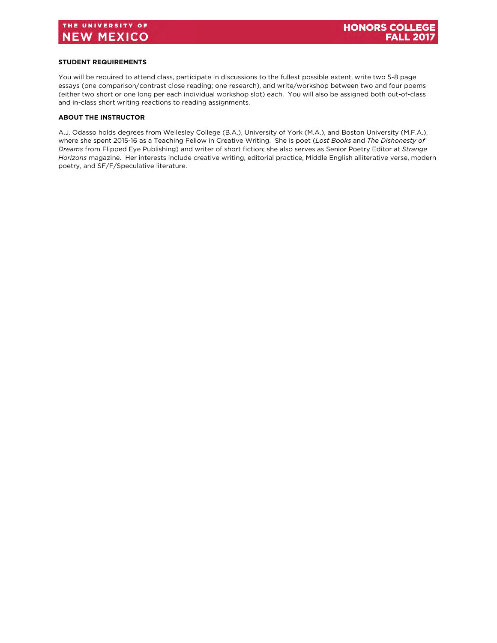### **STUDENT REQUIREMENTS**

You will be required to attend class, participate in discussions to the fullest possible extent, write two 5-8 page essays (one comparison/contrast close reading; one research), and write/workshop between two and four poems (either two short or one long per each individual workshop slot) each. You will also be assigned both out-of-class and in-class short writing reactions to reading assignments.

### **ABOUT THE INSTRUCTOR**

A.J. Odasso holds degrees from Wellesley College (B.A.), University of York (M.A.), and Boston University (M.F.A.), where she spent 2015-16 as a Teaching Fellow in Creative Writing. She is poet (*Lost Books* and *The Dishonesty of Dreams* from Flipped Eye Publishing) and writer of short fiction; she also serves as Senior Poetry Editor at *Strange Horizons* magazine. Her interests include creative writing, editorial practice, Middle English alliterative verse, modern poetry, and SF/F/Speculative literature.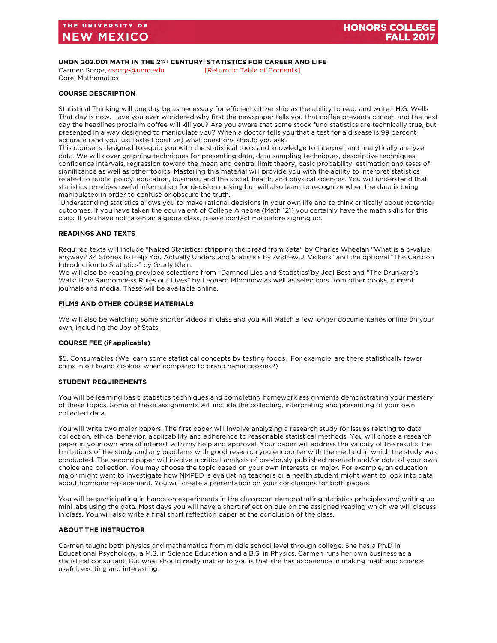### <span id="page-30-0"></span>**UHON 202.001 MATH IN THE 21ST CENTURY: STATISTICS FOR CAREER AND LIFE**

Carmen Sorge[, csorge@unm.edu](mailto:csorge@unm.edu) [\[Return to Table of Contents\]](#page-2-0) Core: Mathematics

**COURSE DESCRIPTION**

Statistical Thinking will one day be as necessary for efficient citizenship as the ability to read and write.- H.G. Wells That day is now. Have you ever wondered why first the newspaper tells you that coffee prevents cancer, and the next day the headlines proclaim coffee will kill you? Are you aware that some stock fund statistics are technically true, but presented in a way designed to manipulate you? When a doctor tells you that a test for a disease is 99 percent accurate (and you just tested positive) what questions should you ask?

This course is designed to equip you with the statistical tools and knowledge to interpret and analytically analyze data. We will cover graphing techniques for presenting data, data sampling techniques, descriptive techniques, confidence intervals, regression toward the mean and central limit theory, basic probability, estimation and tests of significance as well as other topics. Mastering this material will provide you with the ability to interpret statistics related to public policy, education, business, and the social, health, and physical sciences. You will understand that statistics provides useful information for decision making but will also learn to recognize when the data is being manipulated in order to confuse or obscure the truth.

Understanding statistics allows you to make rational decisions in your own life and to think critically about potential outcomes. If you have taken the equivalent of College Algebra (Math 121) you certainly have the math skills for this class. If you have not taken an algebra class, please contact me before signing up.

### **READINGS AND TEXTS**

Required texts will include "Naked Statistics: stripping the dread from data" by Charles Wheelan "What is a p-value anyway? 34 Stories to Help You Actually Understand Statistics by Andrew J. Vickers" and the optional "The Cartoon Introduction to Statistics" by Grady Klein.

We will also be reading provided selections from "Damned Lies and Statistics"by Joal Best and "The Drunkard's Walk: How Randomness Rules our Lives" by Leonard Mlodinow as well as selections from other books, current journals and media. These will be available online.

### **FILMS AND OTHER COURSE MATERIALS**

We will also be watching some shorter videos in class and you will watch a few longer documentaries online on your own, including the Joy of Stats.

### **COURSE FEE (if applicable)**

\$5. Consumables (We learn some statistical concepts by testing foods. For example, are there statistically fewer chips in off brand cookies when compared to brand name cookies?)

### **STUDENT REQUIREMENTS**

You will be learning basic statistics techniques and completing homework assignments demonstrating your mastery of these topics. Some of these assignments will include the collecting, interpreting and presenting of your own collected data.

You will write two major papers. The first paper will involve analyzing a research study for issues relating to data collection, ethical behavior, applicability and adherence to reasonable statistical methods. You will chose a research paper in your own area of interest with my help and approval. Your paper will address the validity of the results, the limitations of the study and any problems with good research you encounter with the method in which the study was conducted. The second paper will involve a critical analysis of previously published research and/or data of your own choice and collection. You may choose the topic based on your own interests or major. For example, an education major might want to investigate how NMPED is evaluating teachers or a health student might want to look into data about hormone replacement. You will create a presentation on your conclusions for both papers.

You will be participating in hands on experiments in the classroom demonstrating statistics principles and writing up mini labs using the data. Most days you will have a short reflection due on the assigned reading which we will discuss in class. You will also write a final short reflection paper at the conclusion of the class.

### **ABOUT THE INSTRUCTOR**

Carmen taught both physics and mathematics from middle school level through college. She has a Ph.D in Educational Psychology, a M.S. in Science Education and a B.S. in Physics. Carmen runs her own business as a statistical consultant. But what should really matter to you is that she has experience in making math and science useful, exciting and interesting.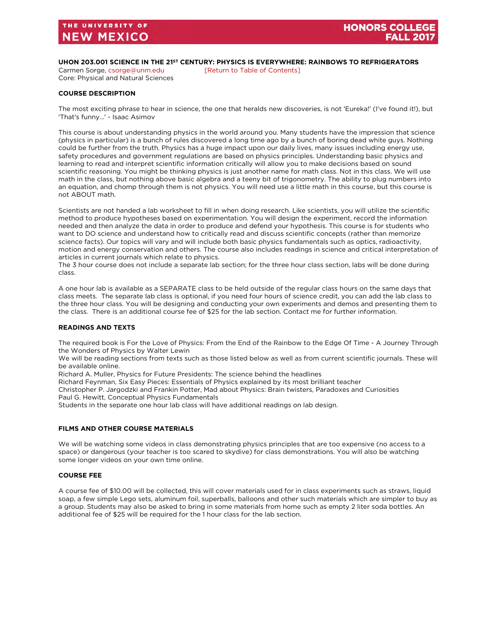### <span id="page-31-0"></span>**UHON 203.001 SCIENCE IN THE 21ST CENTURY: PHYSICS IS EVERYWHERE: RAINBOWS TO REFRIGERATORS**

Core: Physical and Natural Sciences

Carmen Sorge[, csorge@unm.edu](mailto:csorge@unm.edu) [\[Return to Table of Contents\]](#page-2-0)

### **COURSE DESCRIPTION**

The most exciting phrase to hear in science, the one that heralds new discoveries, is not 'Eureka!' (I've found it!), but 'That's funny...' - Isaac Asimov

This course is about understanding physics in the world around you. Many students have the impression that science (physics in particular) is a bunch of rules discovered a long time ago by a bunch of boring dead white guys. Nothing could be further from the truth. Physics has a huge impact upon our daily lives, many issues including energy use, safety procedures and government regulations are based on physics principles. Understanding basic physics and learning to read and interpret scientific information critically will allow you to make decisions based on sound scientific reasoning. You might be thinking physics is just another name for math class. Not in this class. We will use math in the class, but nothing above basic algebra and a teeny bit of trigonometry. The ability to plug numbers into an equation, and chomp through them is not physics. You will need use a little math in this course, but this course is not ABOUT math.

Scientists are not handed a lab worksheet to fill in when doing research. Like scientists, you will utilize the scientific method to produce hypotheses based on experimentation. You will design the experiment, record the information needed and then analyze the data in order to produce and defend your hypothesis. This course is for students who want to DO science and understand how to critically read and discuss scientific concepts (rather than memorize science facts). Our topics will vary and will include both basic physics fundamentals such as optics, radioactivity, motion and energy conservation and others. The course also includes readings in science and critical interpretation of articles in current journals which relate to physics.

The 3 hour course does not include a separate lab section; for the three hour class section, labs will be done during class.

A one hour lab is available as a SEPARATE class to be held outside of the regular class hours on the same days that class meets. The separate lab class is optional, if you need four hours of science credit, you can add the lab class to the three hour class. You will be designing and conducting your own experiments and demos and presenting them to the class. There is an additional course fee of \$25 for the lab section. Contact me for further information.

### **READINGS AND TEXTS**

The required book is For the Love of Physics: From the End of the Rainbow to the Edge Of Time - A Journey Through the Wonders of Physics by Walter Lewin

We will be reading sections from texts such as those listed below as well as from current scientific journals. These will be available online.

Richard A. Muller, Physics for Future Presidents: The science behind the headlines

Richard Feynman, Six Easy Pieces: Essentials of Physics explained by its most brilliant teacher

Christopher P. Jargodzki and Frankin Potter, Mad about Physics: Brain twisters, Paradoxes and Curiosities Paul G. Hewitt, Conceptual Physics Fundamentals

Students in the separate one hour lab class will have additional readings on lab design.

### **FILMS AND OTHER COURSE MATERIALS**

We will be watching some videos in class demonstrating physics principles that are too expensive (no access to a space) or dangerous (your teacher is too scared to skydive) for class demonstrations. You will also be watching some longer videos on your own time online.

### **COURSE FEE**

A course fee of \$10.00 will be collected, this will cover materials used for in class experiments such as straws, liquid soap, a few simple Lego sets, aluminum foil, superballs, balloons and other such materials which are simpler to buy as a group. Students may also be asked to bring in some materials from home such as empty 2 liter soda bottles. An additional fee of \$25 will be required for the 1 hour class for the lab section.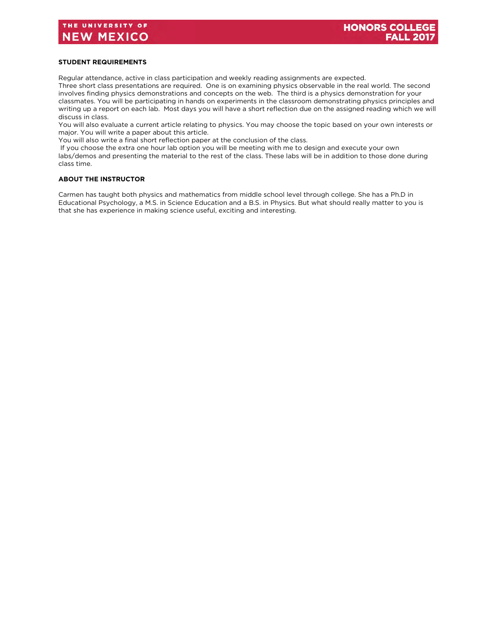### **STUDENT REQUIREMENTS**

Regular attendance, active in class participation and weekly reading assignments are expected.

Three short class presentations are required. One is on examining physics observable in the real world. The second involves finding physics demonstrations and concepts on the web. The third is a physics demonstration for your classmates. You will be participating in hands on experiments in the classroom demonstrating physics principles and writing up a report on each lab. Most days you will have a short reflection due on the assigned reading which we will discuss in class.

You will also evaluate a current article relating to physics. You may choose the topic based on your own interests or major. You will write a paper about this article.

You will also write a final short reflection paper at the conclusion of the class.

If you choose the extra one hour lab option you will be meeting with me to design and execute your own labs/demos and presenting the material to the rest of the class. These labs will be in addition to those done during class time.

### **ABOUT THE INSTRUCTOR**

Carmen has taught both physics and mathematics from middle school level through college. She has a Ph.D in Educational Psychology, a M.S. in Science Education and a B.S. in Physics. But what should really matter to you is that she has experience in making science useful, exciting and interesting.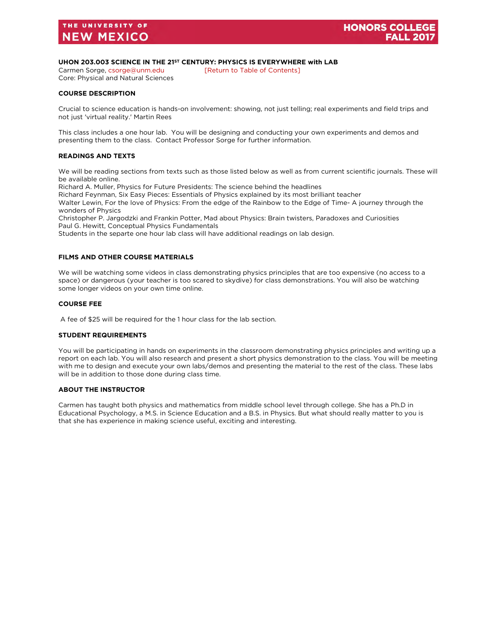### <span id="page-33-0"></span>**UHON 203.003 SCIENCE IN THE 21ST CENTURY: PHYSICS IS EVERYWHERE with LAB**

Carmen Sorge[, csorge@unm.edu](mailto:csorge@unm.edu) [\[Return to Table of Contents\]](#page-2-0)

Core: Physical and Natural Sciences

### **COURSE DESCRIPTION**

Crucial to science education is hands-on involvement: showing, not just telling; real experiments and field trips and not just 'virtual reality.' Martin Rees

This class includes a one hour lab. You will be designing and conducting your own experiments and demos and presenting them to the class. Contact Professor Sorge for further information.

### **READINGS AND TEXTS**

We will be reading sections from texts such as those listed below as well as from current scientific journals. These will be available online.

Richard A. Muller, Physics for Future Presidents: The science behind the headlines

Richard Feynman, Six Easy Pieces: Essentials of Physics explained by its most brilliant teacher

Walter Lewin, For the love of Physics: From the edge of the Rainbow to the Edge of Time- A journey through the wonders of Physics

Christopher P. Jargodzki and Frankin Potter, Mad about Physics: Brain twisters, Paradoxes and Curiosities Paul G. Hewitt, Conceptual Physics Fundamentals

Students in the separte one hour lab class will have additional readings on lab design.

### **FILMS AND OTHER COURSE MATERIALS**

We will be watching some videos in class demonstrating physics principles that are too expensive (no access to a space) or dangerous (your teacher is too scared to skydive) for class demonstrations. You will also be watching some longer videos on your own time online.

### **COURSE FEE**

A fee of \$25 will be required for the 1 hour class for the lab section.

### **STUDENT REQUIREMENTS**

You will be participating in hands on experiments in the classroom demonstrating physics principles and writing up a report on each lab. You will also research and present a short physics demonstration to the class. You will be meeting with me to design and execute your own labs/demos and presenting the material to the rest of the class. These labs will be in addition to those done during class time.

### **ABOUT THE INSTRUCTOR**

Carmen has taught both physics and mathematics from middle school level through college. She has a Ph.D in Educational Psychology, a M.S. in Science Education and a B.S. in Physics. But what should really matter to you is that she has experience in making science useful, exciting and interesting.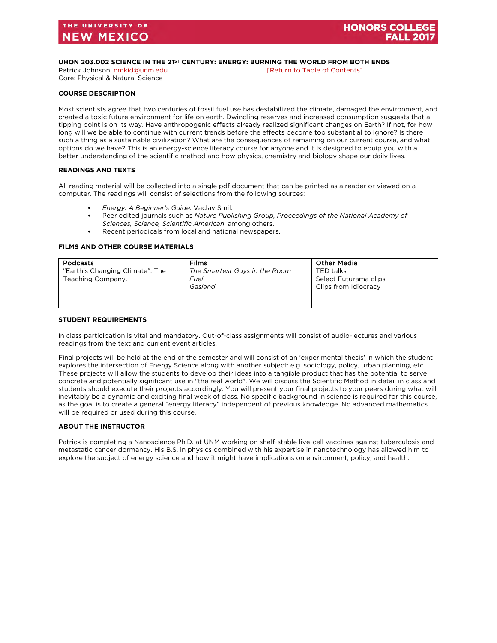### **UHON 203.002 SCIENCE IN THE 21ST CENTURY: ENERGY: BURNING THE WORLD FROM BOTH ENDS**

Core: Physical & Natural Science

Patrick Johnson, [nmkid@unm.edu](mailto:nmkid@unm.edu) [\[Return to Table of Contents\]](#page-2-0)

### **COURSE DESCRIPTION**

Most scientists agree that two centuries of fossil fuel use has destabilized the climate, damaged the environment, and created a toxic future environment for life on earth. Dwindling reserves and increased consumption suggests that a tipping point is on its way. Have anthropogenic effects already realized significant changes on Earth? If not, for how long will we be able to continue with current trends before the effects become too substantial to ignore? Is there such a thing as a sustainable civilization? What are the consequences of remaining on our current course, and what options do we have? This is an energy-science literacy course for anyone and it is designed to equip you with a better understanding of the scientific method and how physics, chemistry and biology shape our daily lives.

### **READINGS AND TEXTS**

All reading material will be collected into a single pdf document that can be printed as a reader or viewed on a computer. The readings will consist of selections from the following sources:

- *Energy: A Beginner's Guide.* Vaclav Smil.
- Peer edited journals such as *Nature Publishing Group, Proceedings of the National Academy of Sciences, Science, Scientific American*, among others.
- Recent periodicals from local and national newspapers.

### **FILMS AND OTHER COURSE MATERIALS**

| Podcasts                        | Films                         | <b>Other Media</b>    |
|---------------------------------|-------------------------------|-----------------------|
| "Earth's Changing Climate". The | The Smartest Guys in the Room | TED talks             |
| Teaching Company.               | <b>Fuel</b>                   | Select Futurama clips |
|                                 | Gasland                       | Clips from Idiocracy  |
|                                 |                               |                       |
|                                 |                               |                       |

### **STUDENT DEQUIDEMENTS**

In class participation is vital and mandatory. Out-of-class assignments will consist of audio-lectures and various readings from the text and current event articles.

Final projects will be held at the end of the semester and will consist of an 'experimental thesis' in which the student explores the intersection of Energy Science along with another subject: e.g. sociology, policy, urban planning, etc. These projects will allow the students to develop their ideas into a tangible product that has the potential to serve concrete and potentially significant use in "the real world". We will discuss the Scientific Method in detail in class and students should execute their projects accordingly. You will present your final projects to your peers during what will inevitably be a dynamic and exciting final week of class. No specific background in science is required for this course, as the goal is to create a general "energy literacy" independent of previous knowledge. No advanced mathematics will be required or used during this course.

### **ABOUT THE INSTRUCTOR**

Patrick is completing a Nanoscience Ph.D. at UNM working on shelf-stable live-cell vaccines against tuberculosis and metastatic cancer dormancy. His B.S. in physics combined with his expertise in nanotechnology has allowed him to explore the subject of energy science and how it might have implications on environment, policy, and health.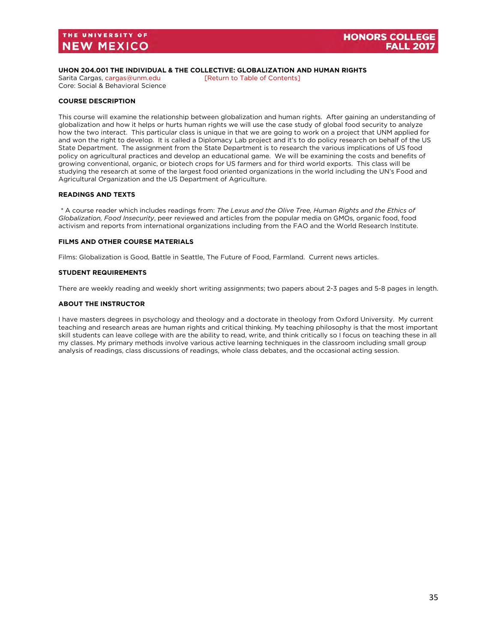# <span id="page-35-0"></span>**UHON 204.001 THE INDIVIDUAL & THE COLLECTIVE: GLOBALIZATION AND HUMAN RIGHTS**<br>Sarita Cargas, cargas@unm.edu **FReturn to Table of Contents1**

Sarita Cargas, cargas@unm.edu Core: Social & Behavioral Science

### **COURSE DESCRIPTION**

This course will examine the relationship between globalization and human rights. After gaining an understanding of globalization and how it helps or hurts human rights we will use the case study of global food security to analyze how the two interact. This particular class is unique in that we are going to work on a project that UNM applied for and won the right to develop. It is called a Diplomacy Lab project and it's to do policy research on behalf of the US State Department. The assignment from the State Department is to research the various implications of US food policy on agricultural practices and develop an educational game. We will be examining the costs and benefits of growing conventional, organic, or biotech crops for US farmers and for third world exports. This class will be studying the research at some of the largest food oriented organizations in the world including the UN's Food and Agricultural Organization and the US Department of Agriculture.

### **READINGS AND TEXTS**

*\** A course reader which includes readings from: *The Lexus and the Olive Tree, Human Rights and the Ethics of Globalization, Food Insecurity*, peer reviewed and articles from the popular media on GMOs, organic food, food activism and reports from international organizations including from the FAO and the World Research Institute.

### **FILMS AND OTHER COURSE MATERIALS**

Films: Globalization is Good, Battle in Seattle, The Future of Food, Farmland. Current news articles.

### **STUDENT REQUIREMENTS**

There are weekly reading and weekly short writing assignments; two papers about 2-3 pages and 5-8 pages in length.

### **ABOUT THE INSTRUCTOR**

I have masters degrees in psychology and theology and a doctorate in theology from Oxford University. My current teaching and research areas are human rights and critical thinking. My teaching philosophy is that the most important skill students can leave college with are the ability to read, write, and think critically so I focus on teaching these in all my classes. My primary methods involve various active learning techniques in the classroom including small group analysis of readings, class discussions of readings, whole class debates, and the occasional acting session.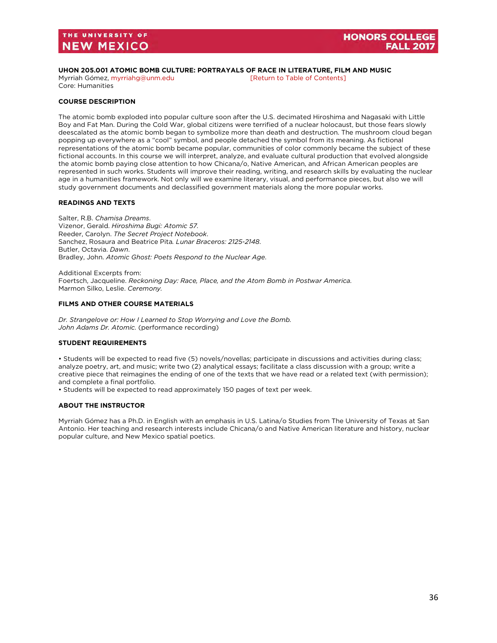### <span id="page-36-0"></span>**UHON 205.001 ATOMIC BOMB CULTURE: PORTRAYALS OF RACE IN LITERATURE, FILM AND MUSIC** Myrriah Gómez, [myrriahg@unm.edu](mailto:myrriahg@unm.edu) [\[Return to Table of Contents\]](#page-2-0)

Core: Humanities

### **COURSE DESCRIPTION**

The atomic bomb exploded into popular culture soon after the U.S. decimated Hiroshima and Nagasaki with Little Boy and Fat Man. During the Cold War, global citizens were terrified of a nuclear holocaust, but those fears slowly deescalated as the atomic bomb began to symbolize more than death and destruction. The mushroom cloud began popping up everywhere as a "cool" symbol, and people detached the symbol from its meaning. As fictional representations of the atomic bomb became popular, communities of color commonly became the subject of these fictional accounts. In this course we will interpret, analyze, and evaluate cultural production that evolved alongside the atomic bomb paying close attention to how Chicana/o, Native American, and African American peoples are represented in such works. Students will improve their reading, writing, and research skills by evaluating the nuclear age in a humanities framework. Not only will we examine literary, visual, and performance pieces, but also we will study government documents and declassified government materials along the more popular works.

### **READINGS AND TEXTS**

Salter, R.B. *Chamisa Dreams*. Vizenor, Gerald. *Hiroshima Bugi: Atomic 57.* Reeder, Carolyn. *The Secret Project Notebook*. Sanchez, Rosaura and Beatrice Pita*. Lunar Braceros: 2125-2148*. Butler, Octavia. *Dawn*. Bradley, John. *Atomic Ghost: Poets Respond to the Nuclear Age*.

Additional Excerpts from: Foertsch, Jacqueline. *Reckoning Day: Race, Place, and the Atom Bomb in Postwar America.* Marmon Silko, Leslie. *Ceremony.*

### **FILMS AND OTHER COURSE MATERIALS**

*Dr. Strangelove or: How I Learned to Stop Worrying and Love the Bomb. John Adams Dr. Atomic.* (performance recording)

### **STUDENT REQUIREMENTS**

• Students will be expected to read five (5) novels/novellas; participate in discussions and activities during class; analyze poetry, art, and music; write two (2) analytical essays; facilitate a class discussion with a group; write a creative piece that reimagines the ending of one of the texts that we have read or a related text (with permission); and complete a final portfolio.

• Students will be expected to read approximately 150 pages of text per week.

### **ABOUT THE INSTRUCTOR**

Myrriah Gómez has a Ph.D. in English with an emphasis in U.S. Latina/o Studies from The University of Texas at San Antonio. Her teaching and research interests include Chicana/o and Native American literature and history, nuclear popular culture, and New Mexico spatial poetics.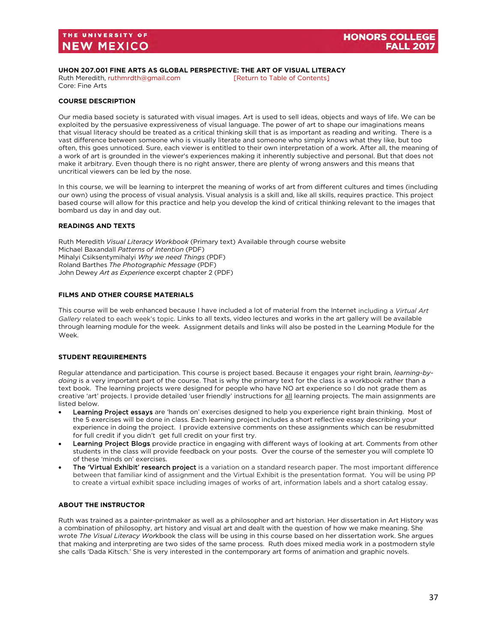### <span id="page-37-0"></span>**UHON 207.001 FINE ARTS AS GLOBAL PERSPECTIVE: THE ART OF VISUAL LITERACY**

Ruth Meredith, [ruthmrdth@gmail.com](mailto:ruthmrdth@gmail.com) [\[Return to Table of Contents\]](#page-2-0) Core: Fine Arts

### **COURSE DESCRIPTION**

Our media based society is saturated with visual images. Art is used to sell ideas, objects and ways of life. We can be exploited by the persuasive expressiveness of visual language. The power of art to shape our imaginations means that visual literacy should be treated as a critical thinking skill that is as important as reading and writing. There is a vast difference between someone who is visually literate and someone who simply knows what they like, but too often, this goes unnoticed. Sure, each viewer is entitled to their own interpretation of a work. After all, the meaning of a work of art is grounded in the viewer's experiences making it inherently subjective and personal. But that does not make it arbitrary. Even though there is no right answer, there are plenty of wrong answers and this means that uncritical viewers can be led by the nose.

In this course, we will be learning to interpret the meaning of works of art from different cultures and times (including our own) using the process of visual analysis. Visual analysis is a skill and, like all skills, requires practice. This project based course will allow for this practice and help you develop the kind of critical thinking relevant to the images that bombard us day in and day out.

### **READINGS AND TEXTS**

Ruth Meredith *Visual Literacy Workbook* (Primary text) Available through course website Michael Baxandall *Patterns of Intention* (PDF) Mihalyi Csiksentymihalyi *Why we need Things* (PDF) Roland Barthes *The Photographic Message* (PDF) John Dewey *Art as Experience* excerpt chapter 2 (PDF)

### **FILMS AND OTHER COURSE MATERIALS**

This course will be web enhanced because I have included a lot of material from the Internet including a *Virtual Art Gallery* related to each week's topic. Links to all texts, video lectures and works in the art gallery will be available through learning module for the week. Assignment details and links will also be posted in the Learning Module for the Week.

### **STUDENT REQUIREMENTS**

Regular attendance and participation. This course is project based. Because it engages your right brain, *learning-bydoing* is a very important part of the course. That is why the primary text for the class is a workbook rather than a text book. The learning projects were designed for people who have NO art experience so I do not grade them as creative 'art' projects. I provide detailed 'user friendly' instructions for all learning projects. The main assignments are listed below.

- Learning Project essays are 'hands on' exercises designed to help you experience right brain thinking. Most of the 5 exercises will be done in class. Each learning project includes a short reflective essay describing your experience in doing the project. I provide extensive comments on these assignments which can be resubmitted for full credit if you didn't get full credit on your first try.
- Learning Project Blogs provide practice in engaging with different ways of looking at art. Comments from other students in the class will provide feedback on your posts. Over the course of the semester you will complete 10 of these 'minds on' exercises.
- The 'Virtual Exhibit' research project is a variation on a standard research paper. The most important difference between that familiar kind of assignment and the Virtual Exhibit is the presentation format. You will be using PP to create a virtual exhibit space including images of works of art, information labels and a short catalog essay.

### **ABOUT THE INSTRUCTOR**

<span id="page-37-1"></span>Ruth was trained as a painter-printmaker as well as a philosopher and art historian. Her dissertation in Art History was a combination of philosophy, art history and visual art and dealt with the question of how we make meaning. She wrote *The Visual Literacy Wor*kbook the class will be using in this course based on her dissertation work. She argues that making and interpreting are two sides of the same process. Ruth does mixed media work in a postmodern style she calls 'Dada Kitsch.' She is very interested in the contemporary art forms of animation and graphic novels.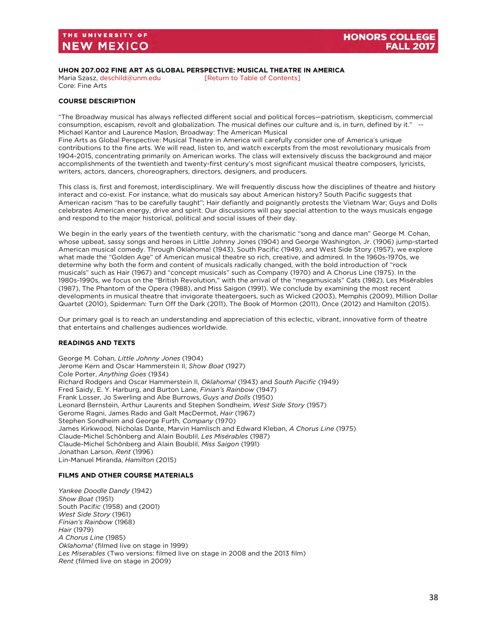#### **UHON 207.002 FINE ART AS GLOBAL PERSPECTIVE: MUSICAL THEATRE IN AMERICA** Maria Szasz, [deschild@unm.edu](mailto:deschild@unm.edu) [\[Return to Table of Contents\]](#page-2-0)

Core: Fine Arts

### **COURSE DESCRIPTION**

"The Broadway musical has always reflected different social and political forces—patriotism, skepticism, commercial consumption, escapism, revolt and globalization. The musical defines our culture and is, in turn, defined by it." -- Michael Kantor and Laurence Maslon, Broadway: The American Musical

Fine Arts as Global Perspective: Musical Theatre in America will carefully consider one of America's unique contributions to the fine arts. We will read, listen to, and watch excerpts from the most revolutionary musicals from 1904-2015, concentrating primarily on American works. The class will extensively discuss the background and major accomplishments of the twentieth and twenty-first century's most significant musical theatre composers, lyricists, writers, actors, dancers, choreographers, directors, designers, and producers.

This class is, first and foremost, interdisciplinary. We will frequently discuss how the disciplines of theatre and history interact and co-exist. For instance, what do musicals say about American history? South Pacific suggests that American racism "has to be carefully taught"; Hair defiantly and poignantly protests the Vietnam War; Guys and Dolls celebrates American energy, drive and spirit. Our discussions will pay special attention to the ways musicals engage and respond to the major historical, political and social issues of their day.

We begin in the early years of the twentieth century, with the charismatic "song and dance man" George M. Cohan, whose upbeat, sassy songs and heroes in Little Johnny Jones (1904) and George Washington, Jr. (1906) jump-started American musical comedy. Through Oklahoma! (1943), South Pacific (1949), and West Side Story (1957), we explore what made the "Golden Age" of American musical theatre so rich, creative, and admired. In the 1960s-1970s, we determine why both the form and content of musicals radically changed, with the bold introduction of "rock musicals" such as Hair (1967) and "concept musicals" such as Company (1970) and A Chorus Line (1975). In the 1980s-1990s, we focus on the "British Revolution," with the arrival of the "megamusicals" Cats (1982), Les Misérables (1987), The Phantom of the Opera (1988), and Miss Saigon (1991). We conclude by examining the most recent developments in musical theatre that invigorate theatergoers, such as Wicked (2003), Memphis (2009), Million Dollar Quartet (2010), Spiderman: Turn Off the Dark (2011), The Book of Mormon (2011), Once (2012) and Hamilton (2015).

Our primary goal is to reach an understanding and appreciation of this eclectic, vibrant, innovative form of theatre that entertains and challenges audiences worldwide.

### **READINGS AND TEXTS**

George M. Cohan, *Little Johnny Jones* (1904) Jerome Kern and Oscar Hammerstein II, *Show Boat* (1927) Cole Porter, *Anything Goes* (1934) Richard Rodgers and Oscar Hammerstein II, *Oklahoma!* (1943) and *South Pacific* (1949) Fred Saidy, E. Y. Harburg, and Burton Lane, *Finian's Rainbow* (1947) Frank Losser, Jo Swerling and Abe Burrows, *Guys and Dolls* (1950) Leonard Bernstein, Arthur Laurents and Stephen Sondheim, *West Side Story* (1957) Gerome Ragni, James Rado and Galt MacDermot, *Hair* (1967) Stephen Sondheim and George Furth, *Company* (1970) James Kirkwood, Nicholas Dante, Marvin Hamlisch and Edward Kleban, *A Chorus Line* (1975) Claude-Michel Schönberg and Alain Boublil, *Les Misérables* (1987) Claude-Michel Schönberg and Alain Boublil, *Miss Saigon* (1991) Jonathan Larson, *Rent* (1996) Lin-Manuel Miranda, *Hamilton* (2015)

### **FILMS AND OTHER COURSE MATERIALS**

*Yankee Doodle Dandy* (1942) *Show Boat* (1951) South Pacif*ic* (1958) and (2001) *West Side Story* (1961) *Finian's Rainbow* (1968) *Hair* (1979) *A Chorus Line* (1985) *Oklahoma!* (filmed live on stage in 1999) *Les Miserables* (Two versions: filmed live on stage in 2008 and the 2013 film) *Rent* (filmed live on stage in 2009)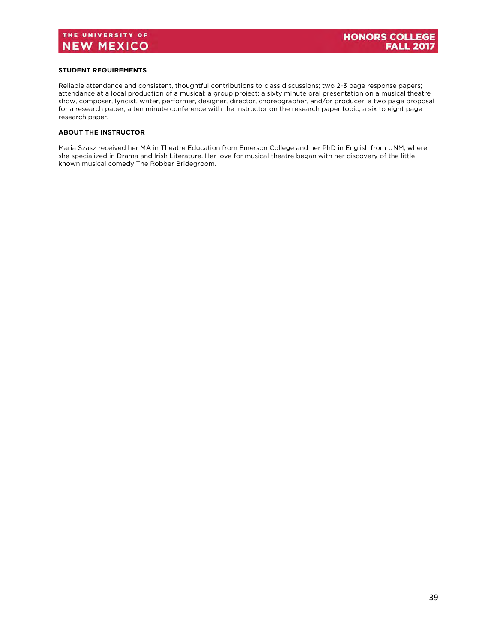### **STUDENT REQUIREMENTS**

Reliable attendance and consistent, thoughtful contributions to class discussions; two 2-3 page response papers; attendance at a local production of a musical; a group project: a sixty minute oral presentation on a musical theatre show, composer, lyricist, writer, performer, designer, director, choreographer, and/or producer; a two page proposal for a research paper; a ten minute conference with the instructor on the research paper topic; a six to eight page research paper.

### **ABOUT THE INSTRUCTOR**

Maria Szasz received her MA in Theatre Education from Emerson College and her PhD in English from UNM, where she specialized in Drama and Irish Literature. Her love for musical theatre began with her discovery of the little known musical comedy The Robber Bridegroom.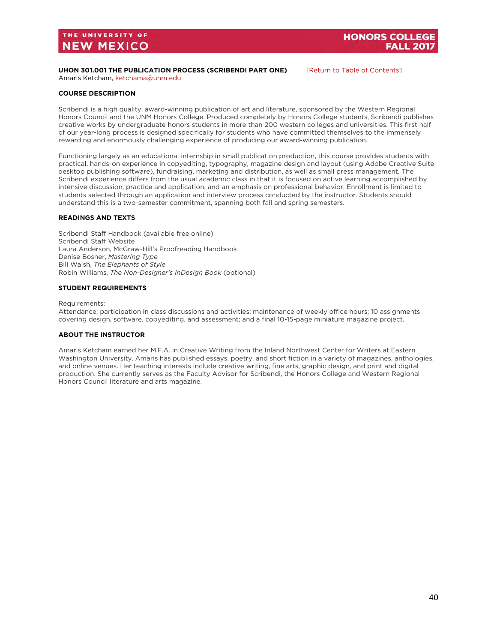#### <span id="page-40-0"></span>**UHON 301.001 THE PUBLICATION PROCESS (SCRIBENDI PART ONE)** [Return to Table of Contents] Amaris Ketcham, [ketchama@unm.edu](mailto:ketchama@unm.edu)

### **COURSE DESCRIPTION**

Scribendi is a high quality, award-winning publication of art and literature, sponsored by the Western Regional Honors Council and the UNM Honors College. Produced completely by Honors College students, Scribendi publishes creative works by undergraduate honors students in more than 200 western colleges and universities. This first half of our year-long process is designed specifically for students who have committed themselves to the immensely rewarding and enormously challenging experience of producing our award-winning publication.

Functioning largely as an educational internship in small publication production, this course provides students with practical, hands-on experience in copyediting, typography, magazine design and layout (using Adobe Creative Suite desktop publishing software), fundraising, marketing and distribution, as well as small press management. The Scribendi experience differs from the usual academic class in that it is focused on active learning accomplished by intensive discussion, practice and application, and an emphasis on professional behavior. Enrollment is limited to students selected through an application and interview process conducted by the instructor. Students should understand this is a two-semester commitment, spanning both fall and spring semesters.

### **READINGS AND TEXTS**

Scribendi Staff Handbook (available free online) Scribendi Staff Website Laura Anderson, McGraw-Hill's Proofreading Handbook Denise Bosner, *Mastering Type* Bill Walsh, *The Elephants of Style* Robin Williams, *The Non-Designer's InDesign Book* (optional)

### **STUDENT REQUIREMENTS**

#### Requirements:

Attendance; participation in class discussions and activities; maintenance of weekly office hours; 10 assignments covering design, software, copyediting, and assessment; and a final 10-15-page miniature magazine project.

### **ABOUT THE INSTRUCTOR**

Amaris Ketcham earned her M.F.A. in Creative Writing from the Inland Northwest Center for Writers at Eastern Washington University. Amaris has published essays, poetry, and short fiction in a variety of magazines, anthologies, and online venues. Her teaching interests include creative writing, fine arts, graphic design, and print and digital production. She currently serves as the Faculty Advisor for Scribendi, the Honors College and Western Regional Honors Council literature and arts magazine.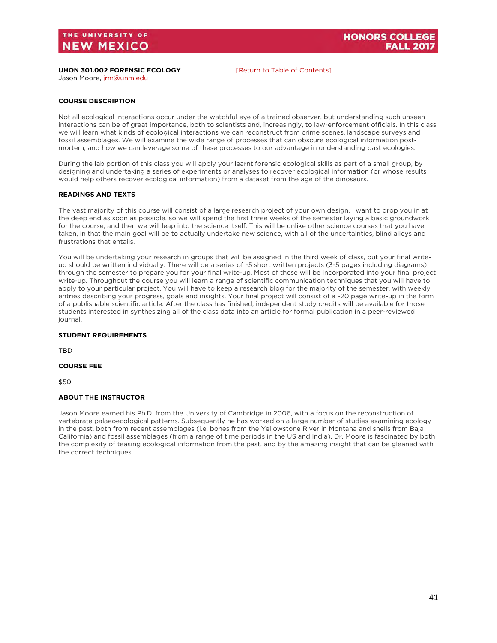### <span id="page-41-0"></span>**UHON 301.002 FORENSIC ECOLOGY** [Return to Table of Contents]

Jason Moore, [jrm@unm.edu](mailto:jrm@unm.edu)

**HONORS COLLEGE FALL 20** 

### **COURSE DESCRIPTION**

Not all ecological interactions occur under the watchful eye of a trained observer, but understanding such unseen interactions can be of great importance, both to scientists and, increasingly, to law-enforcement officials. In this class we will learn what kinds of ecological interactions we can reconstruct from crime scenes, landscape surveys and fossil assemblages. We will examine the wide range of processes that can obscure ecological information postmortem, and how we can leverage some of these processes to our advantage in understanding past ecologies.

During the lab portion of this class you will apply your learnt forensic ecological skills as part of a small group, by designing and undertaking a series of experiments or analyses to recover ecological information (or whose results would help others recover ecological information) from a dataset from the age of the dinosaurs.

### **READINGS AND TEXTS**

The vast majority of this course will consist of a large research project of your own design. I want to drop you in at the deep end as soon as possible, so we will spend the first three weeks of the semester laying a basic groundwork for the course, and then we will leap into the science itself. This will be unlike other science courses that you have taken, in that the main goal will be to actually undertake new science, with all of the uncertainties, blind alleys and frustrations that entails.

You will be undertaking your research in groups that will be assigned in the third week of class, but your final writeup should be written individually. There will be a series of ~5 short written projects (3-5 pages including diagrams) through the semester to prepare you for your final write-up. Most of these will be incorporated into your final project write-up. Throughout the course you will learn a range of scientific communication techniques that you will have to apply to your particular project. You will have to keep a research blog for the majority of the semester, with weekly entries describing your progress, goals and insights. Your final project will consist of a ~20 page write-up in the form of a publishable scientific article. After the class has finished, independent study credits will be available for those students interested in synthesizing all of the class data into an article for formal publication in a peer-reviewed journal.

### **STUDENT REQUIREMENTS**

**TBD** 

### **COURSE FEE**

\$50

### **ABOUT THE INSTRUCTOR**

Jason Moore earned his Ph.D. from the University of Cambridge in 2006, with a focus on the reconstruction of vertebrate palaeoecological patterns. Subsequently he has worked on a large number of studies examining ecology in the past, both from recent assemblages (i.e. bones from the Yellowstone River in Montana and shells from Baja California) and fossil assemblages (from a range of time periods in the US and India). Dr. Moore is fascinated by both the complexity of teasing ecological information from the past, and by the amazing insight that can be gleaned with the correct techniques.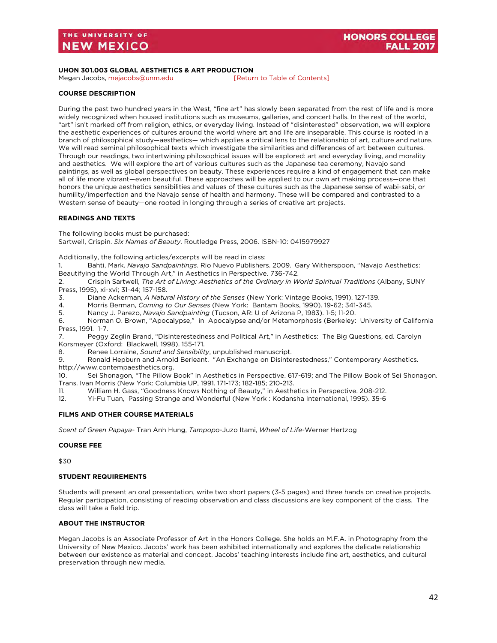### <span id="page-42-0"></span>**UHON 301.003 GLOBAL AESTHETICS & ART PRODUCTION**

Megan Jacobs[, mejacobs@unm.edu](mailto:mejacobs@unm.edu) [\[Return to Table of Contents\]](#page-2-0)

#### **COURSE DESCRIPTION**

During the past two hundred years in the West, "fine art" has slowly been separated from the rest of life and is more widely recognized when housed institutions such as museums, galleries, and concert halls. In the rest of the world, "art" isn't marked off from religion, ethics, or everyday living. Instead of "disinterested" observation, we will explore the aesthetic experiences of cultures around the world where art and life are inseparable. This course is rooted in a branch of philosophical study—aesthetics— which applies a critical lens to the relationship of art, culture and nature. We will read seminal philosophical texts which investigate the similarities and differences of art between cultures. Through our readings, two intertwining philosophical issues will be explored: art and everyday living, and morality and aesthetics. We will explore the art of various cultures such as the Japanese tea ceremony, Navajo sand paintings, as well as global perspectives on beauty. These experiences require a kind of engagement that can make all of life more vibrant—even beautiful. These approaches will be applied to our own art making process—one that honors the unique aesthetics sensibilities and values of these cultures such as the Japanese sense of wabi-sabi, or humility/imperfection and the Navajo sense of health and harmony. These will be compared and contrasted to a Western sense of beauty—one rooted in longing through a series of creative art projects.

### **READINGS AND TEXTS**

The following books must be purchased:

Sartwell, Crispin. *Six Names of Beauty*. Routledge Press, 2006. ISBN-10: 0415979927

Additionally, the following articles/excerpts will be read in class:

1. Bahti, Mark. *Navajo Sandpaintings*. Rio Nuevo Publishers. 2009. Gary Witherspoon, "Navajo Aesthetics: Beautifying the World Through Art," in Aesthetics in Perspective. 736-742.

2. Crispin Sartwell, *The Art of Living: Aesthetics of the Ordinary in World Spiritual Traditions* (Albany, SUNY Press, 1995), xi-xvi; 31-44; 157-158.

3. Diane Ackerman, *A Natural History of the Senses* (New York: Vintage Books, 1991). 127-139.

4. Morris Berman, *Coming to Our Senses* (New York: Bantam Books, 1990). 19-62; 341-345.

5. Nancy J. Parezo, *Navajo Sandpainting* (Tucson, AR: U of Arizona P, 1983). 1-5; 11-20.

6. Norman O. Brown, "Apocalypse," in Apocalypse and/or Metamorphosis (Berkeley: University of California Press, 1991. 1-7.

7. Peggy Zeglin Brand, "Disinterestedness and Political Art," in Aesthetics: The Big Questions, ed. Carolyn Korsmeyer (Oxford: Blackwell, 1998). 155-171.

8. Renee Lorraine, *Sound and Sensibility*, unpublished manuscript.

9. Ronald Hepburn and Arnold Berleant. "An Exchange on Disinterestedness," Contemporary Aesthetics. http://www.contempaesthetics.org.

10. Sei Shonagon, "The Pillow Book" in Aesthetics in Perspective. 617-619; and The Pillow Book of Sei Shonagon. Trans. Ivan Morris (New York: Columbia UP, 1991. 171-173; 182-185; 210-213.

11. William H. Gass, "Goodness Knows Nothing of Beauty," in Aesthetics in Perspective. 208-212.

12. Yi-Fu Tuan, Passing Strange and Wonderful (New York : Kodansha International, 1995). 35-6

### **FILMS AND OTHER COURSE MATERIALS**

*Scent of Green Papaya*- Tran Anh Hung, *Tampopo*-Juzo Itami, *Wheel of Life*-Werner Hertzog

### **COURSE FEE**

\$30

### **STUDENT REQUIREMENTS**

Students will present an oral presentation, write two short papers (3-5 pages) and three hands on creative projects. Regular participation, consisting of reading observation and class discussions are key component of the class. The class will take a field trip.

### **ABOUT THE INSTRUCTOR**

<span id="page-42-1"></span>Megan Jacobs is an Associate Professor of Art in the Honors College. She holds an M.F.A. in Photography from the University of New Mexico. Jacobs' work has been exhibited internationally and explores the delicate relationship between our existence as material and concept. Jacobs' teaching interests include fine art, aesthetics, and cultural preservation through new media.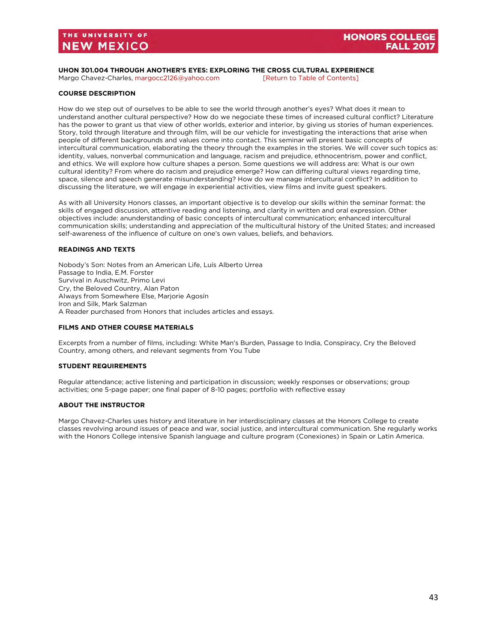**UHON 301.004 THROUGH ANOTHER'S EYES: EXPLORING THE CROSS CULTURAL EXPERIENCE** Margo Chavez-Charles, [margocc2126@yahoo.com](mailto:margocc2126@yahoo.com) [\[Return to Table of Contents\]](#page-2-0)

### **COURSE DESCRIPTION**

How do we step out of ourselves to be able to see the world through another's eyes? What does it mean to understand another cultural perspective? How do we negociate these times of increased cultural conflict? Literature has the power to grant us that view of other worlds, exterior and interior, by giving us stories of human experiences. Story, told through literature and through film, will be our vehicle for investigating the interactions that arise when people of different backgrounds and values come into contact. This seminar will present basic concepts of intercultural communication, elaborating the theory through the examples in the stories. We will cover such topics as: identity, values, nonverbal communication and language, racism and prejudice, ethnocentrism, power and conflict, and ethics. We will explore how culture shapes a person. Some questions we will address are: What is our own cultural identity? From where do racism and prejudice emerge? How can differing cultural views regarding time, space, silence and speech generate misunderstanding? How do we manage intercultural conflict? In addition to discussing the literature, we will engage in experiential activities, view films and invite guest speakers.

As with all University Honors classes, an important objective is to develop our skills within the seminar format: the skills of engaged discussion, attentive reading and listening, and clarity in written and oral expression. Other objectives include: anunderstanding of basic concepts of intercultural communication; enhanced intercultural communication skills; understanding and appreciation of the multicultural history of the United States; and increased self-awareness of the influence of culture on one's own values, beliefs, and behaviors.

### **READINGS AND TEXTS**

Nobody's Son: Notes from an American Life, Luís Alberto Urrea Passage to India, E.M. Forster Survival in Auschwitz, Primo Levi Cry, the Beloved Country, Alan Paton Always from Somewhere Else, Marjorie Agosín Iron and Silk, Mark Salzman A Reader purchased from Honors that includes articles and essays.

### **FILMS AND OTHER COURSE MATERIALS**

Excerpts from a number of films, including: White Man's Burden, Passage to India, Conspiracy, Cry the Beloved Country, among others, and relevant segments from You Tube

### **STUDENT REQUIREMENTS**

Regular attendance; active listening and participation in discussion; weekly responses or observations; group activities; one 5-page paper; one final paper of 8-10 pages; portfolio with reflective essay

#### **ABOUT THE INSTRUCTOR**

Margo Chavez-Charles uses history and literature in her interdisciplinary classes at the Honors College to create classes revolving around issues of peace and war, social justice, and intercultural communication. She regularly works with the Honors College intensive Spanish language and culture program (Conexiones) in Spain or Latin America.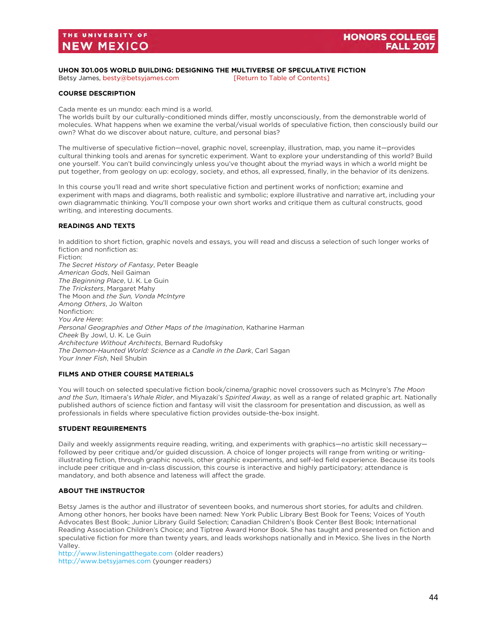### <span id="page-44-0"></span>**UHON 301.005 WORLD BUILDING: DESIGNING THE MULTIVERSE OF SPECULATIVE FICTION**<br>Betsy James, besty@betsyjames.com [Return to Table of Contents] Betsy James, besty@betsyjames.com

### **COURSE DESCRIPTION**

Cada mente es un mundo: each mind is a world.

The worlds built by our culturally-conditioned minds differ, mostly unconsciously, from the demonstrable world of molecules. What happens when we examine the verbal/visual worlds of speculative fiction, then consciously build our own? What do we discover about nature, culture, and personal bias?

The multiverse of speculative fiction—novel, graphic novel, screenplay, illustration, map, you name it—provides cultural thinking tools and arenas for syncretic experiment. Want to explore your understanding of this world? Build one yourself. You can't build convincingly unless you've thought about the myriad ways in which a world might be put together, from geology on up: ecology, society, and ethos, all expressed, finally, in the behavior of its denizens.

In this course you'll read and write short speculative fiction and pertinent works of nonfiction; examine and experiment with maps and diagrams, both realistic and symbolic; explore illustrative and narrative art, including your own diagrammatic thinking. You'll compose your own short works and critique them as cultural constructs, good writing, and interesting documents.

### **READINGS AND TEXTS**

In addition to short fiction, graphic novels and essays, you will read and discuss a selection of such longer works of fiction and nonfiction as: Fiction: *The Secret History of Fantasy*, Peter Beagle *American Gods*, Neil Gaiman *The Beginning Place*, U. K. Le Guin *The Tricksters*, Margaret Mahy The Moon and *the Sun, Vonda McIntyre Among Others*, Jo Walton Nonfiction: *You Are Here*: *Personal Geographies and Other Maps of the Imagination*, Katharine Harman *Cheek* By Jowl, U. K. Le Guin *Architecture Without Architects*, Bernard Rudofsky *The Demon-Haunted World: Science as a Candle in the Dark*, Carl Sagan *Your Inner Fish*, Neil Shubin

### **FILMS AND OTHER COURSE MATERIALS**

You will touch on selected speculative fiction book/cinema/graphic novel crossovers such as McInyre's *The Moon and the Sun*, Itimaera's *Whale Rider*, and Miyazaki's *Spirited Away*, as well as a range of related graphic art. Nationally published authors of science fiction and fantasy will visit the classroom for presentation and discussion, as well as professionals in fields where speculative fiction provides outside-the-box insight.

### **STUDENT REQUIREMENTS**

Daily and weekly assignments require reading, writing, and experiments with graphics—no artistic skill necessary followed by peer critique and/or guided discussion. A choice of longer projects will range from writing or writingillustrating fiction, through graphic novels, other graphic experiments, and self-led field experience. Because its tools include peer critique and in-class discussion, this course is interactive and highly participatory; attendance is mandatory, and both absence and lateness will affect the grade.

#### **ABOUT THE INSTRUCTOR**

Betsy James is the author and illustrator of seventeen books, and numerous short stories, for adults and children. Among other honors, her books have been named: New York Public Library Best Book for Teens; Voices of Youth Advocates Best Book; Junior Library Guild Selection; Canadian Children's Book Center Best Book; International Reading Association Children's Choice; and Tiptree Award Honor Book. She has taught and presented on fiction and speculative fiction for more than twenty years, and leads workshops nationally and in Mexico. She lives in the North Valley.

[http://www.listeningatthegate.com](http://www.listeningatthegate.com/) (older readers) [http://www.betsyjames.com](http://www.betsyjames.com/) (younger readers)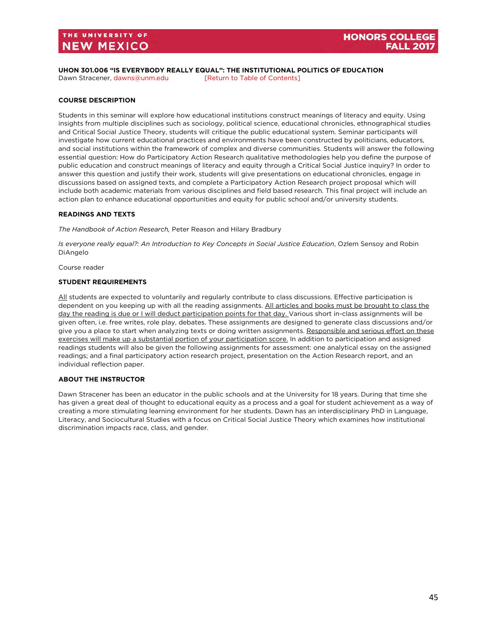<span id="page-45-0"></span>**UHON 301.006 "IS EVERYBODY REALLY EQUAL": THE INSTITUTIONAL POLITICS OF EDUCATION** Dawn Stracener, [dawns@unm.edu](mailto:dawns@unm.edu) [\[Return to Table of Contents\]](#page-2-0)

### **COURSE DESCRIPTION**

Students in this seminar will explore how educational institutions construct meanings of literacy and equity. Using insights from multiple disciplines such as sociology, political science, educational chronicles, ethnographical studies and Critical Social Justice Theory, students will critique the public educational system. Seminar participants will investigate how current educational practices and environments have been constructed by politicians, educators, and social institutions within the framework of complex and diverse communities. Students will answer the following essential question: How do Participatory Action Research qualitative methodologies help you define the purpose of public education and construct meanings of literacy and equity through a Critical Social Justice inquiry? In order to answer this question and justify their work, students will give presentations on educational chronicles, engage in discussions based on assigned texts, and complete a Participatory Action Research project proposal which will include both academic materials from various disciplines and field based research. This final project will include an action plan to enhance educational opportunities and equity for public school and/or university students.

### **READINGS AND TEXTS**

*The Handbook of Action Research,* Peter Reason and Hilary Bradbury

*Is everyone really equal?: An Introduction to Key Concepts in Social Justice Education*, Ozlem Sensoy and Robin DiAngelo

Course reader

### **STUDENT REQUIREMENTS**

All students are expected to voluntarily and regularly contribute to class discussions. Effective participation is dependent on you keeping up with all the reading assignments. All articles and books must be brought to class the day the reading is due or I will deduct participation points for that day. Various short in-class assignments will be given often, i.e. free writes, role play, debates. These assignments are designed to generate class discussions and/or give you a place to start when analyzing texts or doing written assignments. Responsible and serious effort on these exercises will make up a substantial portion of your participation score. In addition to participation and assigned readings students will also be given the following assignments for assessment: one analytical essay on the assigned readings; and a final participatory action research project, presentation on the Action Research report, and an individual reflection paper.

### **ABOUT THE INSTRUCTOR**

Dawn Stracener has been an educator in the public schools and at the University for 18 years. During that time she has given a great deal of thought to educational equity as a process and a goal for student achievement as a way of creating a more stimulating learning environment for her students. Dawn has an interdisciplinary PhD in Language, Literacy, and Sociocultural Studies with a focus on Critical Social Justice Theory which examines how institutional discrimination impacts race, class, and gender.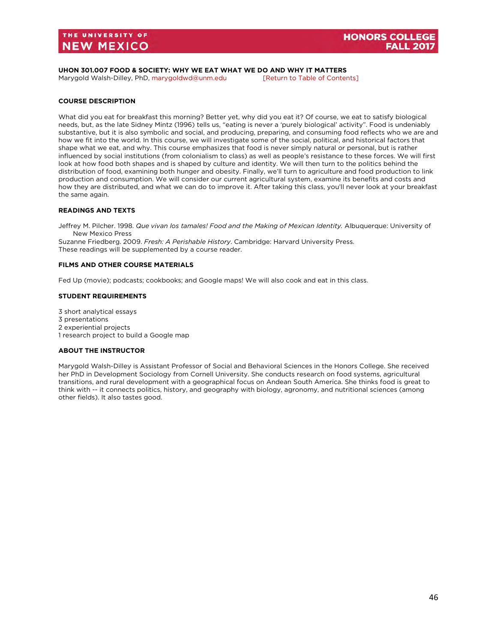<span id="page-46-0"></span>**UHON 301.007 FOOD & SOCIETY: WHY WE EAT WHAT WE DO AND WHY IT MATTERS** Marygold Walsh-Dilley, PhD, [marygoldwd@unm.edu](mailto:marygoldwd@unm.edu) [\[Return to Table of Contents\]](#page-2-0)

### **COURSE DESCRIPTION**

What did you eat for breakfast this morning? Better yet, why did you eat it? Of course, we eat to satisfy biological needs, but, as the late Sidney Mintz (1996) tells us, "eating is never a 'purely biological' activity". Food is undeniably substantive, but it is also symbolic and social, and producing, preparing, and consuming food reflects who we are and how we fit into the world. In this course, we will investigate some of the social, political, and historical factors that shape what we eat, and why. This course emphasizes that food is never simply natural or personal, but is rather influenced by social institutions (from colonialism to class) as well as people's resistance to these forces. We will first look at how food both shapes and is shaped by culture and identity. We will then turn to the politics behind the distribution of food, examining both hunger and obesity. Finally, we'll turn to agriculture and food production to link production and consumption. We will consider our current agricultural system, examine its benefits and costs and how they are distributed, and what we can do to improve it. After taking this class, you'll never look at your breakfast the same again.

### **READINGS AND TEXTS**

Jeffrey M. Pilcher. 1998. *Que vivan los tamales! Food and the Making of Mexican Identity.* Albuquerque: University of New Mexico Press

Suzanne Friedberg. 2009. *Fresh: A Perishable History*. Cambridge: Harvard University Press. These readings will be supplemented by a course reader.

### **FILMS AND OTHER COURSE MATERIALS**

Fed Up (movie); podcasts; cookbooks; and Google maps! We will also cook and eat in this class.

### **STUDENT REQUIREMENTS**

3 short analytical essays

- 3 presentations
- 2 experiential projects
- 1 research project to build a Google map

### **ABOUT THE INSTRUCTOR**

Marygold Walsh-Dilley is Assistant Professor of Social and Behavioral Sciences in the Honors College. She received her PhD in Development Sociology from Cornell University. She conducts research on food systems, agricultural transitions, and rural development with a geographical focus on Andean South America. She thinks food is great to think with -- it connects politics, history, and geography with biology, agronomy, and nutritional sciences (among other fields). It also tastes good.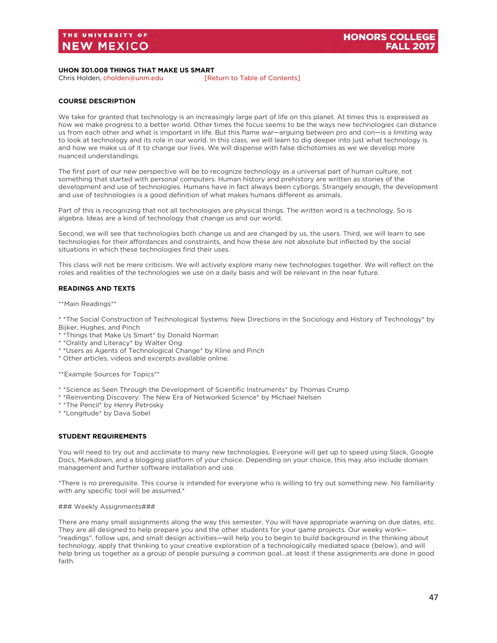### <span id="page-47-0"></span>**UHON 301.008 THINGS THAT MAKE US SMART**

Chris Holden, [cholden@unm.edu](mailto:cholden@unm.edu) [\[Return to Table of Contents\]](#page-2-0)

### **COURSE DESCRIPTION**

We take for granted that technology is an increasingly large part of life on this planet. At times this is expressed as how we make progress to a better world. Other times the focus seems to be the ways new technologies can distance us from each other and what is important in life. But this flame war—arguing between pro and con—is a limiting way to look at technology and its role in our world. In this class, we will learn to dig deeper into just what technology is and how we make us of it to change our lives. We will dispense with false dichotomies as we we develop more nuanced understandings.

The first part of our new perspective will be to recognize technology as a universal part of human culture, not something that started with personal computers. Human history and prehistory are written as stories of the development and use of technologies. Humans have in fact always been cyborgs. Strangely enough, the development and use of technologies is a good definition of what makes humans different as animals.

Part of this is recognizing that not all technologies are physical things. The written word is a technology. So is algebra. Ideas are a kind of technology that change us and our world.

Second, we will see that technologies both change us and are changed by us, the users. Third, we will learn to see technologies for their affordances and constraints, and how these are not absolute but inflected by the social situations in which these technologies find their uses.

This class will not be mere criticism. We will actively explore many new technologies together. We will reflect on the roles and realities of the technologies we use on a daily basis and will be relevant in the near future.

### **READINGS AND TEXTS**

\*\*Main Readings\*\*

\* \*The Social Construction of Technological Systems: New Directions in the Sociology and History of Technology\* by Bijker, Hughes, and Pinch

- \* \*Things that Make Us Smart\* by Donald Norman
- \* \*Orality and Literacy\* by Walter Ong
- \* \*Users as Agents of Technological Change\* by Kline and Pinch
- \* Other articles, videos and excerpts available online.

\*\*Example Sources for Topics\*\*

- \* \*Science as Seen Through the Development of Scientific Instruments\* by Thomas Crump
- \* \*Reinventing Discovery: The New Era of Networked Science\* by Michael Nielsen
- \* \*The Pencil\* by Henry Petrosky
- \* \*Longitude\* by Dava Sobel

### **STUDENT REQUIREMENTS**

You will need to try out and acclimate to many new technologies. Everyone will get up to speed using Slack, Google Docs, Markdown, and a blogging platform of your choice. Depending on your choice, this may also include domain management and further software installation and use.

\*There is no prerequisite. This course is intended for everyone who is willing to try out something new. No familiarity with any specific tool will be assumed.\*

### Weekly Assignments###

There are many small assignments along the way this semester. You will have appropriate warning on due dates, etc. They are all designed to help prepare you and the other students for your game projects. Our weeky work— "readings", follow ups, and small design activities—will help you to begin to build background in the thinking about technology, apply that thinking to your creative exploration of a technologically mediated space (below), and will help bring us together as a group of people pursuing a common goal...at least if these assignments are done in good faith.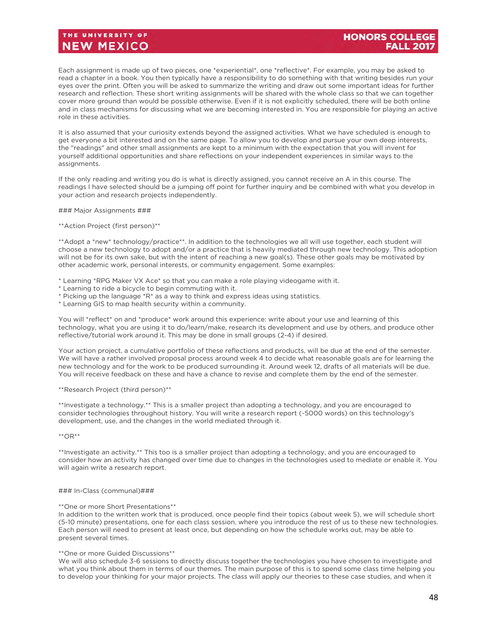Each assignment is made up of two pieces, one \*experiential\*, one \*reflective\*. For example, you may be asked to read a chapter in a book. You then typically have a responsibility to do something with that writing besides run your eyes over the print. Often you will be asked to summarize the writing and draw out some important ideas for further research and reflection. These short writing assignments will be shared with the whole class so that we can together cover more ground than would be possible otherwise. Even if it is not explicitly scheduled, there will be both online and in class mechanisms for discussing what we are becoming interested in. You are responsible for playing an active role in these activities.

It is also assumed that your curiosity extends beyond the assigned activities. What we have scheduled is enough to get everyone a bit interested and on the same page. To allow you to develop and pursue your own deep interests, the "readings" and other small assignments are kept to a minimum with the expectation that you will invent for yourself additional opportunities and share reflections on your independent experiences in similar ways to the assignments.

If the only reading and writing you do is what is directly assigned, you cannot receive an A in this course. The readings I have selected should be a jumping off point for further inquiry and be combined with what you develop in your action and research projects independently.

#### ### Major Assignments ###

\*\*Action Project (first person)\*\*

\*\*Adopt a \*new\* technology/practice\*\*. In addition to the technologies we all will use together, each student will choose a new technology to adopt and/or a practice that is heavily mediated through new technology. This adoption will not be for its own sake, but with the intent of reaching a new goal(s). These other goals may be motivated by other academic work, personal interests, or community engagement. Some examples:

- \* Learning \*RPG Maker VX Ace\* so that you can make a role playing videogame with it.
- \* Learning to ride a bicycle to begin commuting with it.
- \* Picking up the language \*R\* as a way to think and express ideas using statistics.
- \* Learning GIS to map health security within a community.

You will \*reflect\* on and \*produce\* work around this experience: write about your use and learning of this technology, what you are using it to do/learn/make, research its development and use by others, and produce other reflective/tutorial work around it. This may be done in small groups (2-4) if desired.

Your action project, a cumulative portfolio of these reflections and products, will be due at the end of the semester. We will have a rather involved proposal process around week 4 to decide what reasonable goals are for learning the new technology and for the work to be produced surrounding it. Around week 12, drafts of all materials will be due. You will receive feedback on these and have a chance to revise and complete them by the end of the semester.

#### \*\*Research Project (third person)\*\*

\*\*Investigate a technology.\*\* This is a smaller project than adopting a technology, and you are encouraged to consider technologies throughout history. You will write a research report (~5000 words) on this technology's development, use, and the changes in the world mediated through it.

\*\*OR\*\*

\*\*Investigate an activity.\*\* This too is a smaller project than adopting a technology, and you are encouraged to consider how an activity has changed over time due to changes in the technologies used to mediate or enable it. You will again write a research report.

### ### In-Class (communal)###

#### \*\*One or more Short Presentations\*\*

In addition to the written work that is produced, once people find their topics (about week 5), we will schedule short (5-10 minute) presentations, one for each class session, where you introduce the rest of us to these new technologies. Each person will need to present at least once, but depending on how the schedule works out, may be able to present several times.

#### \*\*One or more Guided Discussions\*\*

We will also schedule 3-6 sessions to directly discuss together the technologies you have chosen to investigate and what you think about them in terms of our themes. The main purpose of this is to spend some class time helping you to develop your thinking for your major projects. The class will apply our theories to these case studies, and when it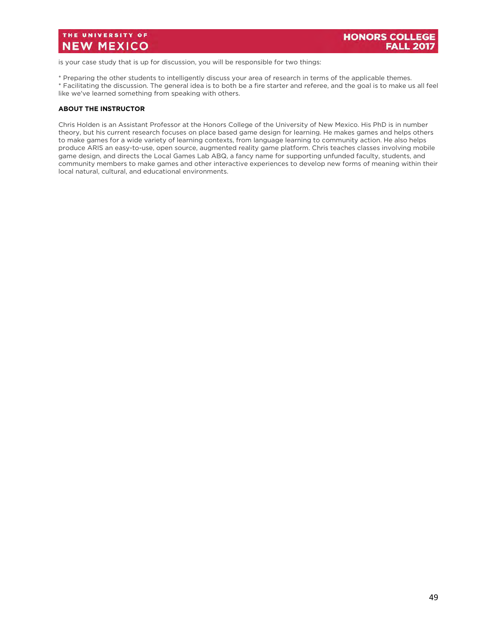is your case study that is up for discussion, you will be responsible for two things:

\* Preparing the other students to intelligently discuss your area of research in terms of the applicable themes. \* Facilitating the discussion. The general idea is to both be a fire starter and referee, and the goal is to make us all feel like we've learned something from speaking with others.

### **ABOUT THE INSTRUCTOR**

Chris Holden is an Assistant Professor at the Honors College of the University of New Mexico. His PhD is in number theory, but his current research focuses on place based game design for learning. He makes games and helps others to make games for a wide variety of learning contexts, from language learning to community action. He also helps produce ARIS an easy-to-use, open source, augmented reality game platform. Chris teaches classes involving mobile game design, and directs the Local Games Lab ABQ, a fancy name for supporting unfunded faculty, students, and community members to make games and other interactive experiences to develop new forms of meaning within their local natural, cultural, and educational environments.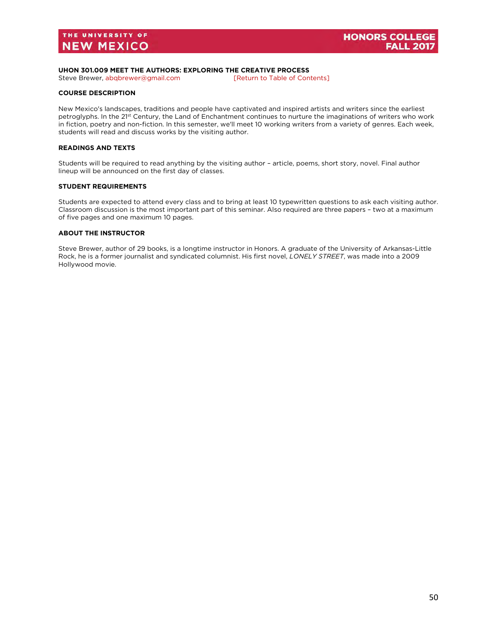## <span id="page-50-0"></span>**UHON 301.009 MEET THE AUTHORS: EXPLORING THE CREATIVE PROCESS**

Steve Brewer, abgbrewer@gmail.com [\[Return to Table of Contents\]](#page-2-0)

### **COURSE DESCRIPTION**

New Mexico's landscapes, traditions and people have captivated and inspired artists and writers since the earliest petroglyphs. In the 21st Century, the Land of Enchantment continues to nurture the imaginations of writers who work in fiction, poetry and non-fiction. In this semester, we'll meet 10 working writers from a variety of genres. Each week, students will read and discuss works by the visiting author.

### **READINGS AND TEXTS**

Students will be required to read anything by the visiting author – article, poems, short story, novel. Final author lineup will be announced on the first day of classes.

### **STUDENT REQUIREMENTS**

Students are expected to attend every class and to bring at least 10 typewritten questions to ask each visiting author. Classroom discussion is the most important part of this seminar. Also required are three papers – two at a maximum of five pages and one maximum 10 pages.

### **ABOUT THE INSTRUCTOR**

Steve Brewer, author of 29 books, is a longtime instructor in Honors. A graduate of the University of Arkansas-Little Rock, he is a former journalist and syndicated columnist. His first novel, *LONELY STREET*, was made into a 2009 Hollywood movie.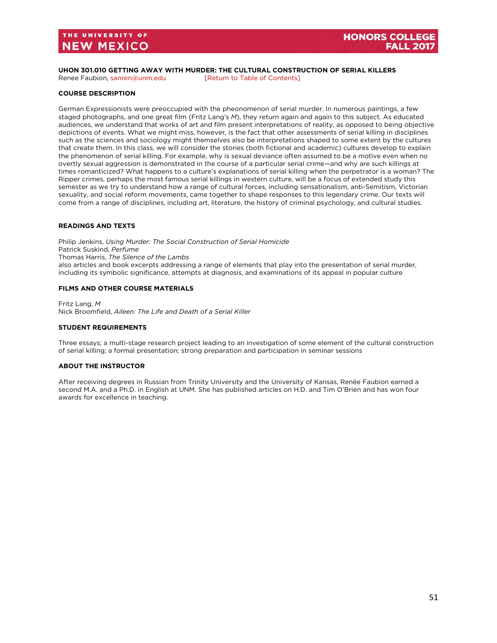### <span id="page-51-0"></span>**UHON 301.010 GETTING AWAY WITH MURDER: THE CULTURAL CONSTRUCTION OF SERIAL KILLERS** Renee Faubion, [sanren@unm.edu](mailto:sanren@unm.edu) [\[Return to Table of Contents\]](#page-2-0)

### **COURSE DESCRIPTION**

German Expressionists were preoccupied with the pheonomenon of serial murder. In numerous paintings, a few staged photographs, and one great film (Fritz Lang's *M*), they return again and again to this subject. As educated audiences, we understand that works of art and film present interpretations of reality, as opposed to being objective depictions of events. What we might miss, however, is the fact that other assessments of serial killing in disciplines such as the sciences and sociology might themselves also be interpretations shaped to some extent by the cultures that create them. In this class, we will consider the stories (both fictional and academic) cultures develop to explain the phenomenon of serial killing. For example, why is sexual deviance often assumed to be a motive even when no overtly sexual aggression is demonstrated in the course of a particular serial crime—and why are such killings at times romanticized? What happens to a culture's explanations of serial killing when the perpetrator is a woman? The Ripper crimes, perhaps the most famous serial killings in western culture, will be a focus of extended study this semester as we try to understand how a range of cultural forces, including sensationalism, anti-Semitism, Victorian sexuality, and social reform movements, came together to shape responses to this legendary crime. Our texts will come from a range of disciplines, including art, literature, the history of criminal psychology, and cultural studies.

### **READINGS AND TEXTS**

Philip Jenkins, *Using Murder: The Social Construction of Serial Homicide* Patrick Suskind, *Perfume* Thomas Harris, *The Silence of the Lambs* also articles and book excerpts addressing a range of elements that play into the presentation of serial murder, including its symbolic significance, attempts at diagnosis, and examinations of its appeal in popular culture

### **FILMS AND OTHER COURSE MATERIALS**

Fritz Lang, *M* Nick Broomfield, *Aileen: The Life and Death of a Serial Killer*

### **STUDENT REQUIREMENTS**

Three essays; a multi-stage research project leading to an investigation of some element of the cultural construction of serial killing; a formal presentation; strong preparation and participation in seminar sessions

### **ABOUT THE INSTRUCTOR**

After receiving degrees in Russian from Trinity University and the University of Kansas, Renée Faubion earned a second M.A. and a Ph.D. in English at UNM. She has published articles on H.D. and Tim O'Brien and has won four awards for excellence in teaching.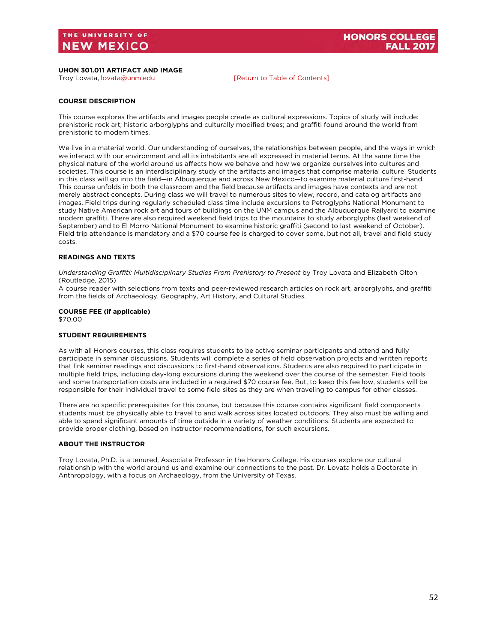<span id="page-52-0"></span>Troy Lovata[, lovata@unm.edu](mailto:lovata@unm.edu) [\[Return to Table of Contents\]](#page-2-0)

### **COURSE DESCRIPTION**

This course explores the artifacts and images people create as cultural expressions. Topics of study will include: prehistoric rock art; historic arborglyphs and culturally modified trees; and graffiti found around the world from prehistoric to modern times.

We live in a material world. Our understanding of ourselves, the relationships between people, and the ways in which we interact with our environment and all its inhabitants are all expressed in material terms. At the same time the physical nature of the world around us affects how we behave and how we organize ourselves into cultures and societies. This course is an interdisciplinary study of the artifacts and images that comprise material culture. Students in this class will go into the field—in Albuquerque and across New Mexico—to examine material culture first-hand. This course unfolds in both the classroom and the field because artifacts and images have contexts and are not merely abstract concepts. During class we will travel to numerous sites to view, record, and catalog artifacts and images. Field trips during regularly scheduled class time include excursions to Petroglyphs National Monument to study Native American rock art and tours of buildings on the UNM campus and the Albuquerque Railyard to examine modern graffiti. There are also required weekend field trips to the mountains to study arborglyphs (last weekend of September) and to El Morro National Monument to examine historic graffiti (second to last weekend of October). Field trip attendance is mandatory and a \$70 course fee is charged to cover some, but not all, travel and field study costs.

### **READINGS AND TEXTS**

*Understanding Graffiti: Multidisciplinary Studies From Prehistory to Present* by Troy Lovata and Elizabeth Olton (Routledge, 2015)

A course reader with selections from texts and peer-reviewed research articles on rock art, arborglyphs, and graffiti from the fields of Archaeology, Geography, Art History, and Cultural Studies.

**COURSE FEE (if applicable)** \$70.00

### **STUDENT REQUIREMENTS**

As with all Honors courses, this class requires students to be active seminar participants and attend and fully participate in seminar discussions. Students will complete a series of field observation projects and written reports that link seminar readings and discussions to first-hand observations. Students are also required to participate in multiple field trips, including day-long excursions during the weekend over the course of the semester. Field tools and some transportation costs are included in a required \$70 course fee. But, to keep this fee low, students will be responsible for their individual travel to some field sites as they are when traveling to campus for other classes.

There are no specific prerequisites for this course, but because this course contains significant field components students must be physically able to travel to and walk across sites located outdoors. They also must be willing and able to spend significant amounts of time outside in a variety of weather conditions. Students are expected to provide proper clothing, based on instructor recommendations, for such excursions.

### **ABOUT THE INSTRUCTOR**

Troy Lovata, Ph.D. is a tenured, Associate Professor in the Honors College. His courses explore our cultural relationship with the world around us and examine our connections to the past. Dr. Lovata holds a Doctorate in Anthropology, with a focus on Archaeology, from the University of Texas.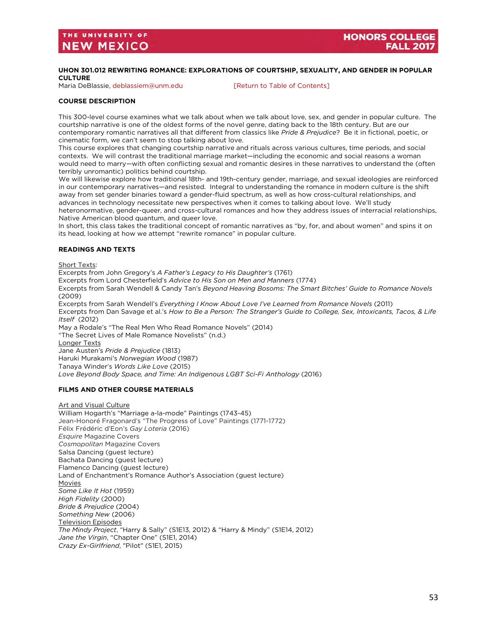### <span id="page-53-0"></span>**UHON 301.012 REWRITING ROMANCE: EXPLORATIONS OF COURTSHIP, SEXUALITY, AND GENDER IN POPULAR CULTURE**

Maria DeBlassie[, deblassiem@unm.edu](mailto:deblassiem@unm.edu) [\[Return to Table of Contents\]](#page-2-0)

### **COURSE DESCRIPTION**

This 300-level course examines what we talk about when we talk about love, sex, and gender in popular culture. The courtship narrative is one of the oldest forms of the novel genre, dating back to the 18th century. But are our contemporary romantic narratives all that different from classics like *Pride & Prejudice*? Be it in fictional, poetic, or cinematic form, we can't seem to stop talking about love.

This course explores that changing courtship narrative and rituals across various cultures, time periods, and social contexts. We will contrast the traditional marriage market—including the economic and social reasons a woman would need to marry—with often conflicting sexual and romantic desires in these narratives to understand the (often terribly unromantic) politics behind courtship.

We will likewise explore how traditional 18th- and 19th-century gender, marriage, and sexual ideologies are reinforced in our contemporary narratives—and resisted. Integral to understanding the romance in modern culture is the shift away from set gender binaries toward a gender-fluid spectrum, as well as how cross-cultural relationships, and advances in technology necessitate new perspectives when it comes to talking about love. We'll study heteronormative, gender-queer, and cross-cultural romances and how they address issues of interracial relationships, Native American blood quantum, and queer love.

In short, this class takes the traditional concept of romantic narratives as "by, for, and about women" and spins it on its head, looking at how we attempt "rewrite romance" in popular culture.

### **READINGS AND TEXTS**

Short Texts:

Excerpts from John Gregory's *A Father's Legacy to His Daughter's* (1761) Excerpts from Lord Chesterfield's *Advice to His Son on Men and Manners* (1774) Excerpts from Sarah Wendell & Candy Tan's *Beyond Heaving Bosoms: The Smart Bitches' Guide to Romance Novels* (2009) Excerpts from Sarah Wendell's *Everything I Know About Love I've Learned from Romance Novels* (2011) Excerpts from Dan Savage et al.'s *How to Be a Person: The Stranger's Guide to College, Sex, Intoxicants, Tacos, & Life Itself* (2012) May a Rodale's "The Real Men Who Read Romance Novels" (2014) "The Secret Lives of Male Romance Novelists" (n.d.) Longer Texts Jane Austen's *Pride & Prejudice* (1813)

Haruki Murakami's *Norwegian Wood* (1987)

Tanaya [Winder's](https://www.amazon.com/s/ref=dp_byline_sr_book_1?ie=UTF8&text=Tanaya+Winder&search-alias=books&field-author=Tanaya+Winder&sort=relevancerank) *Words Like Love* (2015)

*Love Beyond Body Space, and Time: An Indigenous LGBT Sci-Fi Anthology* (2016)

#### **FILMS AND OTHER COURSE MATERIALS**

Art and Visual Culture William Hogarth's "Marriage a-la-mode" Paintings (1743-45) Jean-Honoré Fragonard's "The Progress of Love" Paintings (1771-1772) Félix Frédéric d'Eon's *Gay Loteria* (2016) *Esquire* Magazine Covers *Cosmopolitan* Magazine Covers Salsa Dancing (guest lecture) Bachata Dancing (guest lecture) Flamenco Dancing (guest lecture) Land of Enchantment's Romance Author's Association (guest lecture) Movies *Some Like It Hot* (1959) *High Fidelity* (2000) *Bride & Prejudice* (2004) *Something New* (2006) Television Episodes *The Mindy Project*, "Harry & Sally" (S1E13, 2012) & "Harry & Mindy" (S1E14, 2012) *Jane the Virgin*, "Chapter One" (S1E1, 2014) *Crazy Ex-Girlfriend*, "Pilot" (S1E1, 2015)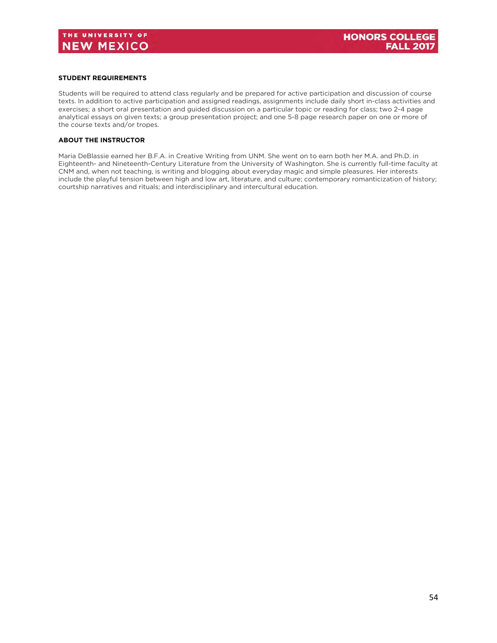### **STUDENT REQUIREMENTS**

Students will be required to attend class regularly and be prepared for active participation and discussion of course texts. In addition to active participation and assigned readings, assignments include daily short in-class activities and exercises; a short oral presentation and guided discussion on a particular topic or reading for class; two 2-4 page analytical essays on given texts; a group presentation project; and one 5-8 page research paper on one or more of the course texts and/or tropes.

### **ABOUT THE INSTRUCTOR**

Maria DeBlassie earned her B.F.A. in Creative Writing from UNM. She went on to earn both her M.A. and Ph.D. in Eighteenth- and Nineteenth-Century Literature from the University of Washington. She is currently full-time faculty at CNM and, when not teaching, is writing and blogging about everyday magic and simple pleasures. Her interests include the playful tension between high and low art, literature, and culture; contemporary romanticization of history; courtship narratives and rituals; and interdisciplinary and intercultural education.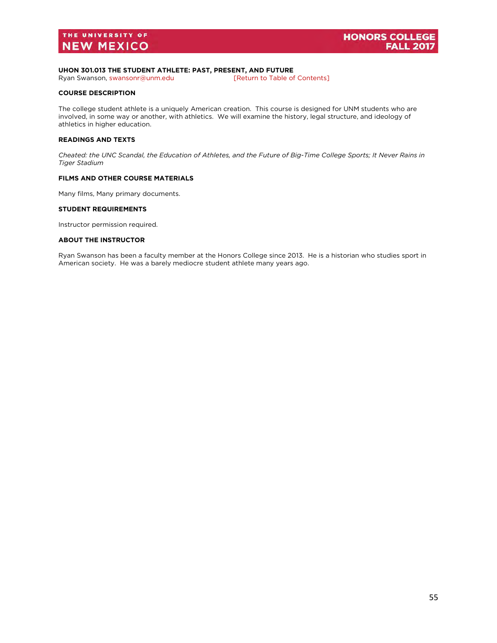# <span id="page-55-0"></span>**UHON 301.013 THE STUDENT ATHLETE: PAST, PRESENT, AND FUTURE**

Ryan Swanson, swansonr@unm.edu

### **COURSE DESCRIPTION**

The college student athlete is a uniquely American creation. This course is designed for UNM students who are involved, in some way or another, with athletics. We will examine the history, legal structure, and ideology of athletics in higher education.

### **READINGS AND TEXTS**

*Cheated: the UNC Scandal, the Education of Athletes, and the Future of Big-Time College Sports; It Never Rains in Tiger Stadium*

### **FILMS AND OTHER COURSE MATERIALS**

Many films, Many primary documents.

### **STUDENT REQUIREMENTS**

Instructor permission required.

### **ABOUT THE INSTRUCTOR**

Ryan Swanson has been a faculty member at the Honors College since 2013. He is a historian who studies sport in American society. He was a barely mediocre student athlete many years ago.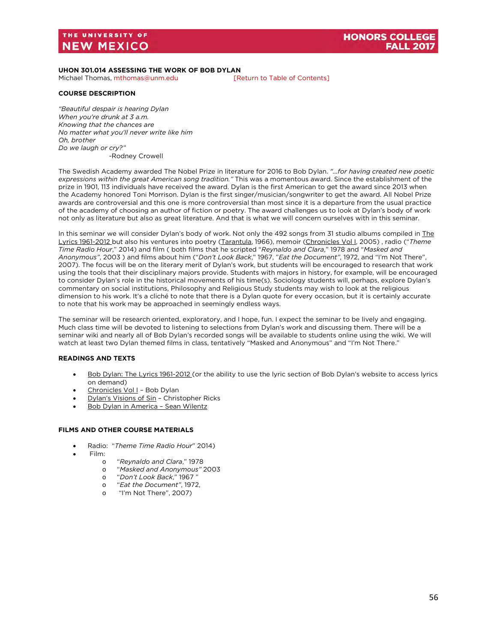### <span id="page-56-0"></span>**UHON 301.014 ASSESSING THE WORK OF BOB DYLAN**

Michael Thomas, [mthomas@unm.edu](mailto:mthomas@unm.edu) [\[Return to Table of Contents\]](#page-2-0)

### **COURSE DESCRIPTION**

*"Beautiful despair is hearing Dylan When you're drunk at 3 a.m. Knowing that the chances are No matter what you'll never write like him Oh, brother Do we laugh or cry?"* -Rodney Crowell

The Swedish Academy awarded The Nobel Prize in literature for 2016 to Bob Dylan. *"…for having created new poetic expressions within the great American song tradition."* This was a momentous award. Since the establishment of the prize in 1901, 113 individuals have received the award. Dylan is the first American to get the award since 2013 when the Academy honored Toni Morrison. Dylan is the first singer/musician/songwriter to get the award. All Nobel Prize awards are controversial and this one is more controversial than most since it is a departure from the usual practice of the academy of choosing an author of fiction or poetry. The award challenges us to look at Dylan's body of work not only as literature but also as great literature. And that is what we will concern ourselves with in this seminar.

In this seminar we will consider Dylan's body of work. Not only the 492 songs from 31 studio albums compiled in The Lyrics 1961-2012 but also his ventures into poetry (Tarantula, 1966), memoir (Chronicles Vol I, 2005) , radio ("*Theme Time Radio Hour*," 2014) and film ( both films that he scripted "*Reynaldo and Clara*," 1978 and "*Masked and Anonymous"*, 2003 ) and films about him ("*Don't Look Back*," 1967, "*Eat the Document"*, 1972, and "I'm Not There", 2007). The focus will be on the literary merit of Dylan's work, but students will be encouraged to research that work using the tools that their disciplinary majors provide. Students with majors in history, for example, will be encouraged to consider Dylan's role in the historical movements of his time(s). Sociology students will, perhaps, explore Dylan's commentary on social institutions, Philosophy and Religious Study students may wish to look at the religious dimension to his work. It's a cliché to note that there is a Dylan quote for every occasion, but it is certainly accurate to note that his work may be approached in seemingly endless ways.

The seminar will be research oriented, exploratory, and I hope, fun. I expect the seminar to be lively and engaging. Much class time will be devoted to listening to selections from Dylan's work and discussing them. There will be a seminar wiki and nearly all of Bob Dylan's recorded songs will be available to students online using the wiki. We will watch at least two Dylan themed films in class, tentatively "Masked and Anonymous" and "I'm Not There."

### **READINGS AND TEXTS**

- Bob Dylan: The Lyrics 1961-2012 (or the ability to use the lyric section of Bob Dylan's website to access lyrics on demand)
- Chronicles Vol I Bob Dylan
- Dylan's Visions of Sin Christopher Ricks
- Bob Dylan in America Sean Wilentz

### **FILMS AND OTHER COURSE MATERIALS**

- Radio: "*Theme Time Radio Hour*" 2014)
- Film:
	- o "*Reynaldo and Clara*," 1978
	- o "*Masked and Anonymous"* 2003
	- o "*Don't Look Back*," 1967 "
	- o "*Eat the Document"*, 1972,
	- "I'm Not There", 2007)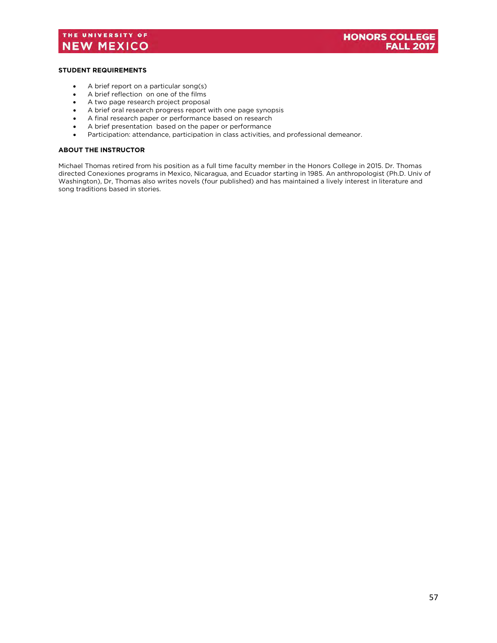### **STUDENT REQUIREMENTS**

- A brief report on a particular song(s)
- A brief reflection on one of the films
- A two page research project proposal
- A brief oral research progress report with one page synopsis
- A final research paper or performance based on research
- A brief presentation based on the paper or performance
- Participation: attendance, participation in class activities, and professional demeanor.

### **ABOUT THE INSTRUCTOR**

Michael Thomas retired from his position as a full time faculty member in the Honors College in 2015. Dr. Thomas directed Conexiones programs in Mexico, Nicaragua, and Ecuador starting in 1985. An anthropologist (Ph.D. Univ of Washington), Dr, Thomas also writes novels (four published) and has maintained a lively interest in literature and song traditions based in stories.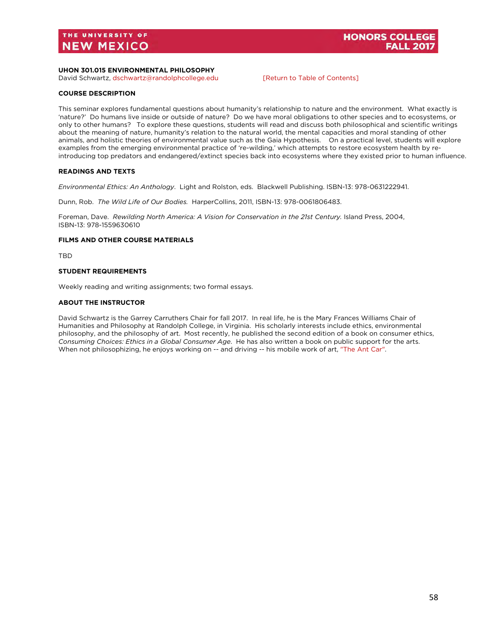### <span id="page-58-0"></span>**UHON 301.015 ENVIRONMENTAL PHILOSOPHY**

David Schwartz, [dschwartz@randolphcollege.edu](mailto:dschwartz@randolphcollege.edu) [\[Return to Table of Contents\]](#page-2-0)

### **COURSE DESCRIPTION**

This seminar explores fundamental questions about humanity's relationship to nature and the environment. What exactly is 'nature?' Do humans live inside or outside of nature? Do we have moral obligations to other species and to ecosystems, or only to other humans? To explore these questions, students will read and discuss both philosophical and scientific writings about the meaning of nature, humanity's relation to the natural world, the mental capacities and moral standing of other animals, and holistic theories of environmental value such as the Gaia Hypothesis. On a practical level, students will explore examples from the emerging environmental practice of 're-wilding,' which attempts to restore ecosystem health by reintroducing top predators and endangered/extinct species back into ecosystems where they existed prior to human influence.

### **READINGS AND TEXTS**

*Environmental Ethics: An Anthology*. Light and Rolston, eds. Blackwell Publishing. ISBN-13: 978-0631222941.

Dunn, Rob. *The Wild Life of Our Bodies.* HarperCollins, 2011, ISBN-13: 978-0061806483.

Foreman, Dave. *Rewilding North America: A Vision for Conservation in the 21st Century.* Island Press, 2004, ISBN-13: 978-1559630610

### **FILMS AND OTHER COURSE MATERIALS**

TBD

### **STUDENT REQUIREMENTS**

Weekly reading and writing assignments; two formal essays.

### **ABOUT THE INSTRUCTOR**

David Schwartz is the Garrey Carruthers Chair for fall 2017. In real life, he is the Mary Frances Williams Chair of Humanities and Philosophy at Randolph College, in Virginia. His scholarly interests include ethics, environmental philosophy, and the philosophy of art. Most recently, he published the second edition of a book on consumer ethics, *Consuming Choices: Ethics in a Global Consumer Age*. He has also written a book on public support for the arts. When not philosophizing, he enjoys working on -- and driving -- his mobile work of art[, "The Ant Car".](http://www.theantcar.com/)

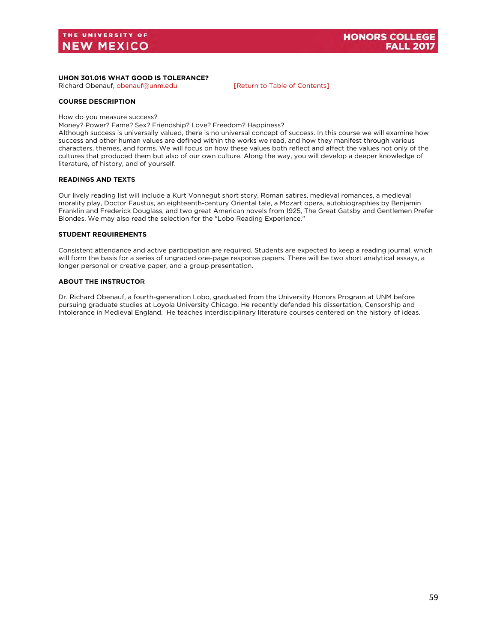### <span id="page-59-0"></span>**UHON 301.016 WHAT GOOD IS TOLERANCE?**

Richard Obenauf[, obenauf@unm.edu](mailto:obenauf@unm.edu) [\[Return to Table of Contents\]](#page-2-0)

### **COURSE DESCRIPTION**

How do you measure success?

Money? Power? Fame? Sex? Friendship? Love? Freedom? Happiness?

Although success is universally valued, there is no universal concept of success. In this course we will examine how success and other human values are defined within the works we read, and how they manifest through various characters, themes, and forms. We will focus on how these values both reflect and affect the values not only of the cultures that produced them but also of our own culture. Along the way, you will develop a deeper knowledge of literature, of history, and of yourself.

### **READINGS AND TEXTS**

Our lively reading list will include a Kurt Vonnegut short story, Roman satires, medieval romances, a medieval morality play, Doctor Faustus, an eighteenth-century Oriental tale, a Mozart opera, autobiographies by Benjamin Franklin and Frederick Douglass, and two great American novels from 1925, The Great Gatsby and Gentlemen Prefer Blondes. We may also read the selection for the "Lobo Reading Experience."

### **STUDENT REQUIREMENTS**

Consistent attendance and active participation are required. Students are expected to keep a reading journal, which will form the basis for a series of ungraded one-page response papers. There will be two short analytical essays, a longer personal or creative paper, and a group presentation.

### **ABOUT THE INSTRUCTO**R

Dr. Richard Obenauf, a fourth-generation Lobo, graduated from the University Honors Program at UNM before pursuing graduate studies at Loyola University Chicago. He recently defended his dissertation, Censorship and Intolerance in Medieval England. He teaches interdisciplinary literature courses centered on the history of ideas.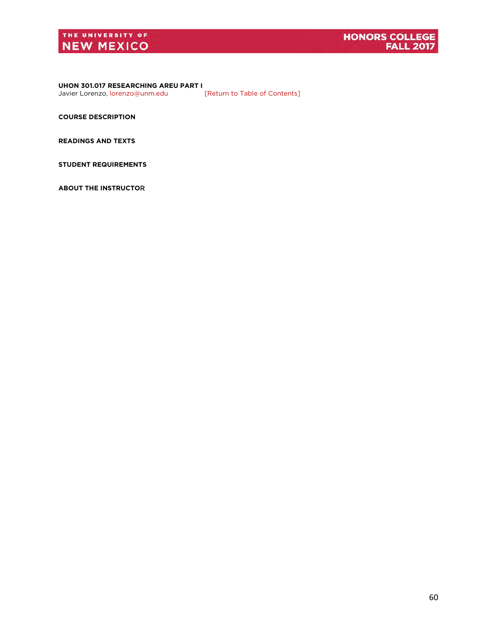

<span id="page-60-0"></span>**UHON 301.017 RESEARCHING AREU PART I** Javier Lorenzo, [lorenzo@unm.edu](mailto:lorenzo@unm.edu) [\[Return to Table of Contents\]](#page-2-0)

**COURSE DESCRIPTION**

**READINGS AND TEXTS**

**STUDENT REQUIREMENTS**

**ABOUT THE INSTRUCTO**R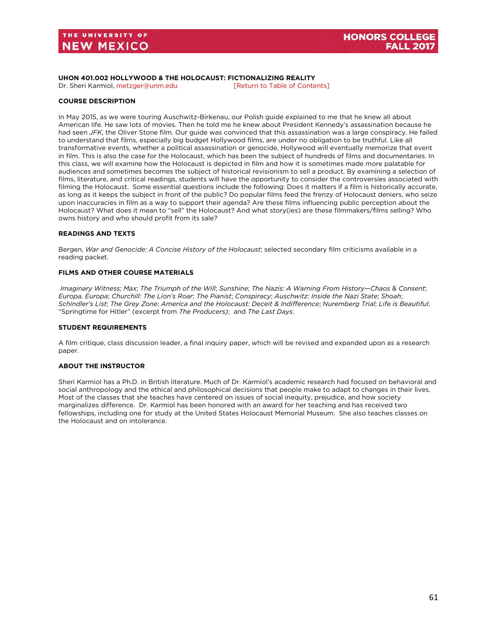### <span id="page-61-0"></span>**UHON 401.002 HOLLYWOOD & THE HOLOCAUST: FICTIONALIZING REALITY**

Dr. Sheri Karmiol[, metzger@unm.edu](mailto:metzger@unm.edu) [\[Return to Table of Contents\]](#page-3-0)

### **COURSE DESCRIPTION**

In May 2015, as we were touring Auschwitz-Birkenau, our Polish guide explained to me that he knew all about American life. He saw lots of movies. Then he told me he knew about President Kennedy's assassination because he had seen *JFK*, the Oliver Stone film. Our guide was convinced that this assassination was a large conspiracy. He failed to understand that films, especially big budget Hollywood films, are under no obligation to be truthful. Like all transformative events, whether a political assassination or genocide, Hollywood will eventually memorize that event in film. This is also the case for the Holocaust, which has been the subject of hundreds of films and documentaries. In this class, we will examine how the Holocaust is depicted in film and how it is sometimes made more palatable for audiences and sometimes becomes the subject of historical revisionism to sell a product. By examining a selection of films, literature, and critical readings, students will have the opportunity to consider the controversies associated with filming the Holocaust. Some essential questions include the following: Does it matters if a film is historically accurate, as long as it keeps the subject in front of the public? Do popular films feed the frenzy of Holocaust deniers, who seize upon inaccuracies in film as a way to support their agenda? Are these films influencing public perception about the Holocaust? What does it mean to "sell" the Holocaust? And what story(ies) are these filmmakers/films selling? Who owns history and who should profit from its sale?

### **READINGS AND TEXTS**

Bergen, *War and Genocide: A Concise History of the Holocaust*; selected secondary film criticisms available in a reading packet.

### **FILMS AND OTHER COURSE MATERIALS**

*Imaginary Witness*; *Max*; *The Triumph of the Will*; *Sunshine*; *The Nazis: A Warning From History—Chaos* & *Consent*; *Europa, Europa*; *Churchill: The Lion's Roar*; *The Pianist*; *Conspiracy*; *Auschwitz: Inside the Nazi State*; *Shoah*; *Schindler's List*; *The Grey Zone*; *America and the Holocaust: Deceit & Indifference*; *Nuremberg Trial*; *Life is Beautiful*; "Springtime for Hitler" (excerpt from *The Producers)*; and *The Last Days*.

### **STUDENT REQUIREMENTS**

A film critique, class discussion leader, a final inquiry paper, which will be revised and expanded upon as a research paper.

### **ABOUT THE INSTRUCTOR**

Sheri Karmiol has a Ph.D. in British literature. Much of Dr. Karmiol's academic research had focused on behavioral and social anthropology and the ethical and philosophical decisions that people make to adapt to changes in their lives. Most of the classes that she teaches have centered on issues of social inequity, prejudice, and how society marginalizes difference. Dr. Karmiol has been honored with an award for her teaching and has received two fellowships, including one for study at the United States Holocaust Memorial Museum. She also teaches classes on the Holocaust and on intolerance.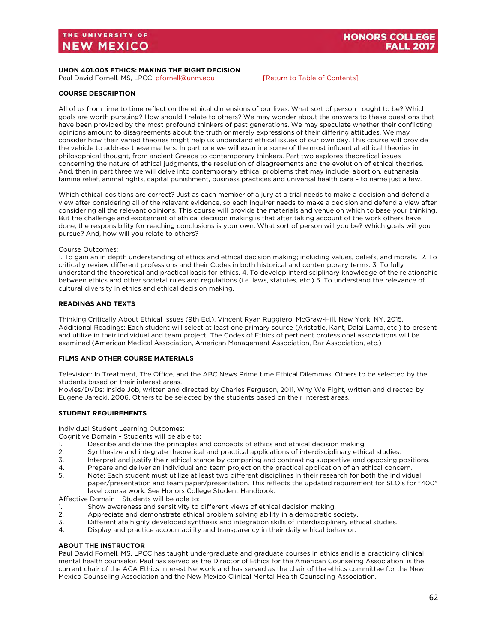### <span id="page-62-0"></span>**UHON 401.003 ETHICS: MAKING THE RIGHT DECISION**

Paul David Fornell, MS, LPCC[, pfornell@unm.edu](mailto:pfornell@unm.edu) [\[Return to Table of Contents\]](#page-3-0)

### **COURSE DESCRIPTION**

All of us from time to time reflect on the ethical dimensions of our lives. What sort of person I ought to be? Which goals are worth pursuing? How should I relate to others? We may wonder about the answers to these questions that have been provided by the most profound thinkers of past generations. We may speculate whether their conflicting opinions amount to disagreements about the truth or merely expressions of their differing attitudes. We may consider how their varied theories might help us understand ethical issues of our own day. This course will provide the vehicle to address these matters. In part one we will examine some of the most influential ethical theories in philosophical thought, from ancient Greece to contemporary thinkers. Part two explores theoretical issues concerning the nature of ethical judgments, the resolution of disagreements and the evolution of ethical theories. And, then in part three we will delve into contemporary ethical problems that may include; abortion, euthanasia, famine relief, animal rights, capital punishment, business practices and universal health care – to name just a few.

Which ethical positions are correct? Just as each member of a jury at a trial needs to make a decision and defend a view after considering all of the relevant evidence, so each inquirer needs to make a decision and defend a view after considering all the relevant opinions. This course will provide the materials and venue on which to base your thinking. But the challenge and excitement of ethical decision making is that after taking account of the work others have done, the responsibility for reaching conclusions is your own. What sort of person will you be? Which goals will you pursue? And, how will you relate to others?

### Course Outcomes:

1. To gain an in depth understanding of ethics and ethical decision making; including values, beliefs, and morals. 2. To critically review different professions and their Codes in both historical and contemporary terms. 3. To fully understand the theoretical and practical basis for ethics. 4. To develop interdisciplinary knowledge of the relationship between ethics and other societal rules and regulations (i.e. laws, statutes, etc.) 5. To understand the relevance of cultural diversity in ethics and ethical decision making.

### **READINGS AND TEXTS**

Thinking Critically About Ethical Issues (9th Ed.), Vincent Ryan Ruggiero, McGraw-Hill, New York, NY, 2015. Additional Readings: Each student will select at least one primary source (Aristotle, Kant, Dalai Lama, etc.) to present and utilize in their individual and team project. The Codes of Ethics of pertinent professional associations will be examined (American Medical Association, American Management Association, Bar Association, etc.)

### **FILMS AND OTHER COURSE MATERIALS**

Television: In Treatment, The Office, and the ABC News Prime time Ethical Dilemmas. Others to be selected by the students based on their interest areas.

Movies/DVDs: Inside Job, written and directed by Charles Ferguson, 2011, Why We Fight, written and directed by Eugene Jarecki, 2006. Others to be selected by the students based on their interest areas.

### **STUDENT REQUIREMENTS**

Individual Student Learning Outcomes:

Cognitive Domain – Students will be able to:

- 1. Describe and define the principles and concepts of ethics and ethical decision making.
- 2. Synthesize and integrate theoretical and practical applications of interdisciplinary ethical studies.
- 3. Interpret and justify their ethical stance by comparing and contrasting supportive and opposing positions.<br>4. Prepare and deliver an individual and team project on the practical application of an ethical concern.
- Prepare and deliver an individual and team project on the practical application of an ethical concern.
- 5. Note: Each student must utilize at least two different disciplines in their research for both the individual paper/presentation and team paper/presentation. This reflects the updated requirement for SLO's for "400" level course work. See Honors College Student Handbook.

Affective Domain – Students will be able to:

- 1. Show awareness and sensitivity to different views of ethical decision making.
- 2. Appreciate and demonstrate ethical problem solving ability in a democratic society.<br>3. Differentiate highly developed synthesis and integration skills of interdisciplinary eth
- Differentiate highly developed synthesis and integration skills of interdisciplinary ethical studies.
- 4. Display and practice accountability and transparency in their daily ethical behavior.

### **ABOUT THE INSTRUCTOR**

Paul David Fornell, MS, LPCC has taught undergraduate and graduate courses in ethics and is a practicing clinical mental health counselor. Paul has served as the Director of Ethics for the American Counseling Association, is the current chair of the ACA Ethics Interest Network and has served as the chair of the ethics committee for the New Mexico Counseling Association and the New Mexico Clinical Mental Health Counseling Association.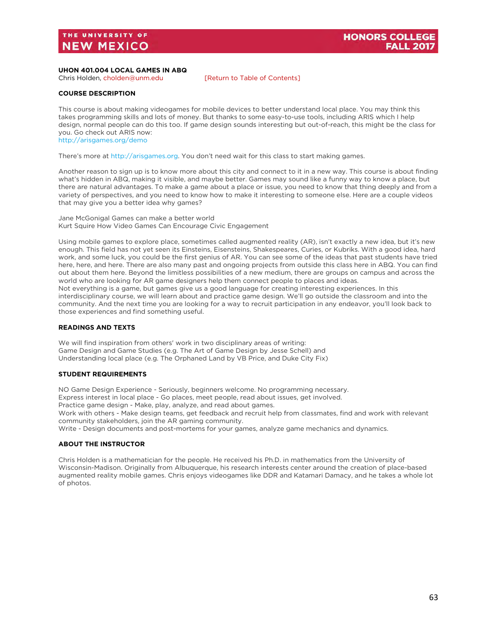# <span id="page-63-0"></span>**UHON 401.004 LOCAL GAMES IN ABQ**

[\[Return to Table of Contents\]](#page-3-0)

### **COURSE DESCRIPTION**

This course is about making videogames for mobile devices to better understand local place. You may think this takes programming skills and lots of money. But thanks to some easy-to-use tools, including ARIS which I help design, normal people can do this too. If game design sounds interesting but out-of-reach, this might be the class for you. Go check out ARIS now: <http://arisgames.org/demo>

There's more at [http://arisgames.org.](http://arisgames.org/) You don't need wait for this class to start making games.

Another reason to sign up is to know more about this city and connect to it in a new way. This course is about finding what's hidden in ABQ, making it visible, and maybe better. Games may sound like a funny way to know a place, but there are natural advantages. To make a game about a place or issue, you need to know that thing deeply and from a variety of perspectives, and you need to know how to make it interesting to someone else. Here are a couple videos that may give you a better idea why games?

Jane McGonigal Games can make a better world Kurt Squire How Video Games Can Encourage Civic Engagement

Using mobile games to explore place, sometimes called augmented reality (AR), isn't exactly a new idea, but it's new enough. This field has not yet seen its Einsteins, Eisensteins, Shakespeares, Curies, or Kubriks. With a good idea, hard work, and some luck, you could be the first genius of AR. You can see some of the ideas that past students have tried here, here, and here. There are also many past and ongoing projects from outside this class here in ABQ. You can find out about them here. Beyond the limitless possibilities of a new medium, there are groups on campus and across the world who are looking for AR game designers help them connect people to places and ideas. Not everything is a game, but games give us a good language for creating interesting experiences. In this interdisciplinary course, we will learn about and practice game design. We'll go outside the classroom and into the community. And the next time you are looking for a way to recruit participation in any endeavor, you'll look back to those experiences and find something useful.

#### **READINGS AND TEXTS**

We will find inspiration from others' work in two disciplinary areas of writing: Game Design and Game Studies (e.g. The Art of Game Design by Jesse Schell) and Understanding local place (e.g. The Orphaned Land by VB Price, and Duke City Fix)

### **STUDENT REQUIREMENTS**

NO Game Design Experience - Seriously, beginners welcome. No programming necessary. Express interest in local place - Go places, meet people, read about issues, get involved. Practice game design - Make, play, analyze, and read about games. Work with others - Make design teams, get feedback and recruit help from classmates, find and work with relevant community stakeholders, join the AR gaming community. Write - Design documents and post-mortems for your games, analyze game mechanics and dynamics.

### **ABOUT THE INSTRUCTOR**

Chris Holden is a mathematician for the people. He received his Ph.D. in mathematics from the University of Wisconsin-Madison. Originally from Albuquerque, his research interests center around the creation of place-based augmented reality mobile games. Chris enjoys videogames like DDR and Katamari Damacy, and he takes a whole lot of photos.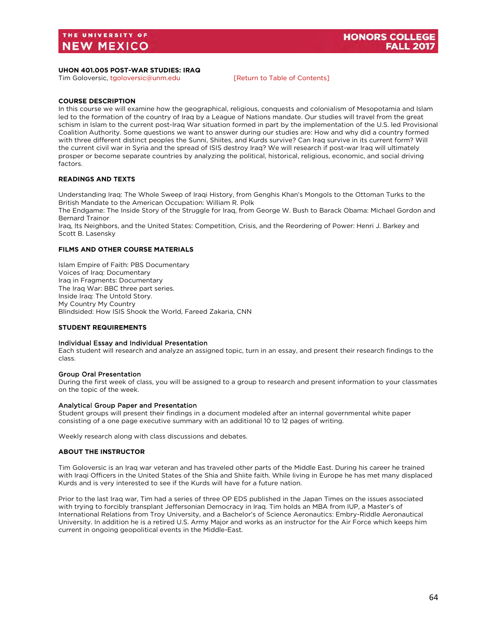### <span id="page-64-0"></span>**UHON 401.005 POST-WAR STUDIES: IRAQ**

Tim Goloversic[, tgoloversic@unm.edu](mailto:tgoloversic@unm.edu) [\[Return to Table of Contents\]](#page-3-0)

### **COURSE DESCRIPTION**

In this course we will examine how the geographical, religious, conquests and colonialism of Mesopotamia and Islam led to the formation of the country of Iraq by a League of Nations mandate. Our studies will travel from the great schism in Islam to the current post-Iraq War situation formed in part by the implementation of the U.S. led Provisional Coalition Authority. Some questions we want to answer during our studies are: How and why did a country formed with three different distinct peoples the Sunni, Shiites, and Kurds survive? Can Iraq survive in its current form? Will the current civil war in Syria and the spread of ISIS destroy Iraq? We will research if post-war Iraq will ultimately prosper or become separate countries by analyzing the political, historical, religious, economic, and social driving factors.

### **READINGS AND TEXTS**

Understanding Iraq: The Whole Sweep of Iraqi History, from Genghis Khan's Mongols to the Ottoman Turks to the British Mandate to the American Occupation: William R. Polk

The Endgame: The Inside Story of the Struggle for Iraq, from George W. Bush to Barack Obama: Michael Gordon and Bernard Trainor

Iraq, Its Neighbors, and the United States: Competition, Crisis, and the Reordering of Power: Henri J. Barkey and Scott B. Lasensky

### **FILMS AND OTHER COURSE MATERIALS**

Islam Empire of Faith: PBS Documentary Voices of Iraq: Documentary Iraq in Fragments: Documentary The Iraq War: BBC three part series. Inside Iraq: The Untold Story. My Country My Country Blindsided: How ISIS Shook the World, Fareed Zakaria, CNN

### **STUDENT REQUIREMENTS**

### Individual Essay and Individual Presentation

Each student will research and analyze an assigned topic, turn in an essay, and present their research findings to the class.

### Group Oral Presentation

During the first week of class, you will be assigned to a group to research and present information to your classmates on the topic of the week.

### Analytical Group Paper and Presentation

Student groups will present their findings in a document modeled after an internal governmental white paper consisting of a one page executive summary with an additional 10 to 12 pages of writing.

Weekly research along with class discussions and debates.

### **ABOUT THE INSTRUCTOR**

Tim Goloversic is an Iraq war veteran and has traveled other parts of the Middle East. During his career he trained with Iraqi Officers in the United States of the Shia and Shiite faith. While living in Europe he has met many displaced Kurds and is very interested to see if the Kurds will have for a future nation.

Prior to the last Iraq war, Tim had a series of three OP EDS published in the Japan Times on the issues associated with trying to forcibly transplant Jeffersonian Democracy in Iraq. Tim holds an MBA from IUP, a Master's of International Relations from Troy University, and a Bachelor's of Science Aeronautics: Embry-Riddle Aeronautical University. In addition he is a retired U.S. Army Major and works as an instructor for the Air Force which keeps him current in ongoing geopolitical events in the Middle-East.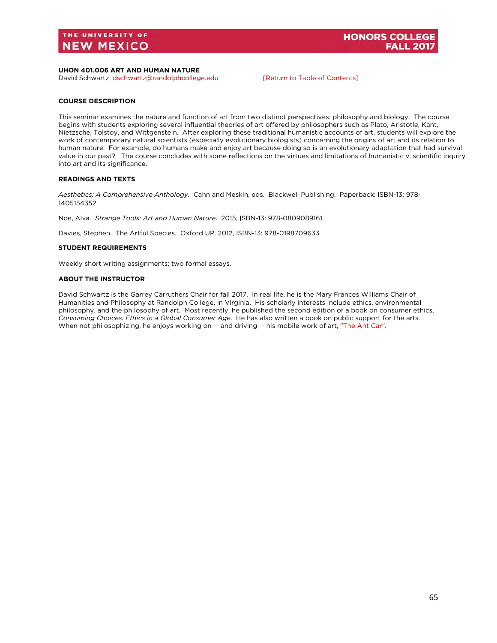### <span id="page-65-0"></span>**UHON 401.006 ART AND HUMAN NATURE**

David Schwartz, [dschwartz@randolphcollege.edu](mailto:dschwartz@randolphcollege.edu) [\[Return to Table of Contents\]](#page-3-0)

**HONORS COLLEGE FALL 2017** 

### **COURSE DESCRIPTION**

This seminar examines the nature and function of art from two distinct perspectives: philosophy and biology. The course begins with students exploring several influential theories of art offered by philosophers such as Plato, Aristotle, Kant, Nietzsche, Tolstoy, and Wittgenstein. After exploring these traditional humanistic accounts of art, students will explore the work of contemporary natural scientists (especially evolutionary biologists) concerning the origins of art and its relation to human nature. For example, do humans make and enjoy art because doing so is an evolutionary adaptation that had survival value in our past? The course concludes with some reflections on the virtues and limitations of humanistic v. scientific inquiry into art and its significance.

### **READINGS AND TEXTS**

*Aesthetics: A Comprehensive Anthology.* Cahn and Meskin, eds. Blackwell Publishing. Paperback: ISBN-13: 978- 1405154352

Noe, Alva. *Strange Tools: Art and Human Nature*. 2015, ISBN-13: 978-0809089161

Davies, Stephen. The Artful Species. Oxford UP, 2012, ISBN-13: 978-0198709633

#### **STUDENT REQUIREMENTS**

Weekly short writing assignments; two formal essays.

### **ABOUT THE INSTRUCTOR**

David Schwartz is the Garrey Carruthers Chair for fall 2017. In real life, he is the Mary Frances Williams Chair of Humanities and Philosophy at Randolph College, in Virginia. His scholarly interests include ethics, environmental philosophy, and the philosophy of art. Most recently, he published the second edition of a book on consumer ethics, *Consuming Choices: Ethics in a Global Consumer Age*. He has also written a book on public support for the arts. When not philosophizing, he enjoys working on -- and driving -- his mobile work of art[, "The Ant Car".](http://www.theantcar.com/)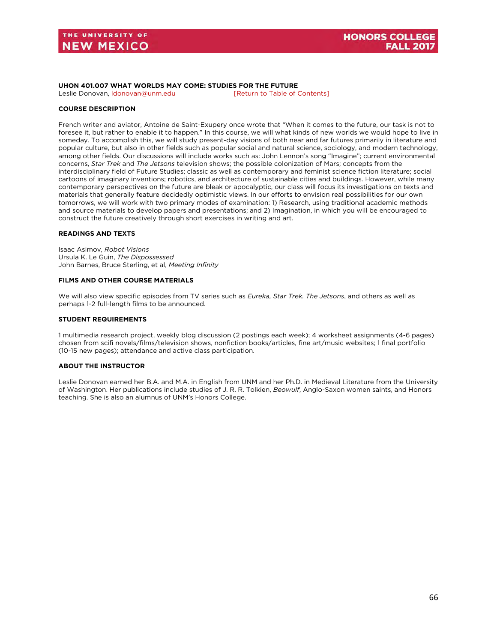<span id="page-66-0"></span>**UHON 401.007 WHAT WORLDS MAY COME: STUDIES FOR THE FUTURE** Leslie Donovan, Idonovan@unm.edu

### **COURSE DESCRIPTION**

French writer and aviator, Antoine de Saint-Exupery once wrote that "When it comes to the future, our task is not to foresee it, but rather to enable it to happen." In this course, we will what kinds of new worlds we would hope to live in someday. To accomplish this, we will study present-day visions of both near and far futures primarily in literature and popular culture, but also in other fields such as popular social and natural science, sociology, and modern technology, among other fields. Our discussions will include works such as: John Lennon's song "Imagine"; current environmental concerns, *Star Trek* and *The Jetsons* television shows; the possible colonization of Mars; concepts from the interdisciplinary field of Future Studies; classic as well as contemporary and feminist science fiction literature; social cartoons of imaginary inventions; robotics, and architecture of sustainable cities and buildings. However, while many contemporary perspectives on the future are bleak or apocalyptic, our class will focus its investigations on texts and materials that generally feature decidedly optimistic views. In our efforts to envision real possibilities for our own tomorrows, we will work with two primary modes of examination: 1) Research, using traditional academic methods and source materials to develop papers and presentations; and 2) Imagination, in which you will be encouraged to construct the future creatively through short exercises in writing and art.

### **READINGS AND TEXTS**

Isaac Asimov, *Robot Visions* Ursula K. Le Guin, *The Dispossessed* John Barnes, Bruce Sterling, et al, *Meeting Infinity*

### **FILMS AND OTHER COURSE MATERIALS**

We will also view specific episodes from TV series such as *Eureka, Star Trek. The Jetsons*, and others as well as perhaps 1-2 full-length films to be announced.

### **STUDENT REQUIREMENTS**

1 multimedia research project, weekly blog discussion (2 postings each week); 4 worksheet assignments (4-6 pages) chosen from scifi novels/films/television shows, nonfiction books/articles, fine art/music websites; 1 final portfolio (10-15 new pages); attendance and active class participation.

### **ABOUT THE INSTRUCTOR**

Leslie Donovan earned her B.A. and M.A. in English from UNM and her Ph.D. in Medieval Literature from the University of Washington. Her publications include studies of J. R. R. Tolkien, *Beowulf*, Anglo-Saxon women saints, and Honors teaching. She is also an alumnus of UNM's Honors College.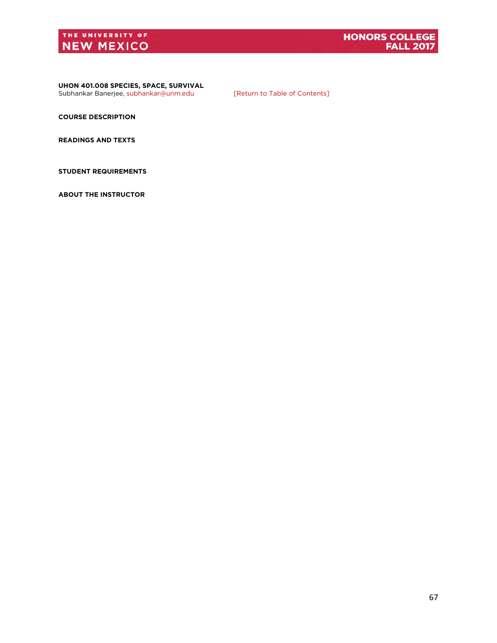

<span id="page-67-0"></span>**UHON 401.008 SPECIES, SPACE, SURVIVAL**  Subhankar Banerjee, [subhankar@unm.edu](mailto:subhankar@unm.edu) [\[Return to Table of Contents\]](#page-3-0)

**COURSE DESCRIPTION** 

**READINGS AND TEXTS** 

**STUDENT REQUIREMENTS**

**ABOUT THE INSTRUCTOR**